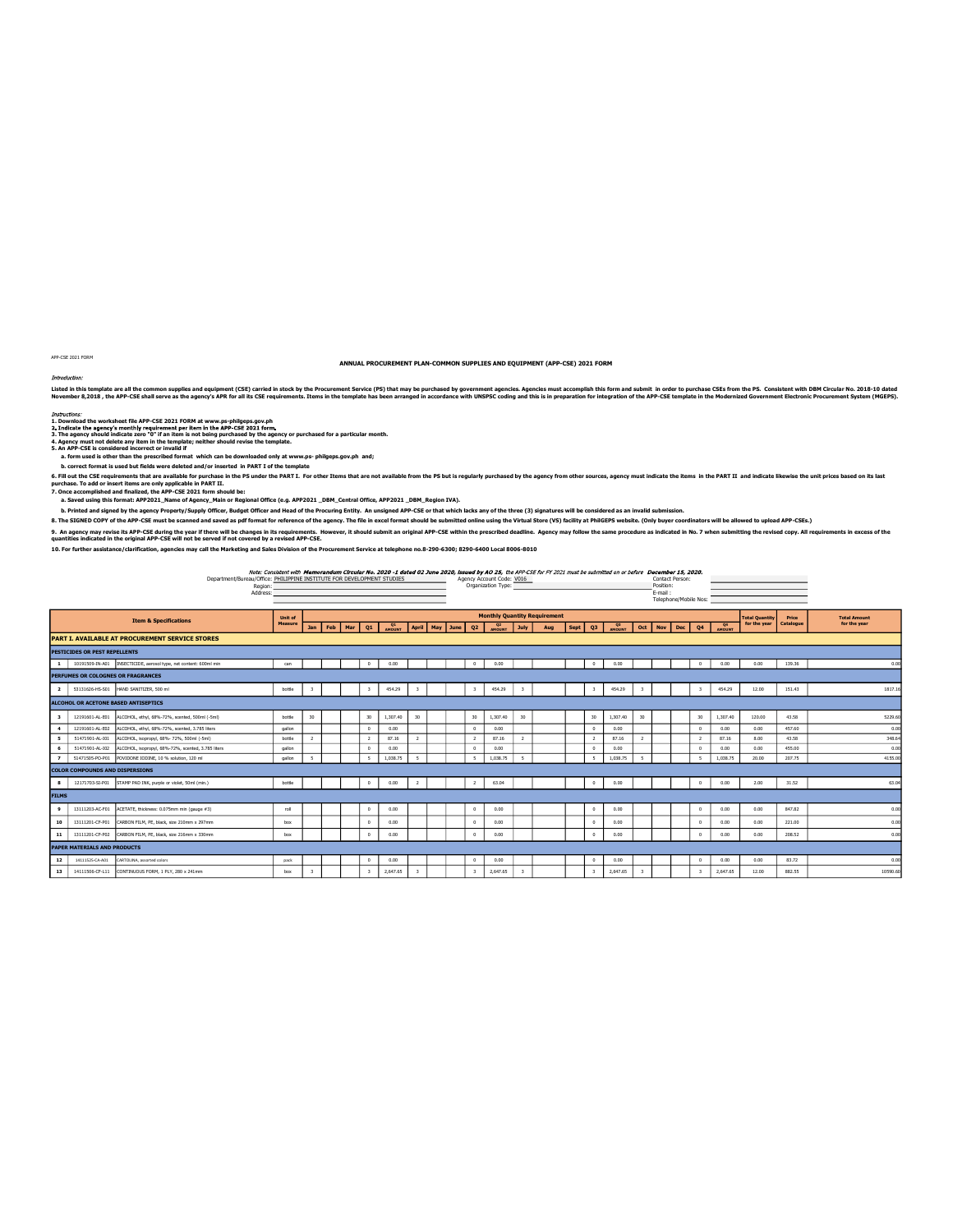Department/Bureau/Office: <u>MILIPPINE INSTITUTE FOR DEVELOPMENT STUDIES</u><br>Position: Code: New Code: Note - And Code: Note - And Code: Note - And Code: VOI6<br>Address: Address: Address: Address: Address: Address: Address: Addr PHILIPPINE INSTITUTE FOR DEVELOPMENT STUDIES 10. For further assistance/clarification, agencies may call the Marketing and Sales Division of the Procurement Service at telephone no.8-290-6300; 8290-6400 Local 8006-8010

9. An ageny may revise its APP-CSE during the year if then will be changes in its requirements. However, it should submit an original APP-CSE within the prescribed deadline. Agency may follow the same procedure as indicate

ANNUAL PROCUREMENT PLAN-COMMON SUPPLIES AND EQUIPMENT (APP-CSE) 2021 FORM Listed in this template are althe common supplies and equipment (CSE) carried in stock by the Prourement Service (PS) that may be purchased by overnment agencies. Movember 8,9016 in the September S,2016, and this independe

Telephone/Mobile Nos: Jan Feb Mar Q1 <sub>Mount</sub> April May June Q2 <sub>Mount</sub> April May July Aug Sept Q3 <sub>Mount</sub> Oct Nov Dec Q4 Mount for the pair PART I. AVAILABLE AT PROCUREMENT SERVICE STORES PESTICIDES OR PEST REPELLENTS 1 10191509-IN-A01 INSECTICIDE, aerosol type, net content: 600ml min can 0 0.00 0 0.00 0 0.00 0 0.00 0.00 139.36 0.00 **PERFUMES OR FRAGRANCES** 2 53131626-HS-S01 HAND SANITIZER, SOD ml bottle 3 3 454.29 3 454.29 3 454.29 3 454.29 3 454.29 3 454.29 12.00 151.43 1817.16 **ALCOHOL OR ACETONE BASED ANTISEPTICS** 3 12191601-AL-E01 ALCOHOL, ethyl, 68%-72%, scented, 500ml (-5ml) bottle 30 30 1,307.40 30 30 30 1,307.40 30 30 30 1,307.40 30 30 1,307.40 120.00 43.58 5229.60 4 12191601-AL-E02 ALCOHOL, ethyl, 68%-72%, scented, 3.785 liters gallon 0 0.00 0 0.00 0 0.00 0 0.00 0.00 457.60 0.00 5 51471901-AL-101 ALCOHOL, isopropyl, 68%- 72%, 500ml (-5ml) bottle 2 2 87.16 2 2 87.16 2 87.16 3.00 43.64 3 3 6 51471901-AL-I02 ALCOHOL, isopropyl, 68%-72%, scented, 3.785 liters gallon 0 0.00 0 0.00 0 0.00 0 0.00 0.00 455.00 0.00 7 51471505-PO-P01 POVIDONE IODINE, 10 % solution, 120 ml gallon 5 5 1,038.75 5 5 1,038.75 5 5 1,038.75 5 5 1,038.75 20.00 207.75 4155.00 COLOR COMPOUNDS AND DISPERSIONS 8 12171703-SI-P01 STAMP PAD INK, purple or violet, 50ml (min.) bottle 0 0.00 2 2 63.04 0 0.00 0 0.00 2.00 31.52 63.04 FILMS 9 | 13111203-AC-F01 ACETATE, thickness: 0.075mm min (gauge #3) rol | | | 0 0.00 | | | 0 0.00 | | | | 0 0.00 | 0.00 | 0.00 | 0.00 | 0.00 | 0.00 | 0.00 | 0.00 | 0.00 | 0.00 | 0.00 | 0.00 | 0.00 | 0.00 | 0.00 | 0.00 | 0.00 | 10 13111201-CF-P01 CARBON FILM, PE, black, size 210mm x 297mm box 0 0.00 0 0.00 0 0.00 0 0.00 0 0.00 0 0.00 0 0.00 0 0.00 0 0.00 0 0.00 0 0.00 0.00 0.00 0.00 0.00 0.00 0.00 0.00 0.00 0.00 0.00 0.00 0.00 0.00 0 0.00 0 0.00 11 13111201-CF-P02 CARBON FILM, PE, black, size 216mm x 330mm box 0 0.00 0 0.00 0 0.00 0 0.00 0.00 208.52 0.00 PAPER MATERIALS AND PRODUCTS 12 | 14111525-CA-A01 CARTOLINA, assorted colors pack pack 0 0.00 0 0.00 0 0.00 0 0.00 0 0.00 0.00 0.00 0.00 0.00 0.00 0.00 0.00 0.00 0.00 0.00 0.00 0.00 0.00 0.00 0.00 0.00 0.00 0.00 0.00 0.00 0.00 0.00 0.00 0.00 0.00 0.00 13 | 14111506-CF-L11 | CONTINUOUS FORM, 1 PLY, 280 x 241mm box 3 | 3 | 3 | 2,647.65 3 | 3 | 2,647.65 | 3 | 3 | 2,647.65 | 12.00 | 882.55 Total Quantity<br>for the year Price Catalogue Total Amount for the year Unit of Measure Monthly Quantity Requirement

5. An APP-CSE is considered incorrect or invalid if a. form used is other than the prescribed format which can be downloaded only at www.ps- philgeps.gov.ph and; on an a sour summan summan summan.<br>B. form used is other than the prescribed format which can be downloaded only at www.ps- philgeps.gov.ph and;<br>b. correct format is used but fields were deleted and/or inserted in PART I o 6. Fill out the CSE requirements that are available for purchase in the PS under the PART I. For other Items that are not available from the PS but is regularly purchased by the agency from other sources, agency must indic

a. Saved using this format: APP2021\_Name of Agency\_Main or Regional Office (e.g. APP2021\_DBM\_Central Office, APP2021\_DBM\_Region IVA).<br>b. Printed and signed by the agency Property/Supply Office; Budget Officer and Heal of t

3. The agency should indicate zero "0" if an item is not being purchased by the agency or purchased for a particular month.<br>4. Agency must not delete any item in the template; neither should revise the template.

1. Download the worksheet file APP-CSE 2021 FORM at www.ps-philgeps.gov.ph

APP-CSE 2021 FORM

Instructions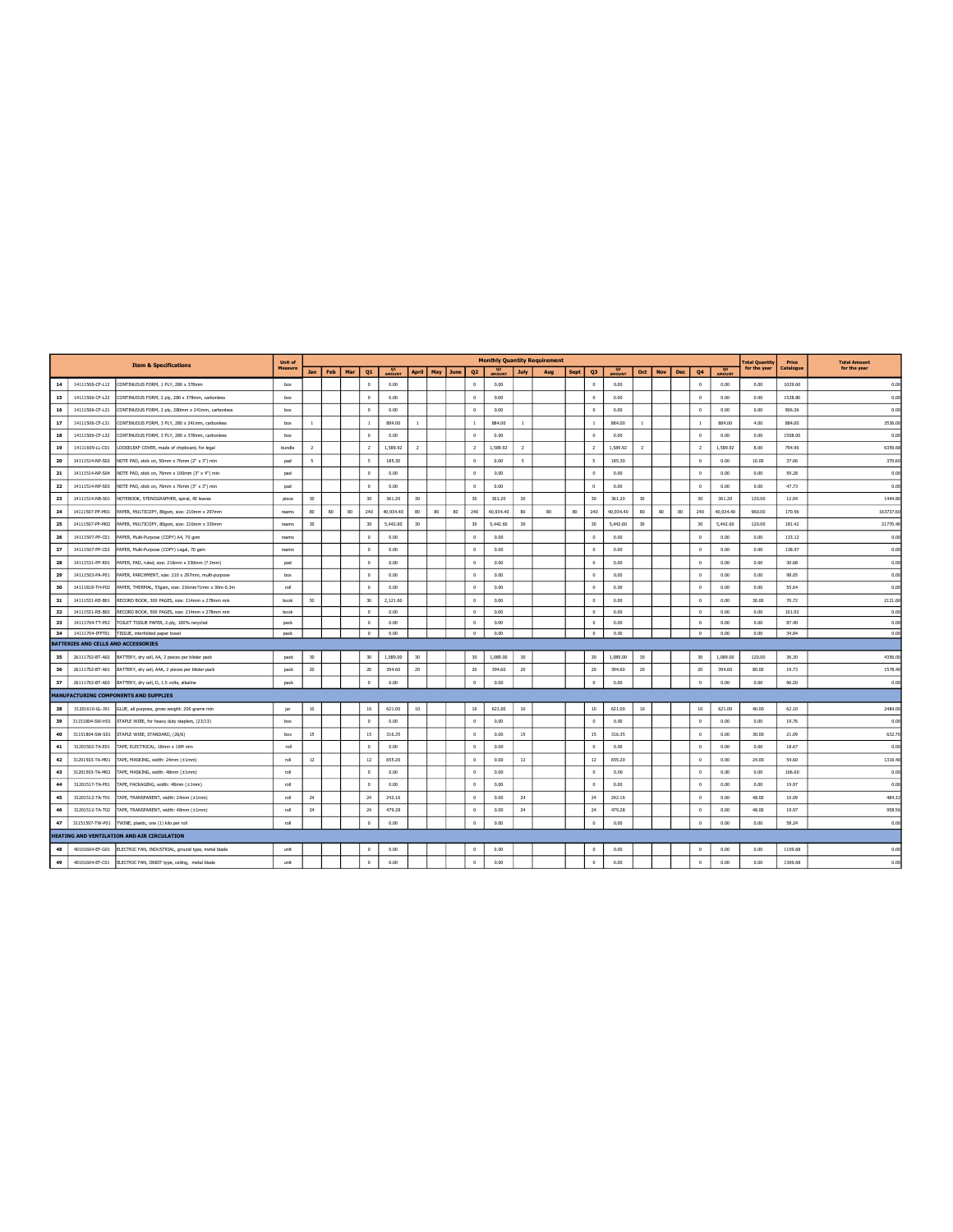|    |                                     | <b>Item &amp; Specifications</b>                   | <b>Unit of</b> |                |     |     |                          |               |                |     |      |                |                                 |                | <b>Monthly Quantity Requirement</b> |             |                |                          |                 |            |     |                |                                 | <b>Total Quantity</b> | Price     | <b>Total Amount</b> |
|----|-------------------------------------|----------------------------------------------------|----------------|----------------|-----|-----|--------------------------|---------------|----------------|-----|------|----------------|---------------------------------|----------------|-------------------------------------|-------------|----------------|--------------------------|-----------------|------------|-----|----------------|---------------------------------|-----------------------|-----------|---------------------|
|    |                                     |                                                    | Measure        | Jan            | Feb | Mar | Q1                       | <b>AMOUNT</b> | <b>April</b>   | May | June | Q <sub>2</sub> | O <sub>2</sub><br><b>AMOUNT</b> | <b>July</b>    | Aug                                 | <b>Sept</b> | Q <sub>3</sub> | $^{03}$<br><b>AMOUNT</b> | Oct             | <b>Nov</b> | Dec | Q4             | O <sub>4</sub><br><b>AMOUNT</b> | for the year          | Catalogue | for the year        |
| 14 | 14111506-CF-L12                     | CONTINUOUS FORM, 1 PLY, 280 x 378mm                | box            |                |     |     | $\theta$                 | 0.00          |                |     |      | $^{\circ}$     | 0.00                            |                |                                     |             | $\mathbf{0}$   | 0.00                     |                 |            |     | $^{\circ}$     | 0.00                            | 0.00                  | 1029.60   | 0.00                |
| 15 | 14111506-CF-L22                     | CONTINUOUS FORM, 2 ply, 280 x 378mm, carbonless    | box            |                |     |     | $\Omega$                 | 0.00          |                |     |      | $^{\circ}$     | 0.00                            |                |                                     |             | $\Omega$       | 0.00                     |                 |            |     | $\Omega$       | 0.00                            | 0.00                  | 1528.80   | 0.00                |
| 16 | 14111506-CF-L21                     | CONTINUOUS FORM, 2 ply, 280mm x 241mm, carbonless  | box            |                |     |     | $\Omega$                 | 0.00          |                |     |      | $\Omega$       | 0.00                            |                |                                     |             | $\Omega$       | 0.00                     |                 |            |     | $\Omega$       | 0.00                            | 0.00                  | 906.36    | 0.00                |
| 17 | 14111506-CF-L31                     | CONTINUOUS FORM, 3 PLY, 280 x 241mm, carbonless    | box            | $\mathbf{1}$   |     |     | $\mathbf{1}$             | 884.00        | <sup>1</sup>   |     |      | $\mathbf{1}$   | 884.00                          | $\mathbf{1}$   |                                     |             | $\mathbf{1}$   | 884.00                   | $\mathbf{1}$    |            |     | $\overline{1}$ | 884.00                          | 4.00                  | 884.00    | 3536.00             |
| 18 | 14111506-CF-L32                     | CONTINUOUS FORM, 3 PLY, 280 x 378mm, carbonless    | box            |                |     |     | $^{\circ}$               | 0.00          |                |     |      | $^{\circ}$     | 0.00                            |                |                                     |             | $\circ$        | 0.00                     |                 |            |     | $\circ$        | 0.00                            | 0.00                  | 1508.00   | 0.00                |
| 19 | 14111609-LL-C01                     | LOOSELEAF COVER, made of chipboard, for legal      | bundle         | $\overline{2}$ |     |     | $\overline{2}$           | 1,589.92      | $\overline{2}$ |     |      | $\overline{2}$ | 1,589.92                        | $\overline{2}$ |                                     |             | $\overline{2}$ | 1,589.92                 | $\overline{ }$  |            |     | $\overline{ }$ | 1,589.92                        | 8.00                  | 794.96    | 6359.68             |
| 20 | 14111514-NP-S02                     | NOTE PAD, stick on, 50mm x 76mm (2" x 3") min      | pad            | $\sim$         |     |     | $\overline{\phantom{a}}$ | 185.30        |                |     |      | $\circ$        | 0.00                            | $\leq$         |                                     |             | $\sim$         | 185.30                   |                 |            |     | $\Omega$       | 0.00                            | 10.00                 | 37.06     | 370.60              |
| 21 | 14111514-NP-S04                     | NOTE PAD, stick on, 76mm x 100mm (3" x 4") min     | pad            |                |     |     | $\Omega$                 | 0.00          |                |     |      | $\theta$       | 0.00                            |                |                                     |             | $\mathbf{0}$   | 0.00                     |                 |            |     | $\Omega$       | 0.00                            | 0.00                  | 59.28     | 0.00                |
| 22 | 14111514-NP-S03                     | NOTE PAD, stick on, 76mm x 76mm (3" x 3") min      | pad            |                |     |     | $^{\circ}$               | 0.00          |                |     |      | $^{\circ}$     | 0.00                            |                |                                     |             | $\circ$        | 0.00                     |                 |            |     | $\circ$        | 0.00                            | 0.00                  | 47.73     | 0.00                |
| 23 | 14111514-NB-S01                     | NOTEBOOK, STENOGRAPHER, spiral, 40 leaves          | piece          | 30             |     |     | 30                       | 361.20        | 30             |     |      | 30             | 361.20                          | 30             |                                     |             | 30             | 361.20                   | 30              |            |     | 30             | 361.20                          | 120.00                | 12.04     | 1444.80             |
| 24 | 14111507-PP-M01                     | PAPER, MULTICOPY, 80gsm, size: 210mm x 297mm       | reams          | 80             | 80  | 80  | 240                      | 40,934.40     | 80             | 80  | 80   | 240            | 40,934.40                       | 80             | 80                                  | 80          | 240            | 40,934.40                | 80 <sub>1</sub> | 80         | 80  | 240            | 40,934.40                       | 960.00                | 170.56    | 163737.60           |
| 25 | 14111507-PP-M02                     | PAPER, MULTICOPY, 80gsm, size: 216mm x 330mm       | reams          | 30             |     |     | 30                       | 5,442.60      | 30             |     |      | 30             | 5,442.60                        | 30             |                                     |             | 30             | 5,442.60                 | 30              |            |     | 30             | 5,442.60                        | 120.00                | 181.42    | 21770.40            |
| 26 | 14111507-PP-C01                     | PAPER, Multi-Purpose (COPY) A4, 70 gsm             | reams          |                |     |     | $\theta$                 | 0.00          |                |     |      | $^{\circ}$     | 0.00                            |                |                                     |             | $^{\circ}$     | 0.00                     |                 |            |     | $\circ$        | 0.00                            | 0.00                  | 133.12    | 0.00                |
| 27 | 14111507-PP-C02                     | PAPER, Multi-Purpose (COPY) Legal, 70 gsm          | reams          |                |     |     | $\theta$                 | 0.00          |                |     |      | $^{\circ}$     | 0.00                            |                |                                     |             | $\Omega$       | 0.00                     |                 |            |     | $\circ$        | 0.00                            | 0.00                  | 138.97    | 0.00                |
| 28 | 14111531-PP-R01                     | PAPER, PAD, ruled, size: 216mm x 330mm (? 2mm)     | pad            |                |     |     | $\Omega$                 | 0.00          |                |     |      | $\circ$        | 0.00                            |                |                                     |             | $\Omega$       | 0.00                     |                 |            |     | $\Omega$       | 0.00                            | 0.00                  | 30.68     | 0.00                |
| 29 | 14111503-PA-P01                     | PAPER, PARCHMENT, size: 210 x 297mm, multi-purpose | box            |                |     |     | $^{\circ}$               | 0.00          |                |     |      | $\theta$       | 0.00                            |                |                                     |             | $\Omega$       | 0.00                     |                 |            |     | $\Omega$       | 0.00                            | 0.00                  | 98.05     | 0.00                |
| 30 | 14111818-TH-P02                     | PAPER, THERMAL, 55gsm, size: 216mm?1mm x 30m-0.3m  | roll           |                |     |     | $^{\circ}$               | 0.00          |                |     |      | $^{\circ}$     | 0.00                            |                |                                     |             | $\mathbf{0}$   | 0.00                     |                 |            |     | $\circ$        | 0.00                            | 0.00                  | 55.64     | 0.00                |
| 31 | 14111531-RE-B01                     | RECORD BOOK, 300 PAGES, size: 214mm x 278mm min    | book           | 30             |     |     | 30                       | 2,121.60      |                |     |      | $^{\circ}$     | 0.00                            |                |                                     |             | $\Omega$       | 0.00                     |                 |            |     | $\Omega$       | 0.00                            | 30.00                 | 70.72     | 2121.60             |
| 32 | 14111531-RE-B02                     | RECORD BOOK, 500 PAGES, size: 214mm x 278mm min    | book           |                |     |     | $\Omega$                 | 0.00          |                |     |      | $\Omega$       | 0.00                            |                |                                     |             | $\Omega$       | 0.00                     |                 |            |     | $\Omega$       | 0.00                            | 0.00                  | 101.92    | 0.00                |
| 33 | 14111704-TT-P02                     | TOILET TISSUE PAPER, 2-ply, 100% recycled          | pack           |                |     |     | $^{\circ}$               | 0.00          |                |     |      | $^{\circ}$     | 0.00                            |                |                                     |             | $\theta$       | 0.00                     |                 |            |     | $\circ$        | 0.00                            | 0.00                  | 87.40     | 0.00                |
| 34 | 14111704-IFPT01                     | TISSUE, interfolded paper towel                    | pack           |                |     |     | $\circ$                  | 0.00          |                |     |      | $^{\circ}$     | 0.00                            |                |                                     |             | $\circ$        | 0.00                     |                 |            |     | $\circ$        | 0.00                            | 0.00                  | 34.84     | 0.00                |
|    | BATTERIES AND CELLS AND ACCESSORIES |                                                    |                |                |     |     |                          |               |                |     |      |                |                                 |                |                                     |             |                |                          |                 |            |     |                |                                 |                       |           |                     |
| 35 | 26111702-BT-A02                     | BATTERY, dry cell, AA, 2 pieces per blister pack   | neck           | 30             |     |     | 30                       | 1.089.00      | 30             |     |      | 30             | 1.089.00                        | 30             |                                     |             | 30             | 1.089.00                 | 30              |            |     | 30             | 1.089.00                        | 120.00                | 36.30     | 4356.00             |
| 36 | 26111702-BT-A01                     | BATTERY, dry cell, AAA, 2 pieces per blister pack  | pack           | 20             |     |     | 20                       | 394.60        | 20             |     |      | 20             | 394.60                          | 20             |                                     |             | 20             | 394.60                   | 20              |            |     | $20\,$         | 394.60                          | 80.00                 | 19.73     | 1578.40             |
| 37 | 26111702-BT-A03                     | BATTERY, dry cell, D, 1.5 volts, alkaline          | pack           |                |     |     | $\Omega$                 | 0.00          |                |     |      | $\mathbb O$    | 0.00                            |                |                                     |             | $^{\circ}$     | 0.00                     |                 |            |     | $\,0\,$        | 0.00                            | 0.00                  | 96.20     | 0.00                |
|    |                                     | MANUFACTURING COMPONENTS AND SUPPLIES              |                |                |     |     |                          |               |                |     |      |                |                                 |                |                                     |             |                |                          |                 |            |     |                |                                 |                       |           |                     |
| 38 | 31201610-GL-J01                     | GLUE, all purpose, gross weight: 200 grams min     | jar            | 10             |     |     | 10                       | 621.00        | 10             |     |      | 10             | 621.00                          | 10             |                                     |             | 10             | 621.00                   | 10              |            |     | 10             | 621.00                          | 40.00                 | 62.10     | 2484.00             |
| 39 | 31151804-SW-H01                     | STAPLE WIRE, for heavy duty staplers, (23/13)      | box            |                |     |     | $\mathbf{0}$             | 0.00          |                |     |      | $^{\circ}$     | 0.00                            |                |                                     |             | $\mathbf{0}$   | 0.00                     |                 |            |     | $\circ$        | 0.00                            | 0.00                  | 19.76     | 0.00                |
| 40 | 31151804-SW-S01                     | STAPLE WIRE, STANDARD, (26/6)                      | box            | 15             |     |     | 15                       | 316.35        |                |     |      | $\theta$       | 0.00                            | 15             |                                     |             | 15             | 316.35                   |                 |            |     | $\Omega$       | 0.00                            | 30.00                 | 21.09     | 632.70              |
| 41 | 31201502-TA-E01                     | TAPE, ELECTRICAL, 18mm x 16M min                   | roll           |                |     |     | $\Omega$                 | 0.00          |                |     |      | $\Omega$       | 0.00                            |                |                                     |             | $\Omega$       | 0.00                     |                 |            |     | $\Omega$       | 0.00                            | 0.00                  | 18.67     | 0.00                |
| 42 | 31201503-TA-M01                     | TAPE, MASKING, width: 24mm (±1mm)                  | roll           | 12             |     |     | 12                       | 655.20        |                |     |      | $^{\circ}$     | 0.00                            | 12             |                                     |             | 12             | 655.20                   |                 |            |     | $\Omega$       | 0.00                            | 24.00                 | 54.60     | 1310.40             |
| 43 | 31201503-TA-M02                     | TAPE, MASKING, width: 48mm (±1mm)                  | roll           |                |     |     | $\circ$                  | 0.00          |                |     |      | $^{\circ}$     | 0.00                            |                |                                     |             | $\mathbf{0}$   | 0.00                     |                 |            |     | $^{\circ}$     | 0.00                            | 0.00                  | 106.60    | 0.00                |
| 44 | 31201517-TA-P01                     | TAPE, PACKAGING, width: 48mm (±1mm)                | roll           |                |     |     | $\circ$                  | 0.00          |                |     |      | $\theta$       | 0.00                            |                |                                     |             | $\Omega$       | 0.00                     |                 |            |     | $\Omega$       | 0.00                            | 0.00                  | 19.97     | 0.00                |
| 45 | 31201512-TA-T01                     | TAPE, TRANSPARENT, width: 24mm (±1mm)              | roll           | 24             |     |     | 24                       | 242.16        |                |     |      | $\Omega$       | 0.00                            | 24             |                                     |             | 24             | 242.16                   |                 |            |     | $\Omega$       | 0.00                            | 48.00                 | 10.09     | 484.32              |
| 46 | 31201512-TA-T02                     | TAPE, TRANSPARENT, width: 48mm (±1mm)              | roll           | 24             |     |     | 24                       | 479.28        |                |     |      | $^{\circ}$     | 0.00                            | 24             |                                     |             | 24             | 479.28                   |                 |            |     | $\Omega$       | 0.00                            | 48.00                 | 19.97     | 958.56              |
| 47 | 31151507-TW-P01                     | TWINE, plastic, one (1) kilo per roll              | roll           |                |     |     | $\mathbf{0}$             | 0.00          |                |     |      | $^{\circ}$     | 0.00                            |                |                                     |             | $\mathbf{0}$   | 0.00                     |                 |            |     | $\theta$       | 0.00                            | 0.00                  | 58.24     | 0.00                |
|    |                                     | HEATING AND VENTILATION AND AIR CIRCULATION        |                |                |     |     |                          |               |                |     |      |                |                                 |                |                                     |             |                |                          |                 |            |     |                |                                 |                       |           |                     |
| 48 | 40101604-EF-G01                     | ELECTRIC FAN, INDUSTRIAL, ground type, metal blade | unit           |                |     |     | $\Omega$                 | 0.00          |                |     |      | $\Omega$       | 0.00                            |                |                                     |             | $\Omega$       | 0.00                     |                 |            |     | $\Omega$       | 0.00                            | 0.00                  | 1109.68   | 0.00                |
| 49 | 40101604-EF-C01                     | ELECTRIC FAN, ORBIT type, ceiling, metal blade     | unit           |                |     |     | $\theta$                 | 0.00          |                |     |      | $\Omega$       | 0.00                            |                |                                     |             | $\Omega$       | 0.00                     |                 |            |     | $\Omega$       | 0.00                            | 0.00                  | 1369.68   | 0.00                |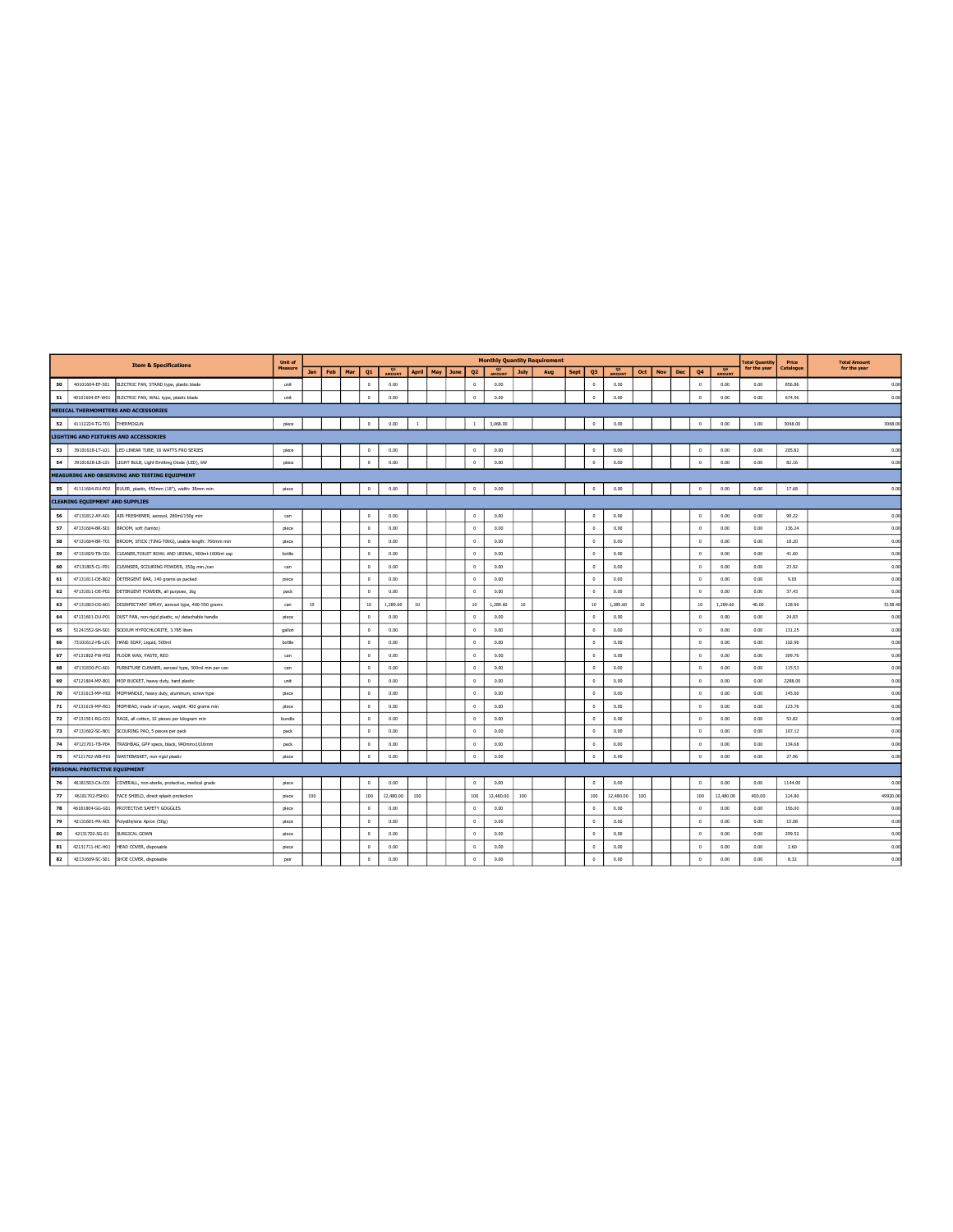|    |                                        | <b>Item &amp; Specifications</b>                             | <b>Unit of</b> |           |     |     |                  |              |                |          |                |                                 |             | <b>Monthly Quantity Requirement</b> |      |                      |                                 |                 |            |            |            |                     | <b>Total Quantity</b> | Price     | <b>Total Amount</b> |
|----|----------------------------------------|--------------------------------------------------------------|----------------|-----------|-----|-----|------------------|--------------|----------------|----------|----------------|---------------------------------|-------------|-------------------------------------|------|----------------------|---------------------------------|-----------------|------------|------------|------------|---------------------|-----------------------|-----------|---------------------|
|    |                                        |                                                              | Measure        | Jan       | Feb | Mar | Q1               | Q1<br>AMOUNT | <b>April</b>   | May June | Q <sub>2</sub> | Q <sub>2</sub><br><b>AMOUNT</b> | <b>July</b> | Aug                                 | Sept | Q <sub>3</sub>       | Q <sub>3</sub><br><b>AMOUNT</b> | Oct             | <b>Nov</b> | <b>Dec</b> | Q4         | <b>Q4</b><br>AMOUNT | for the year          | Catalogue | for the year        |
| 50 | 40101604-EF-S01                        | ELECTRIC FAN, STAND type, plastic blade                      | unit           |           |     |     | $^{\circ}$       | 0.00         |                |          | $\mathbb O$    | 0.00                            |             |                                     |      | $\circ$              | 0.00                            |                 |            |            | $\,0\,$    | 0.00                | 0.00                  | 856.86    | 0.00                |
| 51 | 40101604-EF-W01                        | ELECTRIC FAN, WALL type, plastic blade                       | unit           |           |     |     | $\Omega$         | 0.00         |                |          | $\mathbb O$    | 0.00                            |             |                                     |      | $\ddot{\phantom{0}}$ | 0.00                            |                 |            |            | $^{\circ}$ | 0.00                | 0.00                  | 674.96    | 0.00                |
|    |                                        | MEDICAL THERMOMETERS AND ACCESSORIES                         |                |           |     |     |                  |              |                |          |                |                                 |             |                                     |      |                      |                                 |                 |            |            |            |                     |                       |           |                     |
| 52 | 41112224-TG-T01                        | THERMOGUN                                                    | piece          |           |     |     | $\circ$          | 0.00         | $\overline{1}$ |          | $\mathbf{1}$   | 3,068.00                        |             |                                     |      | $\mathbb O$          | 0.00                            |                 |            |            | $\theta$   | 0.00                | 1.00                  | 3068.00   | 3068.00             |
|    |                                        | <b>LIGHTING AND FIXTURES AND ACCESSORIES</b>                 |                |           |     |     |                  |              |                |          |                |                                 |             |                                     |      |                      |                                 |                 |            |            |            |                     |                       |           |                     |
| 53 | 39101628-LT-L01                        | LED LINEAR TUBE, 18 WATTS FRO SERIES                         | piece          |           |     |     | $\Omega$         | 0.00         |                |          | $\circ$        | 0.00                            |             |                                     |      | $\Omega$             | 0.00                            |                 |            |            | $\Omega$   | 0.00                | 0.00                  | 205.82    | 0.00                |
| 54 | 39101628-LB-L01                        | LIGHT BULB, Light Emitting Diode (LED), 6W                   | piece          |           |     |     | $\Omega$         | 0.00         |                |          | $\,0\,$        | 0.00                            |             |                                     |      | $\mathbb O$          | 0.00                            |                 |            |            | $\Omega$   | 0.00                | 0.00                  | 82.16     | 0.00                |
|    |                                        | MEASURING AND OBSERVING AND TESTING EQUIPMENT                |                |           |     |     |                  |              |                |          |                |                                 |             |                                     |      |                      |                                 |                 |            |            |            |                     |                       |           |                     |
| 55 |                                        | 41111604-RU-P02 RULER, plastic, 450mm (18"), width: 38mm min | piece          |           |     |     | $\mathbf 0$      | 0.00         |                |          | $^{\circ}$     | 0.00                            |             |                                     |      | $^{\circ}$           | 0.00                            |                 |            |            | $^{\circ}$ | 0.00                | 0.00                  | 17.68     | 0.00                |
|    | <b>CLEANING EQUIPMENT AND SUPPLIES</b> |                                                              |                |           |     |     |                  |              |                |          |                |                                 |             |                                     |      |                      |                                 |                 |            |            |            |                     |                       |           |                     |
| 56 |                                        | 47131812-AF-A01 AIR FRESHENER, aerosol, 280ml/150g min       | can            |           |     |     | $\circ$          | 0.00         |                |          | $^{\circ}$     | 0.00                            |             |                                     |      | $\circ$              | 0.00                            |                 |            |            | $\circ$    | 0.00                | 0.00                  | 90.22     | 0.00                |
| 57 | 47131604-BR-S01                        | BROOM, soft (tambo)                                          | piece          |           |     |     | $^{\circ}$       | 0.00         |                |          | $^{\circ}$     | 0.00                            |             |                                     |      | $\mathbf{0}$         | 0.00                            |                 |            |            | $\circ$    | 0.00                | 0.00                  | 136.24    | 0.00                |
| 58 | 47131604-BR-T01                        | BROOM, STICK (TING-TING), usable length: 760mm min           | piece          |           |     |     | $\Omega$         | 0.00         |                |          | $\mathbb O$    | 0.00                            |             |                                     |      | $\circ$              | 0.00                            |                 |            |            | $\circ$    | 0.00                | 0.00                  | 18.20     | 0.00                |
| 59 | 47131829-TB-C01                        | CLEANER, TOILET BOWL AND URINAL, 900ml-1000ml cap            | bottle         |           |     |     | $\Omega$         | 0.00         |                |          | $\Omega$       | 0.00                            |             |                                     |      | $\Omega$             | 0.00                            |                 |            |            | $\Omega$   | 0.00                | 0.00                  | 41.60     | 0.00                |
| 60 | 47131805-CL-P01                        | CLEANSER, SCOURING POWDER, 350g min./can                     | can            |           |     |     | $^{\circ}$       | 0.00         |                |          | $\circ$        | 0.00                            |             |                                     |      | $\circ$              | 0.00                            |                 |            |            | $\circ$    | 0.00                | 0.00                  | 23.92     | 0.00                |
| 61 | 47131811-DE-B02                        | DETERGENT BAR, 140 grams as packed                           | piece          |           |     |     | $\Omega$         | 0.00         |                |          | $\Omega$       | 0.00                            |             |                                     |      | $\Omega$             | 0.00                            |                 |            |            | $\circ$    | 0.00                | 0.00                  | 9.03      | 0.00                |
| 62 | 47131811-DE-P02                        | DETERGENT POWDER, all purpose, 1kg                           | pack           |           |     |     | $^{\circ}$       | 0.00         |                |          | $\circ$        | 0.00                            |             |                                     |      | $\circ$              | 0.00                            |                 |            |            | $\circ$    | 0.00                | 0.00                  | 37.43     | 0.00                |
| 63 | 47131803-DS-A01                        | DISINFECTANT SPRAY, aerosol type, 400-550 grams              | can            | $10^{-1}$ |     |     | 10 <sup>10</sup> | 1,289.60     | 10             |          | 10             | 1,289.60                        | 10          |                                     |      | $10^{-1}$            | 1,289.60                        | 10 <sub>1</sub> |            |            | 10         | 1,289.60            | 40.00                 | 128.96    | 5158.40             |
| 64 | 47131601-DU-P01                        | DUST PAN, non-rigid plastic, w/ detachable handle            | piece          |           |     |     | $\Omega$         | 0.00         |                |          | $\circ$        | 0.00                            |             |                                     |      | $\circ$              | 0.00                            |                 |            |            | $\Omega$   | 0.00                | 0.00                  | 24.83     | 0.00                |
| 65 | 51241552-SH-S01                        | SODIUM HYPOCHLORITE, 3.785 liters                            | gallon         |           |     |     | $^{\circ}$       | 0.00         |                |          | $\circ$        | 0.00                            |             |                                     |      | $\circ$              | 0.00                            |                 |            |            | $\circ$    | 0.00                | 0.00                  | 131.25    | 0.00                |
| 66 | 73101612-HS-L01                        | HAND SOAP, Liquid, 500ml                                     | bottle         |           |     |     | $\circ$          | 0.00         |                |          | $^{\circ}$     | 0.00                            |             |                                     |      | $\circ$              | 0.00                            |                 |            |            | $\circ$    | 0.00                | 0.00                  | 102.96    | 0.00                |
| 67 | 47131802-FW-P02                        | FLOOR WAX, PASTE, RED                                        | can            |           |     |     | $\circ$          | 0.00         |                |          | $^{\circ}$     | 0.00                            |             |                                     |      | $\circ$              | 0.00                            |                 |            |            | $^{\circ}$ | 0.00                | 0.00                  | 309.76    | 0.00                |
| 68 | 47131830-FC-A01                        | FURNITURE CLEANER, aerosol type, 300ml min per can           | can            |           |     |     | $\Omega$         | 0.00         |                |          | $^{\circ}$     | 0.00                            |             |                                     |      | $\circ$              | 0.00                            |                 |            |            | $\circ$    | 0.00                | 0.00                  | 115.53    | 0.00                |
| 69 | 47121804-MP-B01                        | MOP BUCKET, heavy duty, hard plastic                         | unit           |           |     |     | $\theta$         | 0.00         |                |          | $\mathbb O$    | 0.00                            |             |                                     |      | $\circ$              | 0.00                            |                 |            |            | $\circ$    | 0.00                | 0.00                  | 2288.00   | 0.00                |
| 70 | 47131613-MP-H02                        | MOPHANDLE, heavy duty, aluminum, screw type                  | piece          |           |     |     | $\Omega$         | 0.00         |                |          | $\Omega$       | 0.00                            |             |                                     |      | $\Omega$             | 0.00                            |                 |            |            | $\Omega$   | 0.00                | 0.00                  | 145.60    | 0.00                |
| 71 | 47131619-MP-R01                        | MOPHEAD, made of rayon, weight: 400 grams min                | piece          |           |     |     | $\Omega$         | 0.00         |                |          | $\circ$        | 0.00                            |             |                                     |      | $\circ$              | 0.00                            |                 |            |            | $\Omega$   | 0.00                | 0.00                  | 123.76    | 0.00                |
| 72 | 47131501-RG-C01                        | RAGS, all cotton, 32 pieces per kilogram min                 | bundle         |           |     |     | $\Omega$         | 0.00         |                |          | $\circ$        | 0.00                            |             |                                     |      | $\Omega$             | 0.00                            |                 |            |            | $\Omega$   | 0.00                | 0.00                  | 53.82     | 0.00                |
| 73 | 47131602-SC-N01                        | SCOURING PAD, 5 pieces per pack                              | pack           |           |     |     | $^{\circ}$       | 0.00         |                |          | $\circ$        | 0.00                            |             |                                     |      | $\circ$              | 0.00                            |                 |            |            | $\circ$    | 0.00                | 0.00                  | 107.12    | 0.00                |
| 74 | 47121701-TB-P04                        | TRASHBAG, GPP specs, black, 940mmx1016mm                     | pack           |           |     |     | $\Omega$         | 0.00         |                |          | $^{\circ}$     | 0.00                            |             |                                     |      | $\circ$              | 0.00                            |                 |            |            | $\circ$    | 0.00                | 0.00                  | 134.68    | 0.00                |
| 75 | 47121702-WB-P01                        | WASTEBASKET, non-rigid plastic                               | piece          |           |     |     | $\circ$          | 0.00         |                |          | $\circ$        | 0.00                            |             |                                     |      | $\circ$              | 0.00                            |                 |            |            | $^{\circ}$ | 0.00                | 0.00                  | 27.96     | 0.00                |
|    | PERSONAL PROTECTIVE EQUIPMENT          |                                                              |                |           |     |     |                  |              |                |          |                |                                 |             |                                     |      |                      |                                 |                 |            |            |            |                     |                       |           |                     |
| 76 | 46181503-CA-C01                        | COVERALL, non-sterile, protective, medical grade             | piece          |           |     |     | $\Omega$         | 0.00         |                |          | $^{\circ}$     | 0.00                            |             |                                     |      | $\circ$              | 0.00                            |                 |            |            | $\circ$    | 0.00                | 0.00                  | 1144.00   | 0.00                |
| 77 | 46181702-FSH01                         | FACE SHIELD, direct splash protection                        | piece          | 100       |     |     | 100              | 12,480.00    | 100            |          | 100            | 12,480.00                       | 100         |                                     |      | 100                  | 12,480.00                       | 100             |            |            | 100        | 12,480.00           | 400.00                | 124.80    | 49920.00            |
| 78 | 46181804-GG-G01                        | PROTECTIVE SAFETY GOGGLES                                    | piece          |           |     |     | $\circ$          | 0.00         |                |          | $\mathbb O$    | 0.00                            |             |                                     |      | $\circ$              | 0.00                            |                 |            |            | $\circ$    | 0.00                | 0.00                  | 156.00    | 0.00                |
| 79 | 42131601-PA-A01                        | Polyethylene Apron (50g)                                     | piece          |           |     |     | $\circ$          | 0.00         |                |          | $^{\circ}$     | 0.00                            |             |                                     |      | $\circ$              | 0.00                            |                 |            |            | $\Omega$   | 0.00                | 0.00                  | 15.08     | 0.00                |
| 80 | 42131702-SG-01                         | SURGICAL GOWN                                                | piece          |           |     |     | $^{\circ}$       | 0.00         |                |          | $\circ$        | 0.00                            |             |                                     |      | $\circ$              | 0.00                            |                 |            |            | $\circ$    | 0.00                | 0.00                  | 299.52    | 0.00                |
| 81 | 42131711-HC-H01                        | HEAD COVER, disposable                                       | piece          |           |     |     | $^{\circ}$       | 0.00         |                |          | $^{\circ}$     | 0.00                            |             |                                     |      | $\circ$              | 0.00                            |                 |            |            | $^{\circ}$ | 0.00                | 0.00                  | 2.60      | 0.00                |
| 82 | 42131609-SC-S01                        | SHOE COVER, disposable                                       | pair           |           |     |     | $\circ$          | 0.00         |                |          | $\circ$        | 0.00                            |             |                                     |      | $\circ$              | 0.00                            |                 |            |            | $\circ$    | 0.00                | 0.00                  | 8.32      | 0.00                |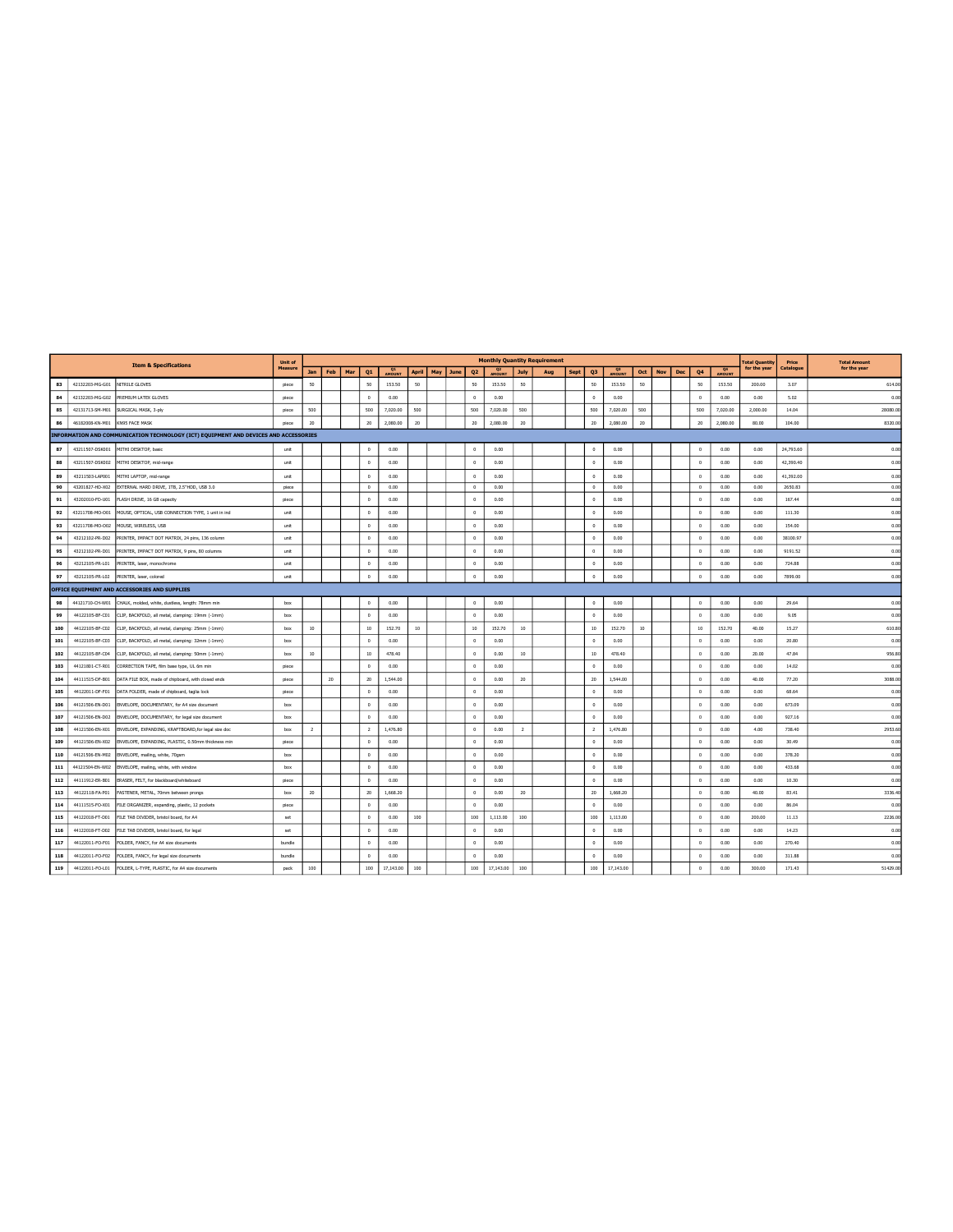|     |                 | <b>Item &amp; Specifications</b>                                                     | Unit of        |                 |        |     |                |               |              |     |      |                |                                 |                | <b>Monthly Quantity Requirement</b> |      |                |                     |     |            |     |                      |          | <b>Total Quantity</b> | Price     | <b>Total Amount</b> |
|-----|-----------------|--------------------------------------------------------------------------------------|----------------|-----------------|--------|-----|----------------|---------------|--------------|-----|------|----------------|---------------------------------|----------------|-------------------------------------|------|----------------|---------------------|-----|------------|-----|----------------------|----------|-----------------------|-----------|---------------------|
|     |                 |                                                                                      | <b>Measure</b> | Jan             | Feb    | Mar | Q1             | <b>AMOUNT</b> | <b>April</b> | May | June | Q <sub>2</sub> | Q <sub>2</sub><br><b>AMOUNT</b> | <b>July</b>    | Aug                                 | Sept | Q <sub>3</sub> | <b>Q3</b><br>AMOUNT | Oct | <b>Nov</b> | Dec | Q <sub>4</sub>       | 24       | for the year          | Catalogue | for the year        |
| 83  | 42132203-MG-G01 | NITRILE GLOVES                                                                       | piece          | 50              |        |     | 50             | 153.50        | 50           |     |      | 50             | 153.50                          | 50             |                                     |      | 50             | 153.50              | 50  |            |     | 50                   | 153.50   | 200.00                | 3.07      | 614.00              |
| 84  | 42132203-MG-G02 | PREMIUM LATEX GLOVES                                                                 | piece          |                 |        |     | $\Omega$       | 0.00          |              |     |      | $^{\circ}$     | 0.00                            |                |                                     |      | $\Omega$       | 0.00                |     |            |     | $\Omega$             | 0.00     | 0.00                  | 5.02      | 0.00                |
| 85  | 42131713-SM-M01 | SURGICAL MASK, 3-ply                                                                 | piece          | 500             |        |     | 500            | 7,020.00      | 500          |     |      | 500            | 7,020.00                        | 500            |                                     |      | 500            | 7,020.00            | 500 |            |     | 500                  | 7,020.00 | 2,000.00              | 14.04     | 28080.00            |
| 86  | 46182008-KN-M01 | KN95 FACE MASK                                                                       | piece          | 20              |        |     | 20             | 2,080.00      | 20           |     |      | 20             | 2,080.00                        | 20             |                                     |      | 20             | 2,080.00            | 20  |            |     | $20\,$               | 2,080.00 | 80.00                 | 104.00    | 8320.00             |
|     |                 | INFORMATION AND COMMUNICATION TECHNOLOGY (ICT) EQUIPMENT AND DEVICES AND ACCESSORIES |                |                 |        |     |                |               |              |     |      |                |                                 |                |                                     |      |                |                     |     |            |     |                      |          |                       |           |                     |
| 87  | 43211507-DSK001 | MITHI DESKTOP, basic                                                                 | unit           |                 |        |     | $\Omega$       | 0.00          |              |     |      | $\Omega$       | 0.00                            |                |                                     |      | $\circ$        | 0.00                |     |            |     | $\Omega$             | 0.00     | 0.00                  | 24,793.60 | 0.00                |
| 88  | 43211507-DSK002 | MITHI DESKTOP, mid-range                                                             | unit           |                 |        |     | $\Omega$       | 0.00          |              |     |      | $^{\circ}$     | 0.00                            |                |                                     |      | $\Omega$       | 0.00                |     |            |     | $^{\circ}$           | 0.00     | 0.00                  | 42,390.40 | 0.00                |
| 89  | 43211503-LAP001 | MITHI LAPTOP, mid-range                                                              | unit           |                 |        |     | $\Omega$       | 0.00          |              |     |      | $^{\circ}$     | 0.00                            |                |                                     |      | $\Omega$       | 0.00                |     |            |     | $\Omega$             | 0.00     | 0.00                  | 41.392.00 | 0.00                |
| 90  | 43201827-HD-X02 | EXTERNAL HARD DRIVE, 1TB, 2.5"HDD, USB 3.0                                           | piece          |                 |        |     | $\circ$        | 0.00          |              |     |      | $\circ$        | 0.00                            |                |                                     |      | $\overline{0}$ | 0.00                |     |            |     | $\Omega$             | 0.00     | 0.00                  | 2650.83   | 0.00                |
| 91  | 43202010-FD-U01 | FLASH DRIVE, 16 GB capacity                                                          | piece          |                 |        |     | $\Omega$       | 0.00          |              |     |      | $\circ$        | 0.00                            |                |                                     |      | $\,0\,$        | 0.00                |     |            |     | $\Omega$             | 0.00     | 0.00                  | 167.44    | 0.00                |
| 92  | 43211708-MO-001 | MOUSE, OPTICAL, USB CONNECTION TYPE, 1 unit in ind                                   | unit           |                 |        |     | $\Omega$       | 0.00          |              |     |      | $^{\circ}$     | 0.00                            |                |                                     |      | $\Omega$       | 0.00                |     |            |     | $\Omega$             | 0.00     | 0.00                  | 111.30    | 0.00                |
| 93  | 43211708-MO-002 | MOUSE, WIRELESS, USB                                                                 | unit           |                 |        |     | $\Omega$       | 0.00          |              |     |      | $\overline{0}$ | 0.00                            |                |                                     |      | $\overline{0}$ | 0.00                |     |            |     | $\circ$              | 0.00     | 0.00                  | 154.00    | 0.00                |
| 94  | 43212102-PR-D02 | PRINTER, IMPACT DOT MATRIX, 24 pins, 136 column                                      | unit           |                 |        |     | $\Omega$       | 0.00          |              |     |      | $\circ$        | 0.00                            |                |                                     |      | $\circ$        | 0.00                |     |            |     | $\Omega$             | 0.00     | 0.00                  | 38100.97  | 0.00                |
| 95  | 43212102-PR-D01 | PRINTER, IMPACT DOT MATRIX, 9 pins, 80 columns                                       | unit           |                 |        |     | $\Omega$       | 0.00          |              |     |      | $\circ$        | 0.00                            |                |                                     |      | $\Omega$       | 0.00                |     |            |     | $\Omega$             | 0.00     | 0.00                  | 9191.52   | 0.00                |
| 96  | 43212105-PR-L01 | PRINTER, laser, monochrome                                                           | unit           |                 |        |     | $\Omega$       | 0.00          |              |     |      | $\circ$        | 0.00                            |                |                                     |      | $\Omega$       | 0.00                |     |            |     | $\Omega$             | 0.00     | 0.00                  | 724.88    | 0.00                |
| 97  | 43212105-PR-L02 | PRINTER, laser, colored                                                              | unit           |                 |        |     | $\circ$        | 0.00          |              |     |      | $\circ$        | 0.00                            |                |                                     |      | $\,$ 0 $\,$    | 0.00                |     |            |     | $\Omega$             | 0.00     | 0.00                  | 7899.00   | 0.00                |
|     |                 | OFFICE EQUIPMENT AND ACCESSORIES AND SUPPLIES                                        |                |                 |        |     |                |               |              |     |      |                |                                 |                |                                     |      |                |                     |     |            |     |                      |          |                       |           |                     |
| 98  | 44121710-CH-W01 | CHALK, molded, white, dustless, length: 78mm min                                     | box            |                 |        |     | $^{\circ}$     | 0.00          |              |     |      | $^{\circ}$     | 0.00                            |                |                                     |      | $\circ$        | 0.00                |     |            |     | $^{\circ}$           | 0.00     | 0.00                  | 29.64     | 0.00                |
| 99  | 44122105-BF-C01 | CLIP, BACKFOLD, all metal, clamping: 19mm (-1mm)                                     | box            |                 |        |     | $\overline{0}$ | 0.00          |              |     |      | $^{\circ}$     | 0.00                            |                |                                     |      | $\circ$        | 0.00                |     |            |     | $\circ$              | 0.00     | 0.00                  | 9.05      | 0.00                |
| 100 | 44122105-BF-C02 | CLIP, BACKFOLD, all metal, clamping: 25mm (-1mm)                                     | hox            | 10 <sup>°</sup> |        |     | 10             | 152.70        | 10           |     |      | 10             | 152.70                          | 10             |                                     |      | 10             | 152.70              | 10  |            |     | 10                   | 152.70   | 40.00                 | 15.27     | 610.80              |
| 101 | 44122105-BF-C03 | CLIP, BACKFOLD, all metal, clamping: 32mm (-1mm)                                     | box            |                 |        |     | $\theta$       | 0.00          |              |     |      | $\circ$        | 0.00                            |                |                                     |      | $\circ$        | 0.00                |     |            |     | $\Omega$             | 0.00     | 0.00                  | 20.80     | 0.00                |
| 102 | 44122105-BF-C04 | CLIP, BACKFOLD, all metal, clamping: 50mm (-1mm)                                     | box            | 10 <sup>°</sup> |        |     | 10             | 478.40        |              |     |      | $^{\circ}$     | 0.00                            | 10             |                                     |      | 10             | 478,40              |     |            |     | $\circ$              | 0.00     | 20.00                 | 47.84     | 956.80              |
| 103 | 44121801-CT-R01 | CORRECTION TAPE, film base type, UL 6m min                                           | piece          |                 |        |     | $\Omega$       | 0.00          |              |     |      | $\overline{0}$ | 0.00                            |                |                                     |      | $\overline{0}$ | 0.00                |     |            |     | $\Omega$             | 0.00     | 0.00                  | 14.02     | 0.00                |
| 104 | 44111515-DF-B01 | DATA FILE BOX, made of chipboard, with closed ends                                   | piece          |                 | $20\,$ |     | 20             | 1,544.00      |              |     |      | $\circ$        | 0.00                            | 20             |                                     |      | 20             | 1,544.00            |     |            |     | $\Omega$             | 0.00     | 40.00                 | 77.20     | 3088.00             |
| 105 | 44122011-DF-F01 | DATA FOLDER, made of chipboard, taglia lock                                          | niece          |                 |        |     | $\Omega$       | 0.00          |              |     |      | $^{\circ}$     | 0.00                            |                |                                     |      | $\circ$        | 0.00                |     |            |     | $\circ$              | 0.00     | 0.00                  | 68.64     | 0.00                |
| 106 | 44121506-EN-D01 | ENVELOPE, DOCUMENTARY, for A4 size document                                          | box            |                 |        |     | $^{\circ}$     | 0.00          |              |     |      | $\circ$        | 0.00                            |                |                                     |      | $\overline{0}$ | 0.00                |     |            |     | $\circ$              | 0.00     | 0.00                  | 673.09    | 0.00                |
| 107 | 44121506-EN-D02 | ENVELOPE, DOCUMENTARY, for legal size document                                       | box            |                 |        |     | $\Omega$       | 0.00          |              |     |      | $^{\circ}$     | 0.00                            |                |                                     |      | $\overline{0}$ | 0.00                |     |            |     | $\circ$              | 0.00     | 0.00                  | 927.16    | 0.00                |
| 108 | 44121506-EN-X01 | ENVELOPE, EXPANDING, KRAFTBOARD, for legal size doc                                  | hox            | $\overline{2}$  |        |     | $\overline{z}$ | 1.476.80      |              |     |      | $^{\circ}$     | 0.00                            | $\overline{2}$ |                                     |      | $\overline{2}$ | 1.476.80            |     |            |     | $\circ$              | 0.00     | 4.00                  | 738.40    | 2953.60             |
| 109 | 44121506-EN-X02 | ENVELOPE, EXPANDING, PLASTIC, 0.50mm thickness min                                   | piece          |                 |        |     | $^{\circ}$     | 0.00          |              |     |      | $\circ$        | 0.00                            |                |                                     |      | $\overline{0}$ | 0.00                |     |            |     | $\circ$              | 0.00     | 0.00                  | 30.49     | 0.00                |
| 110 | 44121506-EN-M02 | ENVELOPE, mailing, white, 70gsm                                                      | box            |                 |        |     | $\theta$       | 0.00          |              |     |      | $\circ$        | 0.00                            |                |                                     |      | $\circ$        | 0.00                |     |            |     | $\circ$              | 0.00     | 0.00                  | 378.20    | 0.00                |
| 111 | 44121504-EN-W02 | ENVELOPE, mailing, white, with window                                                | hox            |                 |        |     | $\Omega$       | 0.00          |              |     |      | $^{\circ}$     | 0.00                            |                |                                     |      | $\Omega$       | 0.00                |     |            |     | $^{\circ}$           | 0.00     | 0.00                  | 433.68    | 0.00                |
| 112 | 44111912-ER-B01 | ERASER, FELT, for blackboard/whiteboard                                              | piece          |                 |        |     | $\Omega$       | 0.00          |              |     |      | $\circ$        | 0.00                            |                |                                     |      | $\circ$        | 0.00                |     |            |     | $\Omega$             | 0.00     | 0.00                  | 10.30     | 0.00                |
| 113 | 44122118-FA-P01 | FASTENER, METAL, 70mm between prongs                                                 | box            | 20              |        |     | 20             | 1,668.20      |              |     |      | $\circ$        | 0.00                            | 20             |                                     |      | 20             | 1,668.20            |     |            |     | $\,0\,$              | 0.00     | 40.00                 | 83.41     | 3336.40             |
| 114 | 44111515-FO-X01 | FILE ORGANIZER, expanding, plastic, 12 pockets                                       | piece          |                 |        |     | $\Omega$       | 0.00          |              |     |      | $\circ$        | 0.00                            |                |                                     |      | $\Omega$       | 0.00                |     |            |     | $\Omega$             | 0.00     | 0.00                  | 86.04     | 0.00                |
| 115 | 44122018-FT-D01 | FILE TAB DIVIDER, bristol board, for A4                                              | set            |                 |        |     | $\Omega$       | 0.00          | 100          |     |      | 100            | 1,113.00                        | 100            |                                     |      | 100            | 1,113.00            |     |            |     | $\Omega$             | 0.00     | 200.00                | 11.13     | 2226.00             |
| 116 | 44122018-FT-D02 | FILE TAB DIVIDER, bristol board, for legal                                           | set            |                 |        |     | $\theta$       | 0.00          |              |     |      | $^{\circ}$     | 0.00                            |                |                                     |      | $\overline{0}$ | 0.00                |     |            |     | $^{\circ}$           | 0.00     | 0.00                  | 14.23     | 0.00                |
| 117 | 44122011-FO-F01 | FOLDER, FANCY, for A4 size documents                                                 | bundle         |                 |        |     | $\Omega$       | 0.00          |              |     |      | $\,$ 0 $\,$    | 0.00                            |                |                                     |      | $\circ$        | 0.00                |     |            |     | $\Omega$             | 0.00     | 0.00                  | 270.40    | 0.00                |
| 118 | 44122011-FO-F02 | FOLDER, FANCY, for legal size documents                                              | bundle         |                 |        |     | $\Omega$       | 0.00          |              |     |      | $\theta$       | 0.00                            |                |                                     |      | $\Omega$       | 0.00                |     |            |     | $\Omega$             | 0.00     | 0.00                  | 311.88    | 0.00                |
| 119 | 44122011-FO-L01 | FOLDER, L-TYPE, PLASTIC, for A4 size documents                                       | pack           | 100             |        |     | 100            | 17,143.00     | 100          |     |      | 100            | 17,143.00                       | 100            |                                     |      | 100            | 17.143.00           |     |            |     | $\ddot{\phantom{0}}$ | 0.00     | 300.00                | 171.43    | 51429.00            |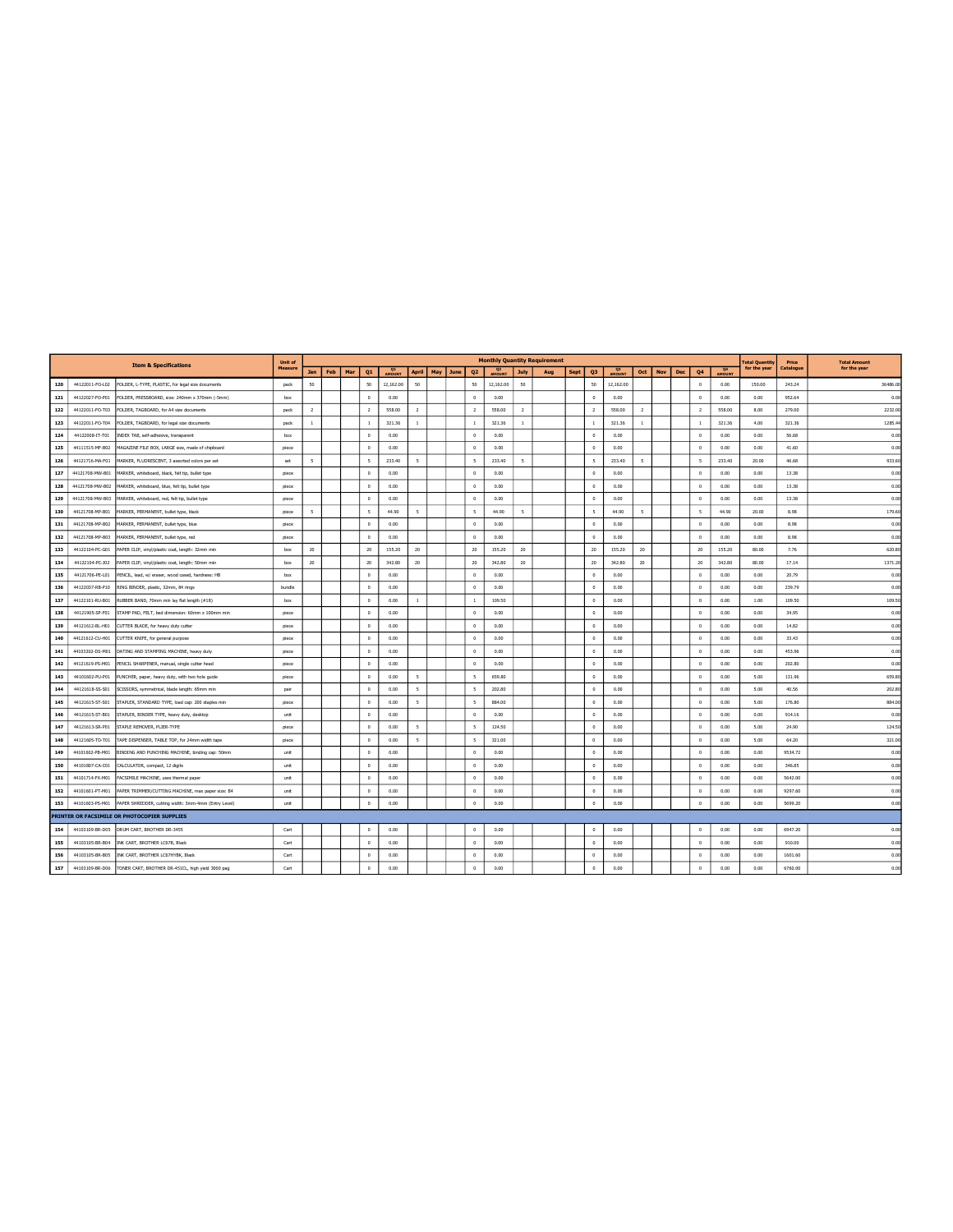|     |                 |                                                                   | Unit of |                |     |     |                          |                     |                          |     |      |                          |                |                | <b>Monthly Quantity Requirement</b> |             |                          |              |                |            |            |                          |                     | <b>Total Quantity</b> | Price    | <b>Total Amount</b> |
|-----|-----------------|-------------------------------------------------------------------|---------|----------------|-----|-----|--------------------------|---------------------|--------------------------|-----|------|--------------------------|----------------|----------------|-------------------------------------|-------------|--------------------------|--------------|----------------|------------|------------|--------------------------|---------------------|-----------------------|----------|---------------------|
|     |                 | <b>Item &amp; Specifications</b>                                  | Measure | <b>Jan</b>     | Feb | Mar | Q <sub>1</sub>           | <b>Q1</b><br>AMOUNT | <b>April</b>             | May | June | 02                       | Q <sub>2</sub> | <b>July</b>    | Aug                                 | <b>Sept</b> | Q <sub>3</sub>           | Q3<br>AMOUNT | Oct            | <b>Nov</b> | <b>Dec</b> | Q <sub>4</sub>           | <b>Q4</b><br>AMOUNT | for the year          | Catalogu | for the year        |
| 120 | 44122011-FO-L02 | FOLDER, L-TYPE, PLASTIC, for legal size documents                 | pack    | 50             |     |     | 50                       | 12,162.00           | 50                       |     |      | 50                       | 12,162.00      | 50             |                                     |             | 50                       | 12,162.00    |                |            |            | $\,0\,$                  | 0.00                | 150.00                | 243.24   | 36486.00            |
| 121 | 44122027-FO-P01 | FOLDER, PRESSBOARD, size: 240mm x 370mm (-5mm)                    | box     |                |     |     | $\Omega$                 | 0.00                |                          |     |      | $^{\circ}$               | 0.00           |                |                                     |             | $\overline{0}$           | 0.00         |                |            |            | $\,0\,$                  | 0.00                | 0.00                  | 952.64   | 0.00                |
| 122 | 44122011-FO-T03 | FOLDER, TAGBOARD, for A4 size documents                           | pack    | $\overline{2}$ |     |     | $\overline{2}$           | 558.00              | $\overline{2}$           |     |      | $\overline{2}$           | 558.00         | $\overline{2}$ |                                     |             | $\overline{2}$           | 558.00       | $\overline{2}$ |            |            | $\overline{2}$           | 558.00              | 8.00                  | 279.00   | 2232.0              |
| 123 | 44122011-FO-T04 | FOLDER, TAGBOARD, for legal size documents                        | nack    | $\mathbf{1}$   |     |     | $\overline{1}$           | 321.36              | $\overline{1}$           |     |      | $\mathbf{1}$             | 321.36         | $\mathbf{1}$   |                                     |             | $\mathbf{1}$             | 321.36       | $\mathbf{1}$   |            |            | $\mathbf{1}$             | 321.36              | 4.00                  | 321.36   | 1285.4              |
| 124 | 44122008-IT-T01 | INDEX TAB, self-adhesive, transparent                             | box     |                |     |     | $\Omega$                 | 0.00                |                          |     |      | $^{\circ}$               | 0.00           |                |                                     |             | $\,0\,$                  | 0.00         |                |            |            | $\,0\,$                  | 0.00                | 0.00                  | 56.68    | 0.00                |
| 125 | 44111515-MF-B02 | MAGAZINE FILE BOX, LARGE size, made of chipboard                  | piece   |                |     |     | $^{\circ}$               | 0.00                |                          |     |      | $^{\circ}$               | 0.00           |                |                                     |             | $\circ$                  | 0.00         |                |            |            | $\circ$                  | 0.00                | 0.00                  | 41.60    | 0.00                |
| 126 | 44121716-MA-F01 | MARKER, FLUORESCENT, 3 assorted colors per set                    | set     | $\mathsf{s}$   |     |     | $\overline{\phantom{a}}$ | 233.40              | $\overline{\mathbf{S}}$  |     |      | $\overline{\phantom{a}}$ | 233.40         | 5              |                                     |             | $\overline{\phantom{a}}$ | 233,40       | 5              |            |            | $\overline{\phantom{a}}$ | 233.40              | 20.00                 | 46.68    | 933.60              |
| 127 | 44121708-MW-B01 | MARKER, whiteboard, black, felt tip, bullet type                  | niece   |                |     |     | $\Omega$                 | 0.00                |                          |     |      | $^{\circ}$               | 0.00           |                |                                     |             | $\overline{0}$           | 0.00         |                |            |            | $\circ$                  | 0.00                | 0.00                  | 13.38    | 0.00                |
| 128 |                 | 44121708-MW-B02 MARKER, whiteboard, blue, felt tip, bullet type   | piece   |                |     |     | $\Omega$                 | 0.00                |                          |     |      | $\Omega$                 | 0.00           |                |                                     |             | $\mathbf{0}$             | 0.00         |                |            |            | $\Omega$                 | 0.00                | 0.00                  | 13.38    | 0.00                |
| 129 | 44121708-MW-B03 | MARKER, whiteboard, red, felt tip, bullet type                    | piece   |                |     |     | $^{\circ}$               | 0.00                |                          |     |      | $\theta$                 | 0.00           |                |                                     |             | $\overline{0}$           | 0.00         |                |            |            | $\circ$                  | 0.00                | 0.00                  | 13.38    | 0.00                |
| 130 | 44121708-MP-B01 | MARKER, PERMANENT, bullet type, black                             | piece   | 5              |     |     | 5                        | 44.90               | $\mathsf{s}$             |     |      | $\mathsf{s}$             | 44.90          | 5              |                                     |             | $\overline{\phantom{a}}$ | 44.90        | 5              |            |            | 5                        | 44.90               | 20.00                 | 8.98     | 179.60              |
| 131 | 44121708-MP-B02 | MARKER, PERMANENT, bullet type, blue                              | piece   |                |     |     | $^{\circ}$               | 0.00                |                          |     |      | $^{\circ}$               | 0.00           |                |                                     |             | $\circ$                  | 0.00         |                |            |            | $\circ$                  | 0.00                | 0.00                  | 8.98     | 0.00                |
| 132 | 44121708-MP-B03 | MARKER, PERMANENT, bullet type, red                               | piece   |                |     |     | $\Omega$                 | 0.00                |                          |     |      | $\Omega$                 | 0.00           |                |                                     |             | $\Omega$                 | 0.00         |                |            |            | $\circ$                  | 0.00                | 0.00                  | 8.98     | 0.00                |
| 133 | 44122104-PC-G01 | PAPER CLIP, vinyl/plastic coat, length: 32mm min                  | box     | 20             |     |     | 20                       | 155.20              | 20                       |     |      | 20                       | 155.20         | 20             |                                     |             | 20                       | 155.20       | 20             |            |            | 20                       | 155.20              | 80.00                 | 7.76     | 620.80              |
| 134 | 44122104-PC-J02 | PAPER CLIP, vinyl/plastic coat, length: 50mm min                  | box     | 20             |     |     | 20                       | 342.80              | 20                       |     |      | 20                       | 342.80         | 20             |                                     |             | 20                       | 342.80       | 20             |            |            | 20                       | 342.80              | 80.00                 | 17.14    | 1371.2              |
| 135 | 44121706-PE-L01 | PENCIL, lead, w/ eraser, wood cased, hardness: HB                 | box     |                |     |     | $\Omega$                 | 0.00                |                          |     |      | $^{\circ}$               | 0.00           |                |                                     |             | $\circ$                  | 0.00         |                |            |            | $\circ$                  | 0.00                | 0.00                  | 20.79    | 0.00                |
| 136 | 44122037-RB-P10 | RING BINDER, plastic, 32mm, 84 rings                              | bundle  |                |     |     | $\Omega$                 | 0.00                |                          |     |      | $\Omega$                 | 0.00           |                |                                     |             | $\overline{0}$           | 0.00         |                |            |            | $\circ$                  | 0.00                | 0.00                  | 239.79   | 0.00                |
| 137 | 44122101-RU-B01 | RUBBER BAND, 70mm min lay flat length (#18)                       | box     |                |     |     | $\theta$                 | 0.00                | $\overline{1}$           |     |      | $1\,$                    | 109.50         |                |                                     |             | $\overline{0}$           | 0.00         |                |            |            | $\,0\,$                  | 0.00                | 1.00                  | 109.50   | 109.50              |
| 138 | 44121905-SP-F01 | STAMP PAD, FELT, bed dimension: 60mm x 100mm min                  | piece   |                |     |     | $\,0\,$                  | 0.00                |                          |     |      | $\circ$                  | 0.00           |                |                                     |             | $\mathbf{0}$             | 0.00         |                |            |            | $\,0\,$                  | 0.00                | 0.00                  | 34.95    | 0.00                |
| 139 | 44121612-BL-H01 | CUTTER BLADE, for heavy duty cutter                               | piece   |                |     |     | $\,0\,$                  | 0.00                |                          |     |      | $\,$ 0 $\,$              | 0.00           |                |                                     |             | $\,0\,$                  | 0.00         |                |            |            | $\,0\,$                  | 0.00                | 0.00                  | 14.82    | 0.00                |
| 140 | 44121612-CU-H01 | CUTTER KNIFE, for general purpose                                 | piece   |                |     |     | $\Omega$                 | 0.00                |                          |     |      | $\Omega$                 | 0.00           |                |                                     |             | $\overline{0}$           | 0.00         |                |            |            | $^{\circ}$               | 0.00                | 0.00                  | 33.43    | 0.00                |
| 141 | 44103202-DS-M01 | DATING AND STAMPING MACHINE, heavy duty                           | piece   |                |     |     | $\circ$                  | 0.00                |                          |     |      | $\theta$                 | 0.00           |                |                                     |             | $\circ$                  | 0.00         |                |            |            | $\circ$                  | 0.00                | 0.00                  | 453.96   | 0.00                |
| 142 | 44121619-PS-M01 | PENCIL SHARPENER, manual, single cutter head                      | piece   |                |     |     | $\circ$                  | 0.00                |                          |     |      | $\theta$                 | 0.00           |                |                                     |             | $\overline{0}$           | 0.00         |                |            |            | $\circ$                  | 0.00                | 0.00                  | 202.80   | 0.00                |
| 143 | 44101602-PU-P01 | PUNCHER, paper, heavy duty, with two hole guide                   | piece   |                |     |     | $\Omega$                 | 0.00                | $\mathsf{s}$             |     |      | $\overline{\phantom{a}}$ | 659.80         |                |                                     |             | $\mathbf{0}$             | 0.00         |                |            |            | $\,0\,$                  | 0.00                | 5.00                  | 131.96   | 659.80              |
| 144 | 44121618-SS-S01 | SCISSORS, symmetrical, blade length: 65mm min                     | pair    |                |     |     | $^{\circ}$               | 0.00                | $\mathbf{r}$             |     |      | $\mathbf{r}$             | 202.80         |                |                                     |             | $\circ$                  | 0.00         |                |            |            | $^{\circ}$               | 0.00                | 5.00                  | 40.56    | 202.80              |
| 145 | 44121615-ST-S01 | STAPLER, STANDARD TYPE, load cap: 200 staples min                 | piece   |                |     |     | $\Omega$                 | 0.00                | $\overline{\phantom{a}}$ |     |      | 5                        | 884.00         |                |                                     |             | $\circ$                  | 0.00         |                |            |            | $\circ$                  | 0.00                | 5.00                  | 176.80   | 884.0               |
| 146 | 44121615-ST-B01 | STAPLER, BINDER TYPE, heavy duty, desktop                         | unit    |                |     |     | $\circ$                  | 0.00                |                          |     |      | $\theta$                 | 0.00           |                |                                     |             | $\mathbf{0}$             | 0.00         |                |            |            | $\circ$                  | 0.00                | 0.00                  | 914.16   | 0.00                |
| 147 | 44121613-SR-P01 | STAPLE REMOVER, PLIER-TYPE                                        | piece   |                |     |     | $\theta$                 | 0.00                | $\overline{\phantom{a}}$ |     |      | $\overline{\phantom{a}}$ | 124.50         |                |                                     |             | $\,0\,$                  | 0.00         |                |            |            | $\,0\,$                  | 0.00                | 5.00                  | 24.90    | 124.50              |
| 148 | 44121605-TD-T01 | TAPE DISPENSER, TABLE TOP, for 24mm width tape                    | piece   |                |     |     | $\Omega$                 | 0.00                | $\tilde{\mathbf{x}}$     |     |      | $\mathbf{r}$             | 321.00         |                |                                     |             | $\Omega$                 | 0.00         |                |            |            | $\circ$                  | 0.00                | 5.00                  | 64.20    | 321.00              |
| 149 | 44101602-PB-M01 | BINDING AND PUNCHING MACHINE, binding cap: 50mm                   | unit    |                |     |     | $^{\circ}$               | 0.00                |                          |     |      | $^{\circ}$               | 0.00           |                |                                     |             | $\mathbf{0}$             | 0.00         |                |            |            | $\circ$                  | 0.00                | 0.00                  | 9534.72  | 0.00                |
| 150 | 44101807-CA-C01 | CALCULATOR, compact, 12 digits                                    | unit    |                |     |     | $\Omega$                 | 0.00                |                          |     |      | $\Omega$                 | 0.00           |                |                                     |             | $\theta$                 | 0.00         |                |            |            | $\circ$                  | 0.00                | 0.00                  | 346.85   | 0.00                |
| 151 | 44101714-FX-M01 | FACSIMILE MACHINE, uses thermal paper                             | unit    |                |     |     | $\Omega$                 | 0.00                |                          |     |      | $\Omega$                 | 0.00           |                |                                     |             | $\overline{0}$           | 0.00         |                |            |            | $\,0\,$                  | 0.00                | 0.00                  | 5642.00  | 0.00                |
| 152 | 44101601-PT-M01 | PAPER TRIMMER/CUTTING MACHINE, max paper size: B4                 | unit    |                |     |     | $\Omega$                 | 0.00                |                          |     |      | $\Omega$                 | 0.00           |                |                                     |             | $\Omega$                 | 0.00         |                |            |            | $\Omega$                 | 0.00                | 0.00                  | 9297.60  | 0.00                |
| 153 | 44101603-PS-M01 | PAPER SHREDDER, cutting width: 3mm-4mm (Entry Level)              | unit    |                |     |     | $\theta$                 | 0.00                |                          |     |      | $^{\circ}$               | 0.00           |                |                                     |             | $\theta$                 | 0.00         |                |            |            | $\circ$                  | 0.00                | 0.00                  | 5699.20  | 0.00                |
|     |                 | PRINTER OR FACSIMILE OR PHOTOCOPIER SUPPLIES                      |         |                |     |     |                          |                     |                          |     |      |                          |                |                |                                     |             |                          |              |                |            |            |                          |                     |                       |          |                     |
| 154 | 44103109-BR-D05 | DRUM CART, BROTHER DR-3455                                        | Cart    |                |     |     | $\theta$                 | 0.00                |                          |     |      | $^{\circ}$               | 0.00           |                |                                     |             | $\overline{0}$           | 0.00         |                |            |            | $\circ$                  | 0.00                | 0.00                  | 6947.20  | 0.00                |
| 155 | 44103105-BR-B04 | INK CART, BROTHER LC67B, Black                                    | Cart    |                |     |     | $\Omega$                 | 0.00                |                          |     |      | $\Omega$                 | 0.00           |                |                                     |             | $\theta$                 | 0.00         |                |            |            | $\,0\,$                  | 0.00                | 0.00                  | 910.00   | 0.00                |
| 156 | 44103105-BR-B05 | INK CART, BROTHER LC67HYBK, Black                                 | Cart    |                |     |     | $\Omega$                 | 0.00                |                          |     |      | $^{\circ}$               | 0.00           |                |                                     |             | $\,0\,$                  | 0.00         |                |            |            | $\Omega$                 | 0.00                | 0.00                  | 1601.60  | 0.00                |
| 157 |                 | 44103109-BR-D06 TONER CART, BROTHER DR-451CL, high yield 3000 pag | Cart    |                |     |     | $\Omega$                 | 0.00                |                          |     |      | $\Omega$                 | 0.00           |                |                                     |             | $\theta$                 | 0.00         |                |            |            | $\Omega$                 | 0.00                | 0.00                  | 6760.00  | 0.00                |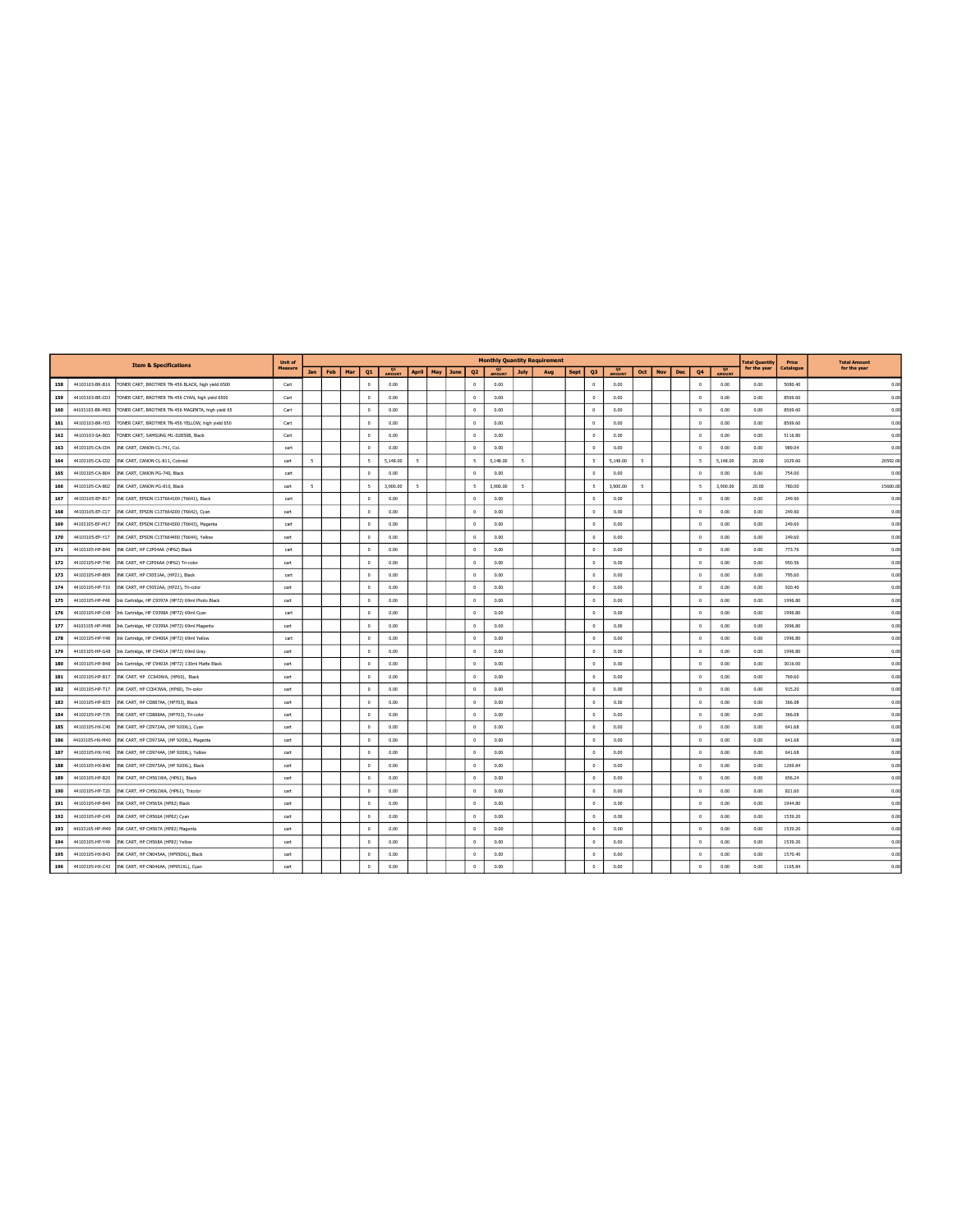|     |                 | <b>Item &amp; Specifications</b>                  | Unit of |                          |     |     |                          |                     |                          |     |      |                          |               |                          | <b>Monthly Quantity Requirement</b> |      |                          |                     |                          |            |     |                |                     | <b>Total Quantity</b> | Price     | <b>Total Amount</b> |
|-----|-----------------|---------------------------------------------------|---------|--------------------------|-----|-----|--------------------------|---------------------|--------------------------|-----|------|--------------------------|---------------|--------------------------|-------------------------------------|------|--------------------------|---------------------|--------------------------|------------|-----|----------------|---------------------|-----------------------|-----------|---------------------|
|     |                 |                                                   | Measure | Jan                      | Feb | Mar | Q1                       | Q1<br><b>AMOUNT</b> | <b>April</b>             | May | June | Q <sub>2</sub>           | <b>AMOUNT</b> | July                     | Aug                                 | Sept | Q <sub>3</sub>           | Q3<br><b>AMOUNT</b> | Oct                      | <b>Nov</b> | Dec | Q4             | $\frac{Q4}{4MOHNT}$ | for the year          | Catalogue | for the year        |
| 158 | 44103103-BR-B16 | TONER CART, BROTHER TN-456 BLACK, high yield 6500 | Cart    |                          |     |     | $\Omega$                 | 0.00                |                          |     |      | $^{\circ}$               | 0.00          |                          |                                     |      | $\Omega$                 | 0.00                |                          |            |     | $^{\circ}$     | 0.00                | 0.00                  | 5080.40   | 0.00                |
| 159 | 44103103-BR-C03 | TONER CART, BROTHER TN-456 CYAN, high yield 6500  | Cart    |                          |     |     | $^{\circ}$               | 0.00                |                          |     |      | $^{\circ}$               | 0.00          |                          |                                     |      | $\overline{0}$           | 0.00                |                          |            |     | $\Omega$       | 0.00                | 0.00                  | 8569.60   | 0.00                |
| 160 | 44103103-BR-M03 | TONER CART, BROTHER TN-456 MAGENTA, high yield 65 | Cart    |                          |     |     | $^{\circ}$               | 0.00                |                          |     |      | $^{\circ}$               | 0.00          |                          |                                     |      | $\overline{0}$           | 0.00                |                          |            |     | $\Omega$       | 0.00                | 0.00                  | 8569.60   | 0.00                |
| 161 | 44103103-BR-Y03 | TONER CART, BROTHER TN-456 YELLOW, high yield 650 | Cart    |                          |     |     | $^{\circ}$               | 0.00                |                          |     |      | $\Omega$                 | 0.00          |                          |                                     |      | $\circ$                  | 0.00                |                          |            |     | $\Omega$       | 0.00                | 0.00                  | 8569.60   | 0.00                |
| 162 | 44103103-SA-B03 | TONER CART, SAMSUNG ML-D2850B, Black              | Cart    |                          |     |     | $^{\circ}$               | 0.00                |                          |     |      | $^{\circ}$               | 0.00          |                          |                                     |      | $\overline{0}$           | 0.00                |                          |            |     | $\circ$        | 0.00                | 0.00                  | 5116.80   | 0.00                |
| 163 | 44103105-CA-C04 | INK CART, CANON CL-741, Col.                      | cart    |                          |     |     | $\Omega$                 | 0.00                |                          |     |      | $\circ$                  | 0.00          |                          |                                     |      | $\mathbf{0}$             | 0.00                |                          |            |     | $\Omega$       | 0.00                | 0.00                  | 989.04    | 0.00                |
| 164 | 44103105-CA-C02 | INK CART, CANON CL-811, Colored                   | cart    | $\sim$                   |     |     | $\overline{\phantom{a}}$ | 5.148.00            | $\overline{\mathbf{5}}$  |     |      | $\overline{\phantom{a}}$ | 5.148.00      | $\overline{\phantom{a}}$ |                                     |      | $\overline{\phantom{a}}$ | 5.148.00            | $\overline{\phantom{a}}$ |            |     | $\mathsf{s}$   | 5.148.00            | 20.00                 | 1029.60   | 20592.00            |
| 165 | 44103105-CA-B04 | INK CART, CANON PG-740, Black                     | cart    |                          |     |     | $^{\circ}$               | 0.00                |                          |     |      | $\circ$                  | 0.00          |                          |                                     |      | $\overline{0}$           | 0.00                |                          |            |     | $\Omega$       | 0.00                | 0.00                  | 754.00    | 0.00                |
| 166 | 44103105-CA-B02 | INK CART, CANON PG-810, Black                     | cart    | $\overline{\phantom{a}}$ |     |     | $\overline{\phantom{a}}$ | 3,900.00            | $\overline{\phantom{a}}$ |     |      | $\overline{\phantom{a}}$ | 3.900.00      | $\overline{\phantom{a}}$ |                                     |      | $\overline{\phantom{a}}$ | 3.900.00            | $\leq$                   |            |     | $\sim$         | 3,900.00            | 20.00                 | 780.00    | 15600.00            |
| 167 | 44103105-EP-B17 | INK CART, EPSON C13T664100 (T6641), Black         | cart    |                          |     |     | $\theta$                 | 0.00                |                          |     |      | $\Omega$                 | 0.00          |                          |                                     |      | $\mathbf{0}$             | 0.00                |                          |            |     | $\Omega$       | 0.00                | 0.00                  | 249.60    | 0.00                |
| 168 | 44103105-EP-C17 | INK CART, EPSON C13T664200 (T6642), Cyan          | cart    |                          |     |     | $\theta$                 | 0.00                |                          |     |      | $^{\circ}$               | 0.00          |                          |                                     |      | $\overline{0}$           | 0.00                |                          |            |     | $^{\circ}$     | 0.00                | 0.00                  | 249.60    | 0.00                |
| 169 | 44103105-EP-M17 | INK CART, EPSON C13T664300 (T6643), Magenta       | cart    |                          |     |     | $\Omega$                 | 0.00                |                          |     |      | $\theta$                 | 0.00          |                          |                                     |      | $\Omega$                 | 0.00                |                          |            |     | $\Omega$       | 0.00                | 0.00                  | 249.60    | 0.00                |
| 170 | 44103105-EP-Y17 | INK CART, EPSON C13T664400 (T6644), Yellow        | cart    |                          |     |     | $\,$ 0 $\,$              | 0.00                |                          |     |      | $\circ$                  | 0.00          |                          |                                     |      | $\mathbf{0}$             | 0.00                |                          |            |     | $\,$ 0 $\,$    | 0.00                | 0.00                  | 249.60    | 0.00                |
| 171 | 44103105-HP-B40 | INK CART, HP C2P04AA (HP62) Black                 | cart    |                          |     |     | $\Omega$                 | 0.00                |                          |     |      | $\theta$                 | 0.00          |                          |                                     |      | $\Omega$                 | 0.00                |                          |            |     | $\theta$       | 0.00                | 0.00                  | 773.76    | 0.00                |
| 172 | 44103105-HP-T40 | INK CART, HP C2P06AA (HP62) Tri-color             | cart    |                          |     |     | $\Omega$                 | 0.00                |                          |     |      | $\Omega$                 | 0.00          |                          |                                     |      | $\Omega$                 | 0.00                |                          |            |     | $\Omega$       | 0.00                | 0.00                  | 950.56    | 0.00                |
| 173 | 44103105-HP-B09 | INK CART, HP C9351AA, (HP21), Black               | cart    |                          |     |     | $\Omega$                 | 0.00                |                          |     |      | $^{\circ}$               | 0.00          |                          |                                     |      | $\mathbf{0}$             | 0.00                |                          |            |     | $\Omega$       | 0.00                | 0.00                  | 795.60    | 0.00                |
| 174 | 44103105-HP-T10 | INK CART, HP C9352AA, (HP22), Tri-color           | cart    |                          |     |     | $\Omega$                 | 0.00                |                          |     |      | $^{\circ}$               | 0.00          |                          |                                     |      | $\mathbf{0}$             | 0.00                |                          |            |     | $\Omega$       | 0.00                | 0.00                  | 920.40    | 0.00                |
| 175 | 44103105-HP-P48 | Ink Cartridge, HP C9397A (HP72) 69ml Photo Black  | cart    |                          |     |     | $\Omega$                 | 0.00                |                          |     |      | $\Omega$                 | 0.00          |                          |                                     |      | $\Omega$                 | 0.00                |                          |            |     | $\Omega$       | 0.00                | 0.00                  | 1996.80   | 0.00                |
| 176 | 44103105-HP-C48 | Ink Cartridge, HP C9398A (HP72) 69ml Cyan         | cart    |                          |     |     | $\circ$                  | 0.00                |                          |     |      | $^{\circ}$               | 0.00          |                          |                                     |      | $\overline{0}$           | 0.00                |                          |            |     | $\theta$       | 0.00                | 0.00                  | 1996.80   | 0.00                |
| 177 | 44103105-HP-M48 | Ink Cartridge, HP C9399A (HP72) 69ml Magenta      | cart    |                          |     |     | $\overline{0}$           | 0.00                |                          |     |      | $^{\circ}$               | 0.00          |                          |                                     |      | $\overline{0}$           | 0.00                |                          |            |     | $\Omega$       | 0.00                | 0.00                  | 1996.80   | 0.00                |
| 178 | 44103105-HP-Y48 | Ink Cartridge, HP C9400A (HP72) 69ml Yellow       | cart    |                          |     |     | $\theta$                 | 0.00                |                          |     |      | $\,$ 0 $\,$              | 0.00          |                          |                                     |      | $\,0\,$                  | 0.00                |                          |            |     | $\,$ 0 $\,$    | 0.00                | 0.00                  | 1996.80   | 0.00                |
| 179 | 44103105-HP-G48 | Ink Cartridge, HP C9401A (HP72) 69ml Gray         | cart    |                          |     |     | $^{\circ}$               | 0.00                |                          |     |      | $\,0\,$                  | 0.00          |                          |                                     |      | $\,$ 0                   | 0.00                |                          |            |     | $\Omega$       | 0.00                | 0.00                  | 1996.80   | 0.00                |
| 180 | 44103105-HP-B48 | Ink Cartridge, HP C9403A (HP72) 130ml Matte Black | cart    |                          |     |     | $\theta$                 | 0.00                |                          |     |      | $\circ$                  | 0.00          |                          |                                     |      | $\mathbf{0}$             | 0.00                |                          |            |     | $\overline{0}$ | 0.00                | 0.00                  | 3016.00   | 0.00                |
| 181 | 44103105-HP-B17 | INK CART, HP CC640WA, (HP60), Black               | cart    |                          |     |     | $\Omega$                 | 0.00                |                          |     |      | $^{\circ}$               | 0.00          |                          |                                     |      | $\overline{0}$           | 0.00                |                          |            |     | $\Omega$       | 0.00                | 0.00                  | 769.60    | 0.00                |
| 182 | 44103105-HP-T17 | INK CART, HP CC643WA, (HP60), Tri-color           | cart    |                          |     |     | $\circ$                  | 0.00                |                          |     |      | $\Omega$                 | 0.00          |                          |                                     |      | $\overline{0}$           | 0.00                |                          |            |     | $\overline{0}$ | 0.00                | 0.00                  | 915.20    | 0.00                |
| 183 | 44103105-HP-B35 | INK CART, HP CD887AA, (HP703), Black              | cart    |                          |     |     | $\Omega$                 | 0.00                |                          |     |      | $^{\circ}$               | 0.00          |                          |                                     |      | $\overline{0}$           | 0.00                |                          |            |     | $\Omega$       | 0.00                | 0.00                  | 366.08    | 0.00                |
| 184 | 44103105-HP-T35 | INK CART, HP CD888AA, (HP703), Tri-color          | cart    |                          |     |     | $^{\circ}$               | 0.00                |                          |     |      | $\theta$                 | 0.00          |                          |                                     |      | $\Omega$                 | 0.00                |                          |            |     | $\theta$       | 0.00                | 0.00                  | 366.08    | 0.00                |
| 185 | 44103105-HX-C40 | INK CART, HP CD972AA, (HP 920XL), Cyan            | cart    |                          |     |     | $^{\circ}$               | 0.00                |                          |     |      | $\theta$                 | 0.00          |                          |                                     |      | $\overline{0}$           | 0.00                |                          |            |     | $\overline{0}$ | 0.00                | 0.00                  | 641.68    | 0.00                |
| 186 | 44103105-HX-M40 | INK CART, HP CD973AA, (HP 920XL), Magenta         | cart    |                          |     |     | $\Omega$                 | 0.00                |                          |     |      | $^{\circ}$               | 0.00          |                          |                                     |      | $\Omega$                 | 0.00                |                          |            |     | $\Omega$       | 0.00                | 0.00                  | 641.68    | 0.00                |
| 187 | 44103105-HX-Y40 | INK CART, HP CD974AA, (HP 920XL), Yellow          | cart    |                          |     |     | $^{\circ}$               | 0.00                |                          |     |      | $\,0\,$                  | 0.00          |                          |                                     |      | $\,$ 0                   | 0.00                |                          |            |     | $\Omega$       | 0.00                | 0.00                  | 641.68    | 0.00                |
| 188 | 44103105-HX-B40 | INK CART, HP CD975AA, (HP 920XL), Black           | cart    |                          |     |     | $\Omega$                 | 0.00                |                          |     |      | $\Omega$                 | 0.00          |                          |                                     |      | $\Omega$                 | 0.00                |                          |            |     | $\Omega$       | 0.00                | 0.00                  | 1269.84   | 0.00                |
| 189 | 44103105-HP-B20 | INK CART, HP CH561WA, (HP61), Black               | cart    |                          |     |     | $\Omega$                 | 0.00                |                          |     |      | $\Omega$                 | 0.00          |                          |                                     |      | $\Omega$                 | 0.00                |                          |            |     | $\Omega$       | 0.00                | 0.00                  | 656.24    | 0.00                |
| 190 | 44103105-HP-T20 | INK CART, HP CH562WA, (HP61), Tricolor            | cart    |                          |     |     | $\Omega$                 | 0.00                |                          |     |      | $\theta$                 | 0.00          |                          |                                     |      | $\overline{0}$           | 0.00                |                          |            |     | $\Omega$       | 0.00                | 0.00                  | 821.60    | 0.00                |
| 191 | 44103105-HP-R49 | INK CART, HP CH565A (HP82) Black                  | cart    |                          |     |     | $\Omega$                 | 0.00                |                          |     |      | $\Omega$                 | 0.00          |                          |                                     |      | $\Omega$                 | 0.00                |                          |            |     | $\Omega$       | 0.00                | 0.00                  | 1944.80   | 0.00                |
| 192 | 44103105-HP-C49 | INK CART, HP CH566A (HP82) Cyan                   | cart    |                          |     |     | $\Omega$                 | 0.00                |                          |     |      | $^{\circ}$               | 0.00          |                          |                                     |      | $\Omega$                 | 0.00                |                          |            |     | $\Omega$       | 0.00                | 0.00                  | 1539.20   | 0.00                |
| 193 | 44103105-HP-M49 | INK CART, HP CH567A (HP82) Magenta                | cart    |                          |     |     | $^{\circ}$               | 0.00                |                          |     |      | $^{\circ}$               | 0.00          |                          |                                     |      | $\overline{0}$           | 0.00                |                          |            |     | $\theta$       | 0.00                | 0.00                  | 1539.20   | 0.00                |
| 194 | 44103105-HP-Y49 | INK CART, HP CH568A (HP82) Yellow                 | cart    |                          |     |     | $\theta$                 | 0.00                |                          |     |      | $\,0\,$                  | 0.00          |                          |                                     |      | $\mathbf{0}$             | 0.00                |                          |            |     | $\Omega$       | 0.00                | 0.00                  | 1539.20   | 0.00                |
| 195 | 44103105-HX-B43 | INK CART, HP CN045AA, (HP950XL), Black            | cart    |                          |     |     | $\theta$                 | 0.00                |                          |     |      | $\Omega$                 | 0.00          |                          |                                     |      | $\theta$                 | 0.00                |                          |            |     | $\Omega$       | 0.00                | 0.00                  | 1570.40   | 0.00                |
| 196 | 44103105-HX-C43 | INK CART, HP CN046AA, (HP951XL), Cyan             | cart    |                          |     |     | $\Omega$                 | 0.00                |                          |     |      | $\sim$                   | 0.00          |                          |                                     |      | $\circ$                  | 0.00                |                          |            |     | $\sim$         | 0.00                | 0.00                  | 1165.84   | 0.00                |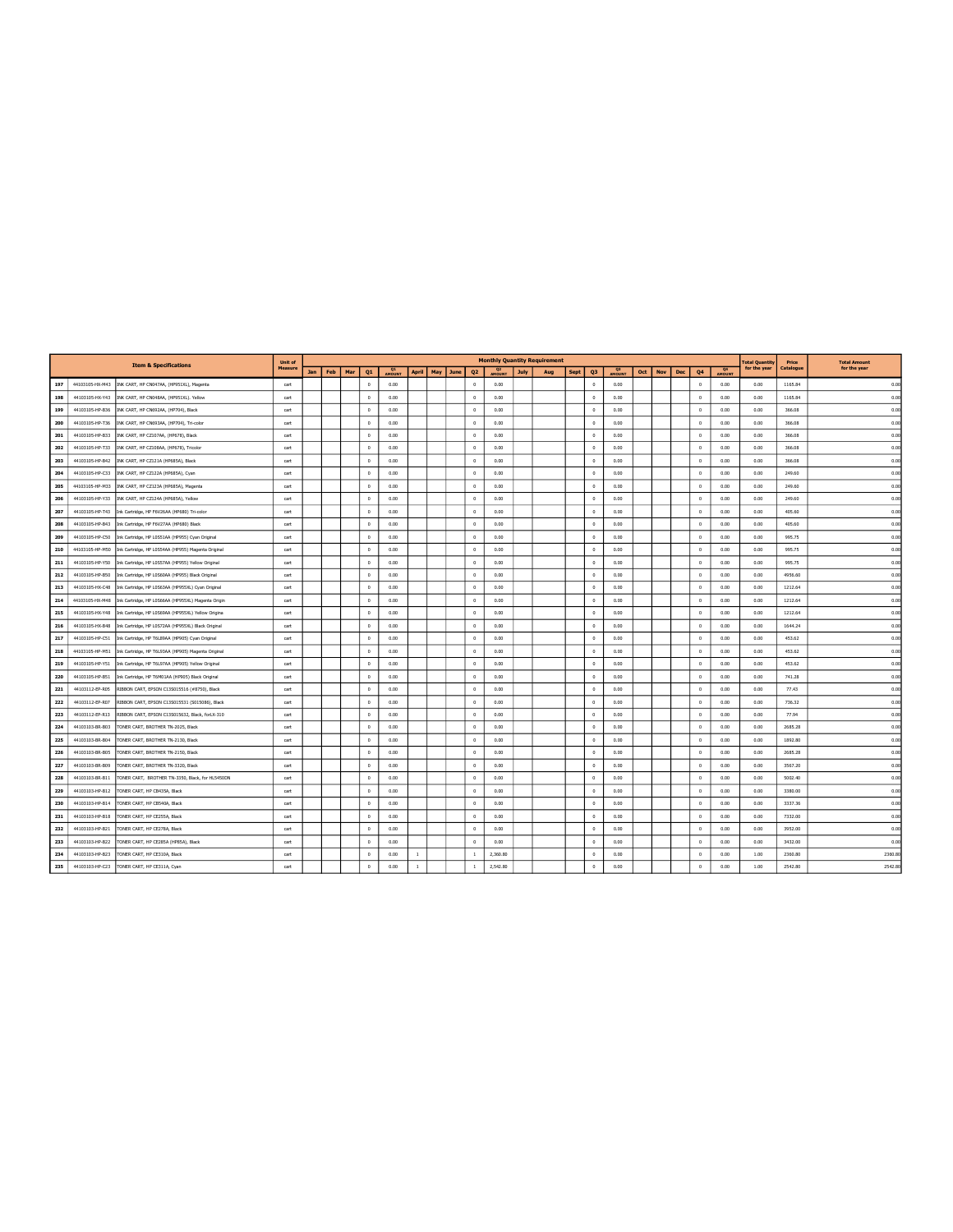|     |                 | <b>Item &amp; Specifications</b>                   | Unit of        |     |     |     |            |      |              |           |      |                |               |      | <b>Monthly Quantity Requirement</b> |      |                |                          |     |     |     |                      |                     | <b>Total Quantity</b> | Price     | <b>Total Amount</b> |
|-----|-----------------|----------------------------------------------------|----------------|-----|-----|-----|------------|------|--------------|-----------|------|----------------|---------------|------|-------------------------------------|------|----------------|--------------------------|-----|-----|-----|----------------------|---------------------|-----------------------|-----------|---------------------|
|     |                 |                                                    | <b>Measure</b> | Jan | Feb | Mar | Q1         | Q1   |              | April May | June | Q <sub>2</sub> | <b>AMOUNT</b> | July | Aug                                 | Sept | Q <sub>3</sub> | Q <sub>3</sub><br>AMOUNT | Oct | Nov | Dec | Q <sub>4</sub>       | $\frac{Q4}{4MOHNT}$ | for the year          | Catalogue | for the year        |
| 197 | 44103105-HX-M43 | INK CART, HP CN047AA, (HP951XL), Magenta           | cart           |     |     |     | $\theta$   | 0.00 |              |           |      | $^{\circ}$     | 0.00          |      |                                     |      | $\overline{0}$ | 0.00                     |     |     |     | $^{\circ}$           | 0.00                | 0.00                  | 1165.84   | 0.00                |
| 198 | 44103105-HX-Y43 | INK CART, HP CN048AA, (HP951XL). Yellow            | cart           |     |     |     | $\Omega$   | 0.00 |              |           |      | $\Omega$       | 0.00          |      |                                     |      | $\mathbf{0}$   | 0.00                     |     |     |     | $\Omega$             | 0.00                | 0.00                  | 1165.84   | 0.00                |
| 199 | 44103105-HP-B36 | INK CART, HP CN692AA, (HP704), Black               | cart           |     |     |     | $^{\circ}$ | 0.00 |              |           |      | $\Omega$       | 0.00          |      |                                     |      | $\mathbf{0}$   | 0.00                     |     |     |     | $\Omega$             | 0.00                | 0.00                  | 366.08    | 0.00                |
| 200 | 44103105-HP-T36 | INK CART, HP CN693AA, (HP704), Tri-color           | cart           |     |     |     | $^{\circ}$ | 0.00 |              |           |      | $\Omega$       | 0.00          |      |                                     |      | $\circ$        | 0.00                     |     |     |     | $\Omega$             | 0.00                | 0.00                  | 366.08    | 0.00                |
| 201 | 44103105-HP-B33 | INK CART, HP CZ107AA, (HP678), Black               | cart           |     |     |     | $\Omega$   | 0.00 |              |           |      | $\Omega$       | 0.00          |      |                                     |      | $\Omega$       | 0.00                     |     |     |     | $\Omega$             | 0.00                | 0.00                  | 366.08    | 0.00                |
| 202 | 44103105-HP-T33 | INK CART, HP CZ108AA, (HP678), Tricolor            | cart           |     |     |     | $\Omega$   | 0.00 |              |           |      | $\theta$       | 0.00          |      |                                     |      | $\Omega$       | 0.00                     |     |     |     | $\Omega$             | 0.00                | 0.00                  | 366.08    | 0.00                |
| 203 | 44103105-HP-B42 | INK CART, HP CZ121A (HP685A), Black                | cart           |     |     |     | $\theta$   | 0.00 |              |           |      | $\,$ 0 $\,$    | 0.00          |      |                                     |      | $\,0\,$        | 0.00                     |     |     |     | $\ddot{\phantom{0}}$ | 0.00                | 0.00                  | 366.08    | 0.00                |
| 204 | 44103105-HP-C33 | INK CART, HP CZ122A (HP685A), Cyan                 | cart           |     |     |     | $^{\circ}$ | 0.00 |              |           |      | $\,0\,$        | 0.00          |      |                                     |      | $\overline{0}$ | 0.00                     |     |     |     | $\Omega$             | 0.00                | 0.00                  | 249.60    | 0.00                |
| 205 | 44103105-HP-M33 | INK CART, HP CZ123A (HP685A), Magenta              | cart           |     |     |     | $\Omega$   | 0.00 |              |           |      | $^{\circ}$     | 0.00          |      |                                     |      | $\circ$        | 0.00                     |     |     |     | $\Omega$             | 0.00                | 0.00                  | 249.60    | 0.00                |
| 206 | 44103105-HP-Y33 | INK CART, HP CZ124A (HP685A), Yellow               | cart           |     |     |     | $\Omega$   | 0.00 |              |           |      | $\Omega$       | 0.00          |      |                                     |      | $\mathbf{0}$   | 0.00                     |     |     |     | $\Omega$             | 0.00                | 0.00                  | 249.60    | 0.00                |
| 207 | 44103105-HP-T43 | Ink Cartridge, HP F6V26AA (HP680) Tri-color        | cart           |     |     |     | $\theta$   | 0.00 |              |           |      | $^{\circ}$     | 0.00          |      |                                     |      | $\overline{0}$ | 0.00                     |     |     |     | $^{\circ}$           | 0.00                | 0.00                  | 405.60    | 0.00                |
| 208 | 44103105-HP-B43 | Ink Cartridge, HP F6V27AA (HP680) Black            | cart           |     |     |     | $\circ$    | 0.00 |              |           |      | $^{\circ}$     | 0.00          |      |                                     |      | $\overline{0}$ | 0.00                     |     |     |     | $\Omega$             | 0.00                | 0.00                  | 405.60    | 0.00                |
| 209 | 44103105-HP-C50 | Ink Cartridge, HP LOSS1AA (HP955) Cyan Original    | cart           |     |     |     | $^{\circ}$ | 0.00 |              |           |      | $\theta$       | 0.00          |      |                                     |      | $\overline{0}$ | 0.00                     |     |     |     | $\Omega$             | 0.00                | 0.00                  | 995.75    | 0.00                |
| 210 | 44103105-HP-M50 | Ink Cartridge, HP L0S54AA (HP955) Magenta Original | cart           |     |     |     | $\Omega$   | 0.00 |              |           |      | $\,$ 0 $\,$    | 0.00          |      |                                     |      | $\overline{0}$ | 0.00                     |     |     |     | $\,$ 0 $\,$          | 0.00                | 0.00                  | 995.75    | 0.00                |
| 211 | 44103105-HP-Y50 | Ink Cartridge, HP LOSS7AA (HP955) Yellow Original  | cart           |     |     |     | $\Omega$   | 0.00 |              |           |      | $^{\circ}$     | 0.00          |      |                                     |      | $\overline{0}$ | 0.00                     |     |     |     | $\Omega$             | 0.00                | 0.00                  | 995.75    | 0.00                |
| 212 | 44103105-HP-B50 | Ink Cartridge, HP LOS60AA (HP955) Black Original   | cart           |     |     |     | $\theta$   | 0.00 |              |           |      | $\overline{0}$ | 0.00          |      |                                     |      | $\mathbf{0}$   | 0.00                     |     |     |     | $^{\circ}$           | 0.00                | 0.00                  | 4956.60   | 0.00                |
| 213 | 44103105-HX-C48 | Ink Cartridge, HP L0S63AA (HP955XL) Cyan Original  | cart           |     |     |     | $\theta$   | 0.00 |              |           |      | $^{\circ}$     | 0.00          |      |                                     |      | $\circ$        | 0.00                     |     |     |     | $^{\circ}$           | 0.00                | 0.00                  | 1212.64   | 0.00                |
| 214 | 44103105-HX-M48 | Ink Cartridge, HP LOS66AA (HP955XL) Magenta Origin | cart           |     |     |     | $\theta$   | 0.00 |              |           |      | $^{\circ}$     | 0.00          |      |                                     |      | $\overline{0}$ | 0.00                     |     |     |     | $^{\circ}$           | 0.00                | 0.00                  | 1212.64   | 0.00                |
| 215 | 44103105-HX-Y48 | Ink Cartridge, HP L0S69AA (HP955XL) Yellow Origina | cart           |     |     |     | $\circ$    | 0.00 |              |           |      | $\circ$        | 0.00          |      |                                     |      | $\mathbf{0}$   | 0.00                     |     |     |     | $\circ$              | 0.00                | 0.00                  | 1212.64   | 0.00                |
| 216 | 44103105-HX-B48 | Ink Cartridge, HP LOS72AA (HP955XL) Black Original | cart           |     |     |     | $\Omega$   | 0.00 |              |           |      | $^{\circ}$     | 0.00          |      |                                     |      | $\circ$        | 0.00                     |     |     |     | $\Omega$             | 0.00                | 0.00                  | 1644.24   | 0.00                |
| 217 | 44103105-HP-C51 | Ink Cartridge, HP T6L89AA (HP905) Cyan Original    | cart           |     |     |     | $^{\circ}$ | 0.00 |              |           |      | $\circ$        | 0.00          |      |                                     |      | $\overline{0}$ | 0.00                     |     |     |     | $\Omega$             | 0.00                | 0.00                  | 453.62    | 0.00                |
| 218 | 44103105-HP-M51 | Ink Cartridge, HP T6L93AA (HP905) Magenta Original | cart           |     |     |     | $\Omega$   | 0.00 |              |           |      | $^{\circ}$     | 0.00          |      |                                     |      | $\overline{0}$ | 0.00                     |     |     |     | $\theta$             | 0.00                | 0.00                  | 453.62    | 0.00                |
| 219 | 44103105-HP-Y51 | Ink Cartridge, HP T6L97AA (HP905) Yellow Original  | cart           |     |     |     | $^{\circ}$ | 0.00 |              |           |      | $\Omega$       | 0.00          |      |                                     |      | $\circ$        | 0.00                     |     |     |     | $\Omega$             | 0.00                | 0.00                  | 453.62    | 0.00                |
| 220 | 44103105-HP-B51 | Ink Cartridge, HP T6M01AA (HP905) Black Original   | cart           |     |     |     | $^{\circ}$ | 0.00 |              |           |      | $\circ$        | 0.00          |      |                                     |      | $\overline{0}$ | 0.00                     |     |     |     | $\circ$              | 0.00                | 0.00                  | 741.28    | 0.00                |
| 221 | 44103112-EP-R05 | RIBBON CART, EPSON C13S015516 (#8750), Black       | cart           |     |     |     | $\Omega$   | 0.00 |              |           |      | $^{\circ}$     | 0.00          |      |                                     |      | $\Omega$       | 0.00                     |     |     |     | $\Omega$             | 0.00                | 0.00                  | 77.43     | 0.00                |
| 222 | 44103112-EP-R07 | RIBBON CART, EPSON C13S015531 (S015086), Black     | cart           |     |     |     | $\circ$    | 0.00 |              |           |      | $\Omega$       | 0.00          |      |                                     |      | $\mathbf{0}$   | 0.00                     |     |     |     | $\Omega$             | 0.00                | 0.00                  | 736.32    | 0.00                |
| 223 | 44103112-EP-R13 | RIBBON CART, EPSON C13S015632, Black, forLX-310    | cart           |     |     |     | $^{\circ}$ | 0.00 |              |           |      | $\theta$       | 0.00          |      |                                     |      | $\overline{0}$ | 0.00                     |     |     |     | $\ddot{\phantom{0}}$ | 0.00                | 0.00                  | 77.94     | 0.00                |
| 224 | 44103103-BR-B03 | TONER CART, BROTHER TN-2025, Black                 | cart           |     |     |     | $^{\circ}$ | 0.00 |              |           |      | $\theta$       | 0.00          |      |                                     |      | $\overline{0}$ | 0.00                     |     |     |     | $\Omega$             | 0.00                | 0.00                  | 2685.28   | 0.00                |
| 225 | 44103103-BR-B04 | TONER CART, BROTHER TN-2130, Black                 | cart           |     |     |     | $^{\circ}$ | 0.00 |              |           |      | $\,$ 0         | 0.00          |      |                                     |      | $\mathbf{0}$   | 0.00                     |     |     |     | $\circ$              | 0.00                | 0.00                  | 1892.80   | 0.00                |
| 226 | 44103103-BR-B05 | TONER CART, BROTHER TN-2150, Black                 | cart           |     |     |     | $\Omega$   | 0.00 |              |           |      | $\Omega$       | 0.00          |      |                                     |      | $\Omega$       | 0.00                     |     |     |     | $\Omega$             | 0.00                | 0.00                  | 2685.28   | 0.00                |
| 227 | 44103103-BR-B09 | TONER CART, BROTHER TN-3320, Black                 | cart           |     |     |     | $^{\circ}$ | 0.00 |              |           |      | $\Omega$       | 0.00          |      |                                     |      | $\overline{0}$ | 0.00                     |     |     |     | $\overline{0}$       | 0.00                | 0.00                  | 3567.20   | 0.00                |
| 228 | 44103103-BR-B11 | TONER CART, BROTHER TN-3350, Black, for HL5450DN   | cart           |     |     |     | $^{\circ}$ | 0.00 |              |           |      | $\theta$       | 0.00          |      |                                     |      | $\overline{0}$ | 0.00                     |     |     |     | $\circ$              | 0.00                | 0.00                  | 5002.40   | 0.00                |
| 229 | 44103103-HP-B12 | TONER CART, HP CB435A, Black                       | cart           |     |     |     | $^{\circ}$ | 0.00 |              |           |      | $\theta$       | 0.00          |      |                                     |      | $\Omega$       | 0.00                     |     |     |     | $\Omega$             | 0.00                | 0.00                  | 3380.00   | 0.00                |
| 230 | 44103103-HP-B14 | TONER CART, HP CB540A, Black                       | cart           |     |     |     | $^{\circ}$ | 0.00 |              |           |      | $^{\circ}$     | 0.00          |      |                                     |      | $\overline{0}$ | 0.00                     |     |     |     | $\overline{0}$       | 0.00                | 0.00                  | 3337.36   | 0.00                |
| 231 | 44103103-HP-B18 | TONER CART, HP CE255A, Black                       | cart           |     |     |     | $\Omega$   | 0.00 |              |           |      | $\theta$       | 0.00          |      |                                     |      | $\Omega$       | 0.00                     |     |     |     | $\Omega$             | 0.00                | 0.00                  | 7332.00   | 0.00                |
| 232 | 44103103-HP-B21 | TONER CART, HP CE278A, Black                       | cart           |     |     |     | $\Omega$   | 0.00 |              |           |      | $\Omega$       | 0.00          |      |                                     |      | $\Omega$       | 0.00                     |     |     |     | $\Omega$             | 0.00                | 0.00                  | 3952.00   | 0.00                |
| 233 | 44103103-HP-B22 | TONER CART, HP CE285A (HP85A), Black               | cart           |     |     |     | $\Omega$   | 0.00 |              |           |      | $\Omega$       | 0.00          |      |                                     |      | $\circ$        | 0.00                     |     |     |     | $\Omega$             | 0.00                | 0.00                  | 3432.00   | 0.00                |
| 234 | 44103103-HP-B23 | TONER CART, HP CE310A, Black                       | cart           |     |     |     | $^{\circ}$ | 0.00 | $\mathbf{1}$ |           |      | $\overline{1}$ | 2.360.80      |      |                                     |      | $\overline{0}$ | 0.00                     |     |     |     | $\Omega$             | 0.00                | 1.00                  | 2360.80   | 2360.80             |
| 235 | 44103103-HP-C23 | TONER CART, HP CE311A, Cyan                        | cart           |     |     |     | $^{\circ}$ | 0.00 | $\mathbf{1}$ |           |      | $\mathbf{1}$   | 2,542.80      |      |                                     |      | $\circ$        | 0.00                     |     |     |     | $\ddot{\phantom{0}}$ | 0.00                | 1.00                  | 2542.80   | 2542.80             |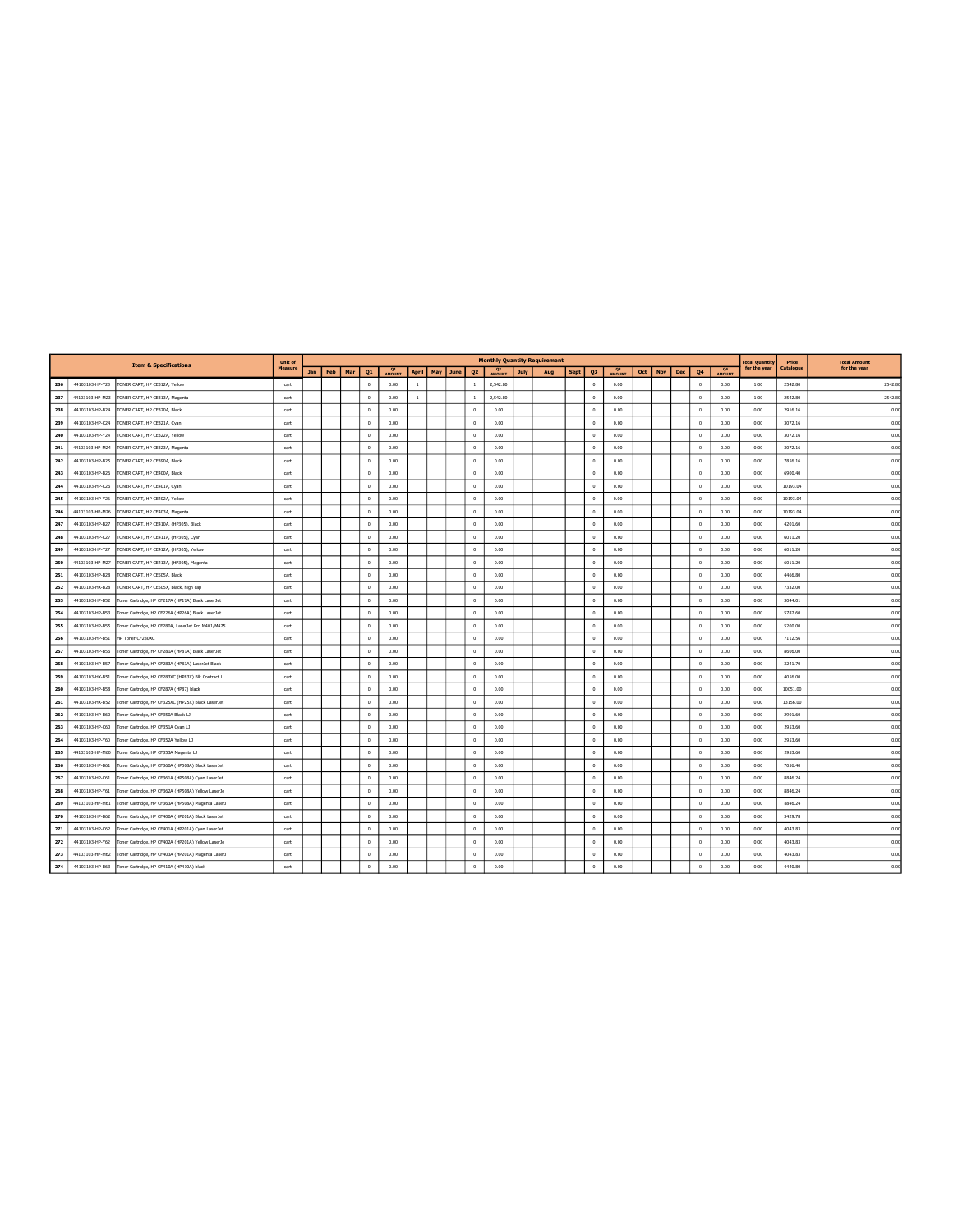|     |                 | <b>Item &amp; Specifications</b>                   | Unit of |     |     |     |              |                     |                |          |                |                                 |             | <b>Monthly Quantity Requirement</b> |      |                |               |     |     |     |                |                     | <b>Total Quantity</b> | Price     | <b>Total Amount</b> |
|-----|-----------------|----------------------------------------------------|---------|-----|-----|-----|--------------|---------------------|----------------|----------|----------------|---------------------------------|-------------|-------------------------------------|------|----------------|---------------|-----|-----|-----|----------------|---------------------|-----------------------|-----------|---------------------|
|     |                 |                                                    | Measure | Jan | Feb | Mar | Q1           | <b>Q1</b><br>AMOUNT | <b>April</b>   | May June | Q <sub>2</sub> | Q <sub>2</sub><br><b>AMOUNT</b> | <b>July</b> | Aug                                 | Sept | Q <sub>3</sub> | <b>AMOUNT</b> | Oct | Nov | Dec | Q <sub>4</sub> | $\frac{Q4}{4MOHNT}$ | for the year          | Catalogue | for the year        |
| 236 | 44103103-HP-Y23 | TONER CART, HP CE312A, Yellow                      | cart    |     |     |     | $\Omega$     | 0.00                | $\overline{1}$ |          | $\mathbf{1}$   | 2,542.80                        |             |                                     |      | $\Omega$       | 0.00          |     |     |     | $^{\circ}$     | 0.00                | 1.00                  | 2542.80   | 2542.80             |
| 237 | 44103103-HP-M23 | TONER CART, HP CE313A, Magenta                     | cart    |     |     |     | $^{\circ}$   | 0.00                | $\overline{1}$ |          | <sup>1</sup>   | 2.542.80                        |             |                                     |      | $\overline{0}$ | 0.00          |     |     |     | $\overline{0}$ | 0.00                | 1.00                  | 2542.80   | 2542.80             |
| 238 | 44103103-HP-B24 | TONER CART, HP CE320A, Black                       | cart    |     |     |     | $^{\circ}$   | 0.00                |                |          | $^{\circ}$     | 0.00                            |             |                                     |      | $\mathbf{0}$   | 0.00          |     |     |     | $\Omega$       | 0.00                | 0.00                  | 2916.16   | 0.00                |
| 239 | 44103103-HP-C24 | TONER CART, HP CE321A, Cyan                        | cart    |     |     |     | $^{\circ}$   | 0.00                |                |          | $\theta$       | 0.00                            |             |                                     |      | $\circ$        | 0.00          |     |     |     | $^{\circ}$     | 0.00                | 0.00                  | 3072.16   | 0.00                |
| 240 | 44103103-HP-Y24 | TONER CART, HP CE322A, Yellow                      | cart    |     |     |     | $^{\circ}$   | 0.00                |                |          | $^{\circ}$     | 0.00                            |             |                                     |      | $\overline{0}$ | 0.00          |     |     |     | $\overline{0}$ | 0.00                | 0.00                  | 3072.16   | 0.00                |
| 241 | 44103103-HP-M24 | TONER CART, HP CE323A, Magenta                     | cart    |     |     |     | $\,0\,$      | 0.00                |                |          | $\circ$        | 0.00                            |             |                                     |      | $\circ$        | 0.00          |     |     |     | $\Omega$       | 0.00                | 0.00                  | 3072.16   | 0.00                |
| 242 | 44103103-HP-B25 | TONER CART, HP CE390A, Black                       | cart    |     |     |     | $\Omega$     | 0.00                |                |          | $^{\circ}$     | 0.00                            |             |                                     |      | $\circ$        | 0.00          |     |     |     | $\Omega$       | 0.00                | 0.00                  | 7856.16   | 0.00                |
| 243 | 44103103-HP-B26 | TONER CART, HP CE400A, Black                       | cart    |     |     |     | $\circ$      | 0.00                |                |          | $\circ$        | 0.00                            |             |                                     |      | $\overline{0}$ | 0.00          |     |     |     | $\Omega$       | 0.00                | 0.00                  | 6900.40   | 0.00                |
| 244 | 44103103-HP-C26 | TONER CART, HP CE401A, Cyan                        | cart    |     |     |     | $\Omega$     | 0.00                |                |          | $^{\circ}$     | 0.00                            |             |                                     |      | $\overline{0}$ | 0.00          |     |     |     | $\Omega$       | 0.00                | 0.00                  | 10193.04  | 0.00                |
| 245 | 44103103-HP-Y26 | TONER CART, HP CE402A, Yellow                      | cart    |     |     |     | $\circ$      | 0.00                |                |          | $^{\circ}$     | 0.00                            |             |                                     |      | $\mathbf{0}$   | 0.00          |     |     |     | $\Omega$       | 0.00                | 0.00                  | 10193.04  | 0.00                |
| 246 | 44103103-HP-M26 | TONER CART, HP CE403A, Magenta                     | cart    |     |     |     | $^{\circ}$   | 0.00                |                |          | $^{\circ}$     | 0.00                            |             |                                     |      | $\circ$        | 0.00          |     |     |     | $\overline{0}$ | 0.00                | 0.00                  | 10193.04  | 0.00                |
| 247 | 44103103-HP-B27 | TONER CART, HP CE410A, (HP305), Black              | cart    |     |     |     | $\mathbf{0}$ | 0.00                |                |          | $\theta$       | 0.00                            |             |                                     |      | $\Omega$       | 0.00          |     |     |     | $\Omega$       | 0.00                | 0.00                  | 4201.60   | 0.00                |
| 248 | 44103103-HP-C27 | TONER CART, HP CE411A, (HP305), Cyan               | cart    |     |     |     | $\,$ 0 $\,$  | 0.00                |                |          | $\circ$        | 0.00                            |             |                                     |      | $\circ$        | 0.00          |     |     |     | $\,$ 0 $\,$    | 0.00                | 0.00                  | 6011.20   | 0.00                |
| 249 | 44103103-HP-Y27 | TONER CART, HP CE412A, (HP305), Yellow             | cart    |     |     |     | $\Omega$     | 0.00                |                |          | $\theta$       | 0.00                            |             |                                     |      | $\Omega$       | 0.00          |     |     |     | $\theta$       | 0.00                | 0.00                  | 6011.20   | 0.00                |
| 250 | 44103103-HP-M27 | TONER CART, HP CE413A, (HP305), Magenta            | cart    |     |     |     | $\Omega$     | 0.00                |                |          | $\Omega$       | 0.00                            |             |                                     |      | $\Omega$       | 0.00          |     |     |     | $\Omega$       | 0.00                | 0.00                  | 6011.20   | 0.00                |
| 251 | 44103103-HP-B28 | TONER CART, HP CE505A, Black                       | cart    |     |     |     | $\Omega$     | 0.00                |                |          | $\theta$       | 0.00                            |             |                                     |      | $\mathbf{0}$   | 0.00          |     |     |     | $\Omega$       | 0.00                | 0.00                  | 4466.80   | 0.00                |
| 252 | 44103103-HX-B28 | TONER CART, HP CE505X, Black, high cap             | cart    |     |     |     | $^{\circ}$   | 0.00                |                |          | $^{\circ}$     | 0.00                            |             |                                     |      | $\mathbf{0}$   | 0.00          |     |     |     | $\Omega$       | 0.00                | 0.00                  | 7332.00   | 0.00                |
| 253 | 44103103-HP-B52 | Toner Cartridge, HP CF217A (HP17A) Black LaserJet  | cart    |     |     |     | $\Omega$     | 0.00                |                |          | $\Omega$       | 0.00                            |             |                                     |      | $\theta$       | 0.00          |     |     |     | $\Omega$       | 0.00                | 0.00                  | 3044.01   | 0.00                |
| 254 | 44103103-HP-B53 | Toner Cartridge, HP CF226A (HP26A) Black LaserJet  | cart    |     |     |     | $^{\circ}$   | 0.00                |                |          | $^{\circ}$     | 0.00                            |             |                                     |      | $\circ$        | 0.00          |     |     |     | $\Omega$       | 0.00                | 0.00                  | 5787.60   | 0.00                |
| 255 | 44103103-HP-B55 | Toner Cartridge, HP CF280A, LaserJet Pro M401/M425 | cart    |     |     |     | $^{\circ}$   | 0.00                |                |          | $^{\circ}$     | 0.00                            |             |                                     |      | $\overline{0}$ | 0.00          |     |     |     | $\theta$       | 0.00                | 0.00                  | 5200.00   | 0.00                |
| 256 | 44103103-HP-B51 | HP Toner CF280XC                                   | cart    |     |     |     | $\theta$     | 0.00                |                |          | $\,$ 0 $\,$    | 0.00                            |             |                                     |      | $\,0\,$        | 0.00          |     |     |     | $\,$ 0 $\,$    | 0.00                | 0.00                  | 7112.56   | 0.00                |
| 257 | 44103103-HP-B56 | Toner Cartridge, HP CF281A (HP81A) Black LaserJet  | cart    |     |     |     | $^{\circ}$   | 0.00                |                |          | $\,0\,$        | 0.00                            |             |                                     |      | $\,$ 0         | 0.00          |     |     |     | $\Omega$       | 0.00                | 0.00                  | 8606.00   | 0.00                |
| 258 | 44103103-HP-B57 | Toner Cartridge, HP CF283A (HP83A) LaserJet Black  | cart    |     |     |     | $\circ$      | 0.00                |                |          | $\circ$        | 0.00                            |             |                                     |      | $\mathbf{0}$   | 0.00          |     |     |     | $\circ$        | 0.00                | 0.00                  | 3241.70   | 0.00                |
| 259 | 44103103-HX-B51 | Toner Cartridge, HP CF283XC (HP83X) Blk Contract L | cart    |     |     |     | $\Omega$     | 0.00                |                |          | $^{\circ}$     | 0.00                            |             |                                     |      | $\circ$        | 0.00          |     |     |     | $\Omega$       | 0.00                | 0.00                  | 4056.00   | 0.00                |
| 260 | 44103103-HP-B58 | Toner Cartridge, HP CF287A (HP87) black            | cart    |     |     |     | $\theta$     | 0.00                |                |          | $\Omega$       | 0.00                            |             |                                     |      | $\circ$        | 0.00          |     |     |     | $\circ$        | 0.00                | 0.00                  | 10051.00  | 0.00                |
| 261 | 44103103-HX-B52 | Toner Cartridge, HP CF325XC (HP25X) Black LaserJet | cart    |     |     |     | $\Omega$     | 0.00                |                |          | $^{\circ}$     | 0.00                            |             |                                     |      | $\circ$        | 0.00          |     |     |     | $\Omega$       | 0.00                | 0.00                  | 13156.00  | 0.00                |
| 262 | 44103103-HP-B60 | Toner Cartridge, HP CF350A Black LJ                | cart    |     |     |     | $\circ$      | 0.00                |                |          | $\theta$       | 0.00                            |             |                                     |      | $\Omega$       | 0.00          |     |     |     | $\theta$       | 0.00                | 0.00                  | 2901.60   | 0.00                |
| 263 | 44103103-HP-C60 | Toner Cartridge, HP CF351A Cyan LJ                 | cart    |     |     |     | $^{\circ}$   | 0.00                |                |          | $\theta$       | 0.00                            |             |                                     |      | $\overline{0}$ | 0.00          |     |     |     | $\overline{0}$ | 0.00                | 0.00                  | 2953.60   | 0.00                |
| 264 | 44103103-HP-Y60 | Toner Cartridge, HP CF352A Yellow LJ               | cart    |     |     |     | $\,$ 0 $\,$  | 0.00                |                |          | $^{\circ}$     | 0.00                            |             |                                     |      | $\overline{0}$ | 0.00          |     |     |     | $\Omega$       | 0.00                | 0.00                  | 2953.60   | 0.00                |
| 265 | 44103103-HP-M60 | Toner Cartridge, HP CF353A Magenta LJ              | cart    |     |     |     | $\theta$     | 0.00                |                |          | $\,0\,$        | 0.00                            |             |                                     |      | $\mathbf{0}$   | 0.00          |     |     |     | $\Omega$       | 0.00                | 0.00                  | 2953.60   | 0.00                |
| 266 | 44103103-HP-B61 | Toner Cartridge, HP CF360A (HP508A) Black LaserJet | cart    |     |     |     | $\Omega$     | 0.00                |                |          | $\Omega$       | 0.00                            |             |                                     |      | $\overline{0}$ | 0.00          |     |     |     | $\Omega$       | 0.00                | 0.00                  | 7056.40   | 0.00                |
| 267 | 44103103-HP-C61 | Toner Cartridge, HP CF361A (HP508A) Cyan LaserJet  | cart    |     |     |     | $^{\circ}$   | 0.00                |                |          | $\Omega$       | 0.00                            |             |                                     |      | $\Omega$       | 0.00          |     |     |     | $\Omega$       | 0.00                | 0.00                  | 8846.24   | 0.00                |
| 268 | 44103103-HP-Y61 | Toner Cartridge, HP CF362A (HP508A) Yellow LaserJe | cart    |     |     |     | $\Omega$     | 0.00                |                |          | $^{\circ}$     | 0.00                            |             |                                     |      | $\mathbf{0}$   | 0.00          |     |     |     | $\Omega$       | 0.00                | 0.00                  | 8846.24   | 0.00                |
| 269 | 44103103-HP-M61 | Toner Cartridge, HP CF363A (HP508A) Magenta LaserJ | cart    |     |     |     | $\Omega$     | 0.00                |                |          | $^{\circ}$     | 0.00                            |             |                                     |      | $\Omega$       | 0.00          |     |     |     | $\Omega$       | 0.00                | 0.00                  | 8846.24   | 0.00                |
| 270 | 44103103-HP-B62 | Toner Cartridge, HP CF400A (HP201A) Black LaserJet | cart    |     |     |     | $\Omega$     | 0.00                |                |          | $^{\circ}$     | 0.00                            |             |                                     |      | $\Omega$       | 0.00          |     |     |     | $\Omega$       | 0.00                | 0.00                  | 3429.78   | 0.00                |
| 271 | 44103103-HP-C62 | Toner Cartridge, HP CF401A (HP201A) Cyan LaserJet  | cart    |     |     |     | $^{\circ}$   | 0.00                |                |          | $^{\circ}$     | 0.00                            |             |                                     |      | $\overline{0}$ | 0.00          |     |     |     | $\Omega$       | 0.00                | 0.00                  | 4043.83   | 0.00                |
| 272 | 44103103-HP-Y62 | Toner Cartridge, HP CF402A (HP201A) Yellow LaserJe | cart    |     |     |     | $\mathbf{0}$ | 0.00                |                |          | $\,0\,$        | 0.00                            |             |                                     |      | $\mathbf{0}$   | 0.00          |     |     |     | $\Omega$       | 0.00                | 0.00                  | 4043.83   | 0.00                |
| 273 | 44103103-HP-M62 | Toner Cartridge, HP CF403A (HP201A) Magenta LaserJ | cart    |     |     |     | $\theta$     | 0.00                |                |          | $\theta$       | 0.00                            |             |                                     |      | $\theta$       | 0.00          |     |     |     | $\Omega$       | 0.00                | 0.00                  | 4043.83   | 0.00                |
| 274 | 44103103-HP-B63 | Toner Cartridge, HP CF410A (HP410A) black          | cart    |     |     |     | $\,0\,$      | 0.00                |                |          | $\sim$         | 0.00                            |             |                                     |      | $\circ$        | 0.00          |     |     |     | $\sim$         | 0.00                | 0.00                  | 4440.80   | 0.00                |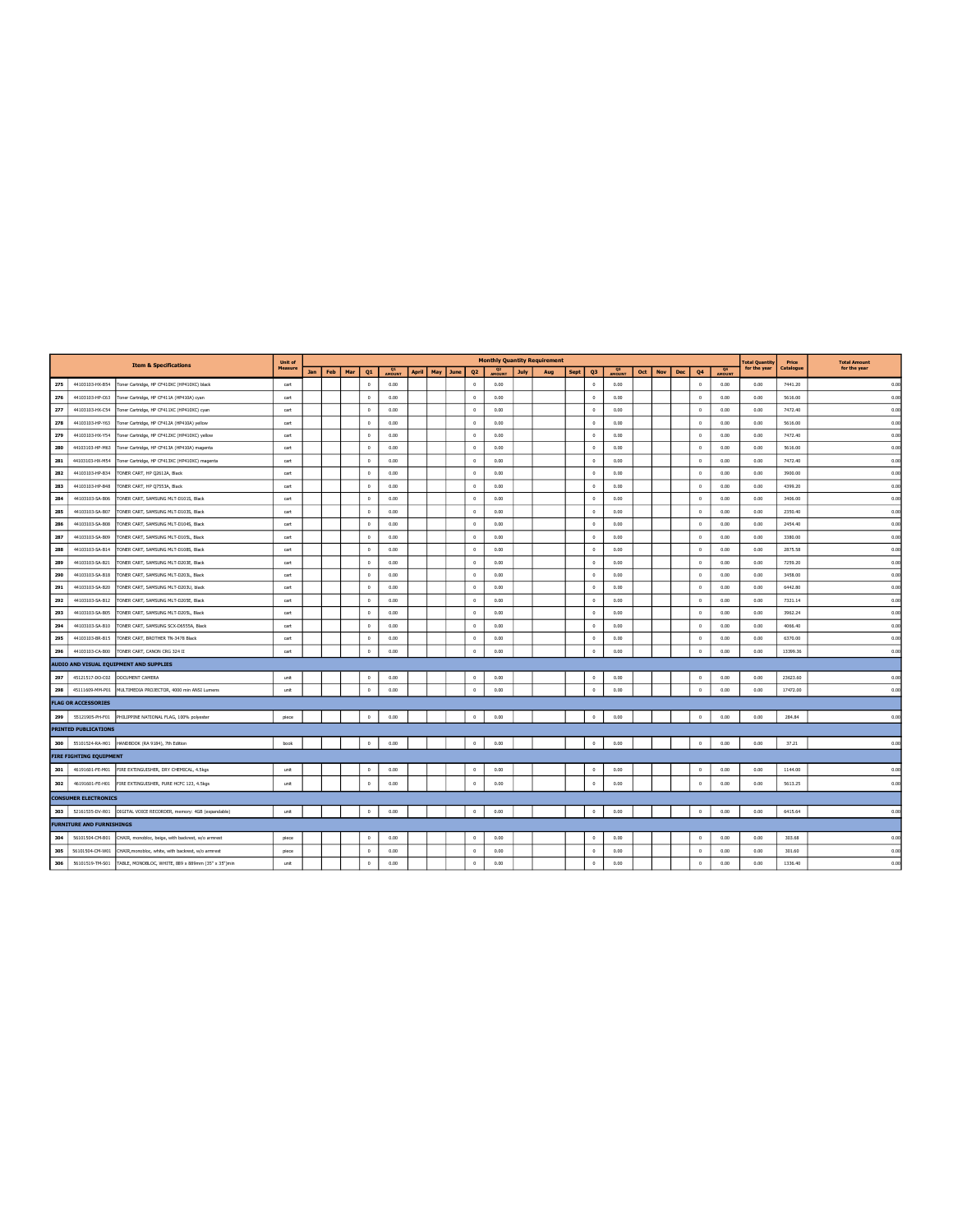|     |                                  | <b>Item &amp; Specifications</b>                                   | Unit of |     |     |     |                      |        |       |     |      |                |                          |             | <b>Monthly Quantity Requirement</b> |      |                |                             |     |     |     |                |                 | <b>Total Quantity</b> | Price     | <b>Total Amount</b> |
|-----|----------------------------------|--------------------------------------------------------------------|---------|-----|-----|-----|----------------------|--------|-------|-----|------|----------------|--------------------------|-------------|-------------------------------------|------|----------------|-----------------------------|-----|-----|-----|----------------|-----------------|-----------------------|-----------|---------------------|
|     |                                  |                                                                    | Measure | Jan | Feb | Mar | Q1                   | AMOUNT | April | May | June | Q <sub>2</sub> | O <sub>2</sub><br>AMOUNT | <b>July</b> | Aug                                 | Sept | Q3             | $^{\circ}$<br><b>AMOUNT</b> | Oct | Nov | Dec | Q4             | $R^{\text{Q4}}$ | for the year          | Catalogue | for the year        |
| 275 | 44103103-HX-B54                  | Toner Cartridge, HP CF410XC (HP410XC) black                        | cart    |     |     |     | $\theta$             | 0.00   |       |     |      | $^{\circ}$     | 0.00                     |             |                                     |      | $\theta$       | 0.00                        |     |     |     | $\circ$        | 0.00            | 0.00                  | 7441.20   | 0.00                |
| 276 | 44103103-HP-C63                  | Toner Cartridge, HP CF411A (HP410A) cyan                           | cart    |     |     |     | $\Omega$             | 0.00   |       |     |      | $^{\circ}$     | 0.00                     |             |                                     |      | $\overline{0}$ | 0.00                        |     |     |     | $\Omega$       | 0.00            | 0.00                  | 5616.00   | 0.00                |
| 277 | 44103103-HX-C54                  | Toner Cartridge, HP CF411XC (HP410XC) cyan                         | cart    |     |     |     | $^{\circ}$           | 0.00   |       |     |      | $^{\circ}$     | 0.00                     |             |                                     |      | $\circ$        | 0.00                        |     |     |     | $\circ$        | 0.00            | 0.00                  | 7472.40   | 0.00                |
| 278 | 44103103-HP-Y63                  | Toner Cartridge, HP CF412A (HP410A) yellow                         | cart    |     |     |     | $\Omega$             | 0.00   |       |     |      | $\circ$        | 0.00                     |             |                                     |      | $\overline{0}$ | 0.00                        |     |     |     | $^{\circ}$     | 0.00            | 0.00                  | 5616.00   | 0.00                |
| 279 | 44103103-HX-Y54                  | Toner Cartridge, HP CF412XC (HP410XC) yellow                       | cart    |     |     |     | $\Omega$             | 0.00   |       |     |      | $\circ$        | 0.00                     |             |                                     |      | $\circ$        | 0.00                        |     |     |     | $\circ$        | 0.00            | 0.00                  | 7472.40   | 0.00                |
| 280 | 44103103-HP-M63                  | Toner Cartridge, HP CF413A (HP410A) magenta                        | cart    |     |     |     | $^{\circ}$           | 0.00   |       |     |      | $\circ$        | 0.00                     |             |                                     |      | $\overline{0}$ | 0.00                        |     |     |     | $\circ$        | 0.00            | 0.00                  | 5616.00   | 0.00                |
| 281 | 44103103-HX-M54                  | Toner Cartridge, HP CF413XC (HP410XC) magenta                      | cart    |     |     |     | $\overline{0}$       | 0.00   |       |     |      | $^{\circ}$     | 0.00                     |             |                                     |      | $\circ$        | 0.00                        |     |     |     | $\circ$        | 0.00            | 0.00                  | 7472.40   | 0.00                |
| 282 | 44103103-HP-B34                  | TONER CART, HP Q2612A, Black                                       | cart    |     |     |     | $\sqrt{2}$           | 0.00   |       |     |      | $^{\circ}$     | 0.00                     |             |                                     |      | $\overline{0}$ | 0.00                        |     |     |     | $\overline{0}$ | 0.00            | 0.00                  | 3900.00   | 0.00                |
| 283 | 44103103-HP-B48                  | TONER CART, HP Q7553A, Black                                       | cart    |     |     |     | $\Omega$             | 0.00   |       |     |      | $\circ$        | 0.00                     |             |                                     |      | $\theta$       | 0.00                        |     |     |     | $\circ$        | 0.00            | 0.00                  | 4399.20   | 0.00                |
| 284 | 44103103-SA-B06                  | TONER CART, SAMSUNG MLT-D101S, Black                               | cart    |     |     |     | $\overline{0}$       | 0.00   |       |     |      | $\circ$        | 0.00                     |             |                                     |      | $\overline{0}$ | 0.00                        |     |     |     | $\Omega$       | 0.00            | 0.00                  | 3406.00   | 0.00                |
| 285 | 44103103-SA-B07                  | TONER CART, SAMSUNG MLT-D103S, Black                               | cart    |     |     |     | $\circ$              | 0.00   |       |     |      | $\circ$        | 0.00                     |             |                                     |      | $\circ$        | 0.00                        |     |     |     | $\circ$        | 0.00            | 0.00                  | 2350.40   | 0.00                |
| 286 | 44103103-SA-B08                  | TONER CART, SAMSUNG MLT-D104S, Black                               | cart    |     |     |     | $\theta$             | 0.00   |       |     |      | $^{\circ}$     | 0.00                     |             |                                     |      | $\overline{0}$ | 0.00                        |     |     |     | $\Omega$       | 0.00            | 0.00                  | 2454.40   | 0.00                |
| 287 | 44103103-SA-B09                  | TONER CART, SAMSUNG MLT-D105L, Black                               | cart    |     |     |     | $^{\circ}$           | 0.00   |       |     |      | $\,$ 0 $\,$    | 0.00                     |             |                                     |      | $\theta$       | 0.00                        |     |     |     | $\circ$        | 0.00            | 0.00                  | 3380.00   | 0.00                |
| 288 | 44103103-SA-B14                  | TONER CART, SAMSUNG MLT-D108S, Black                               | cart    |     |     |     | $\sqrt{2}$           | 0.00   |       |     |      | $\circ$        | 0.00                     |             |                                     |      | $\Omega$       | 0.00                        |     |     |     | $\Omega$       | 0.00            | 0.00                  | 2875.58   | 0.00                |
| 289 | 44103103-SA-B21                  | TONER CART, SAMSUNG MLT-D203E, Black                               | cart    |     |     |     | $\theta$             | 0.00   |       |     |      | $\circ$        | 0.00                     |             |                                     |      | $\overline{0}$ | 0.00                        |     |     |     | $\circ$        | 0.00            | 0.00                  | 7259.20   | 0.00                |
| 290 | 44103103-SA-B18                  | TONER CART, SAMSUNG MLT-D203L, Black                               | cart    |     |     |     | $\theta$             | 0.00   |       |     |      | $^{\circ}$     | 0.00                     |             |                                     |      | $\Omega$       | 0.00                        |     |     |     | $\circ$        | 0.00            | 0.00                  | 3458.00   | 0.00                |
| 291 | 44103103-SA-B20                  | TONER CART, SAMSUNG MLT-D203U, black                               | cart    |     |     |     | $\overline{0}$       | 0.00   |       |     |      | $^{\circ}$     | 0.00                     |             |                                     |      | $\overline{0}$ | 0.00                        |     |     |     | $\circ$        | 0.00            | 0.00                  | 6442.80   | 0.00                |
| 292 | 44103103-SA-B12                  | TONER CART, SAMSUNG MLT-D205E, Black                               | cart    |     |     |     | $\theta$             | 0.00   |       |     |      | $^{\circ}$     | 0.00                     |             |                                     |      | $\overline{0}$ | 0.00                        |     |     |     | $\Omega$       | 0.00            | 0.00                  | 7321.14   | 0.00                |
| 293 | 44103103-SA-B05                  | TONER CART, SAMSUNG MLT-D205L, Black                               | cart    |     |     |     | $\overline{0}$       | 0.00   |       |     |      | $\circ$        | 0.00                     |             |                                     |      | $\overline{0}$ | 0.00                        |     |     |     | $\circ$        | 0.00            | 0.00                  | 3962.24   | 0.00                |
| 294 | 44103103-SA-B10                  | TONER CART, SAMSUNG SCX-D6555A, Black                              | cart    |     |     |     | $\theta$             | 0.00   |       |     |      | $^{\circ}$     | 0.00                     |             |                                     |      | $\overline{0}$ | 0.00                        |     |     |     | $\circ$        | 0.00            | 0.00                  | 4066.40   | 0.00                |
| 295 | 44103103-BR-B15                  | TONER CART, BROTHER TN-3478 Black                                  | cart    |     |     |     | $^{\circ}$           | 0.00   |       |     |      | $\circ$        | 0.00                     |             |                                     |      | $\circ$        | 0.00                        |     |     |     | $\circ$        | 0.00            | 0.00                  | 6370.00   | 0.00                |
| 296 | 44103103-CA-B00                  | TONER CART, CANON CRG 324 II                                       | cart    |     |     |     | $\Omega$             | 0.00   |       |     |      | $\theta$       | 0.00                     |             |                                     |      | $\Omega$       | 0.00                        |     |     |     | $\Omega$       | 0.00            | 0.00                  | 13399.36  | 0.00                |
|     |                                  | AUDIO AND VISUAL EQUIPMENT AND SUPPLIES                            |         |     |     |     |                      |        |       |     |      |                |                          |             |                                     |      |                |                             |     |     |     |                |                 |                       |           |                     |
| 297 |                                  | 45121517-DO-C02 DOCUMENT CAMERA                                    | unit    |     |     |     | $\circ$              | 0.00   |       |     |      | $\circ$        | 0.00                     |             |                                     |      | $\circ$        | 0.00                        |     |     |     | $\circ$        | 0.00            | 0.00                  | 23623.60  | 0.00                |
| 298 | 45111609-MM-P01                  | MULTIMEDIA PROJECTOR, 4000 min ANSI Lumens                         | unit    |     |     |     | $\Omega$             | 0.00   |       |     |      | $^{\circ}$     | 0.00                     |             |                                     |      | $\theta$       | 0.00                        |     |     |     | $\circ$        | 0.00            | 0.00                  | 17472.00  | 0.00                |
|     | <b>FLAG OR ACCESSORIES</b>       |                                                                    |         |     |     |     |                      |        |       |     |      |                |                          |             |                                     |      |                |                             |     |     |     |                |                 |                       |           |                     |
| 299 | 55121905-PH-F01                  | PHILIPPINE NATIONAL FLAG, 100% polyester                           | piece   |     |     |     | $\ddot{\phantom{0}}$ | 0.00   |       |     |      | $\overline{0}$ | 0.00                     |             |                                     |      | $\theta$       | 0.00                        |     |     |     | $^{\circ}$     | 0.00            | 0.00                  | 284.84    | 0.00                |
|     | <b>PRINTED PUBLICATIONS</b>      |                                                                    |         |     |     |     |                      |        |       |     |      |                |                          |             |                                     |      |                |                             |     |     |     |                |                 |                       |           |                     |
|     |                                  | 300 55101524-RA-H01 HANDBOOK (RA 9184), 7th Edition                | book    |     |     |     | $\circ$              | 0.00   |       |     |      | $^{\circ}$     | 0.00                     |             |                                     |      | $\circ$        | 0.00                        |     |     |     | $\circ$        | 0.00            | 0.00                  | 37.21     | 0.00                |
|     | <b>FIRE FIGHTING EQUIPMENT</b>   |                                                                    |         |     |     |     |                      |        |       |     |      |                |                          |             |                                     |      |                |                             |     |     |     |                |                 |                       |           |                     |
| 301 | 46191601-FE-M01                  | FIRE EXTINGUISHER, DRY CHEMICAL, 4.5kgs                            | unit    |     |     |     | $^{\circ}$           | 0.00   |       |     |      | $^{\circ}$     | 0.00                     |             |                                     |      | $\overline{0}$ | 0.00                        |     |     |     | $\Omega$       | 0.00            | 0.00                  | 1144.00   | 0.00                |
| 302 | 46191601-FE-H01                  | FIRE EXTINGUISHER, PURE HCFC 123, 4.5kgs                           | unit    |     |     |     | $\Omega$             | 0.00   |       |     |      | $\circ$        | 0.00                     |             |                                     |      | $\Omega$       | 0.00                        |     |     |     | $\Omega$       | 0.00            | 0.00                  | 5613.25   | 0.00                |
|     | <b>CONSUMER ELECTRONICS</b>      |                                                                    |         |     |     |     |                      |        |       |     |      |                |                          |             |                                     |      |                |                             |     |     |     |                |                 |                       |           |                     |
| 303 |                                  | 52161535-DV-R01 DIGITAL VOICE RECORDER, memory: 4GB (expandable)   | unit    |     |     |     | $^{\circ}$           | 0.00   |       |     |      | $\overline{0}$ | 0.00                     |             |                                     |      | $\theta$       | 0.00                        |     |     |     | $\,0\,$        | 0.00            | 0.00                  | 6415.64   | 0.00                |
|     | <b>FURNITURE AND FURNISHINGS</b> |                                                                    |         |     |     |     |                      |        |       |     |      |                |                          |             |                                     |      |                |                             |     |     |     |                |                 |                       |           |                     |
| 304 | 56101504-CM-B01                  | CHAIR, monobloc, beige, with backrest, w/o armrest                 | piece   |     |     |     | $\sqrt{2}$           | 0.00   |       |     |      | $\Omega$       | 0.00                     |             |                                     |      | $\Omega$       | 0.00                        |     |     |     | $\Omega$       | 0.00            | 0.00                  | 303.68    | 0.00                |
| 305 | 56101504-CM-W01                  | CHAIR, monobloc, white, with backrest, w/o armrest                 | piece   |     |     |     | $\overline{0}$       | 0.00   |       |     |      | $\circ$        | 0.00                     |             |                                     |      | $\,0\,$        | 0.00                        |     |     |     | $\Omega$       | 0.00            | 0.00                  | 301.60    | 0.00                |
| 306 |                                  | 56101519-TM-S01 TABLE, MONOBLOC, WHITE, 889 x 889mm (35" x 35")min | unit    |     |     |     | $\theta$             | 0.00   |       |     |      | $\sqrt{2}$     | 0.00                     |             |                                     |      | $\overline{0}$ | 0.00                        |     |     |     |                | 0.00            | 0.00                  | 1336.40   | 0.00                |

г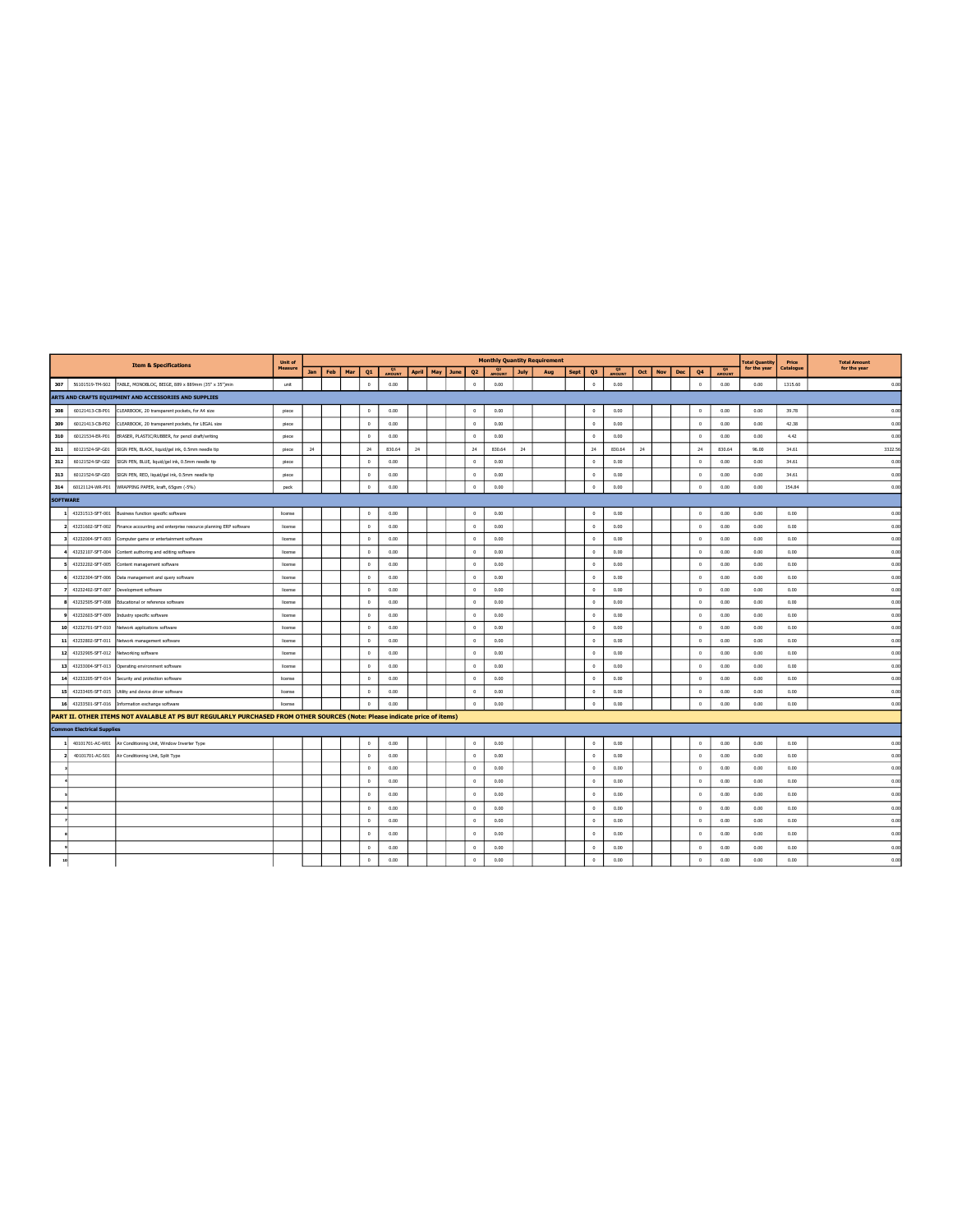|                 |                                   | <b>Item &amp; Specifications</b>                                                                                          | Unit of        |     |     |     |              |              |              |          |                |                          |             | <b>Monthly Quantity Requirement</b> |      |                      |                      |     |     |     |            |        | <b>Total Quantity</b> | Price     | <b>Total Amount</b> |
|-----------------|-----------------------------------|---------------------------------------------------------------------------------------------------------------------------|----------------|-----|-----|-----|--------------|--------------|--------------|----------|----------------|--------------------------|-------------|-------------------------------------|------|----------------------|----------------------|-----|-----|-----|------------|--------|-----------------------|-----------|---------------------|
|                 |                                   |                                                                                                                           | <b>Measure</b> | Jan | Feb | Mar | Q1           | Q1<br>AMOUNT | <b>April</b> | May June | Q <sub>2</sub> | Q <sub>2</sub><br>AMOUNT | <b>July</b> | Aug                                 | Sept | Q <sub>3</sub>       | $^{\circ}$<br>AMOUNT | Oct | Nov | Dec | Q4         | AMOUNT | for the year          | Catalogue | for the year        |
| 307             | 56101519-TM-S02                   | TABLE, MONOBLOC, BEIGE, 889 x 889mm (35" x 35")min                                                                        | unit           |     |     |     | $\theta$     | 0.00         |              |          | $\circ$        | 0.00                     |             |                                     |      | $\circ$              | 0.00                 |     |     |     | $\circ$    | 0.00   | 0.00                  | 1315.60   | 0.00                |
|                 |                                   | ARTS AND CRAFTS EQUIPMENT AND ACCESSORIES AND SUPPLIES                                                                    |                |     |     |     |              |              |              |          |                |                          |             |                                     |      |                      |                      |     |     |     |            |        |                       |           |                     |
| 308             | 60121413-CB-P01                   | CLEARBOOK, 20 transparent pockets, for A4 size                                                                            | piece          |     |     |     | $^{\circ}$   | 0.00         |              |          | $\circ$        | 0.00                     |             |                                     |      | $\circ$              | 0.00                 |     |     |     | $\circ$    | 0.00   | 0.00                  | 39.78     | 0.00                |
| 309             | 60121413-CB-P02                   | CLEARBOOK, 20 transparent pockets, for LEGAL size                                                                         | piece          |     |     |     | $^{\circ}$   | 0.00         |              |          | $^{\circ}$     | 0.00                     |             |                                     |      | $^{\circ}$           | 0.00                 |     |     |     | $\circ$    | 0.00   | 0.00                  | 42.38     | 0.00                |
| 310             | 60121534-ER-P01                   | ERASER, PLASTIC/RUBBER, for pencil draft/writing                                                                          | piece          |     |     |     | $\theta$     | 0.00         |              |          | $\mathbb O$    | 0.00                     |             |                                     |      | $\ddot{\phantom{0}}$ | 0.00                 |     |     |     | $\,0\,$    | 0.00   | 0.00                  | 4.42      | 0.00                |
| 311             | 60121524-SP-G01                   | SIGN PEN, BLACK, liquid/gel ink, 0.5mm needle tip                                                                         | piece          | 24  |     |     | 24           | 830.64       | 24           |          | 24             | 830.64                   | 24          |                                     |      | 24                   | 830.64               | 24  |     |     | 24         | 830.64 | 96.00                 | 34.61     | 3322.56             |
| 312             | 60121524-SP-G02                   | SIGN PEN, BLUE, liquid/gel ink, 0.5mm needle tip                                                                          | piece          |     |     |     | $^{\circ}$   | 0.00         |              |          | $\mathbb O$    | 0.00                     |             |                                     |      | $\mathbb O$          | 0.00                 |     |     |     | $\circ$    | 0.00   | 0.00                  | 34.61     | 0.00                |
| 313             | 60121524-SP-G03                   | SIGN PEN, RED, liquid/gel ink, 0.5mm needle tip                                                                           | piece          |     |     |     | $\circ$      | 0.00         |              |          | $\mathbb O$    | 0.00                     |             |                                     |      | $\circ$              | 0.00                 |     |     |     | $\,0\,$    | 0.00   | 0.00                  | 34.61     | 0.00                |
| 314             | 60121124-WR-P01                   | WRAPPING PAPER, kraft, 65gsm (-5%)                                                                                        | pack           |     |     |     | $\circ$      | 0.00         |              |          | $\circ$        | 0.00                     |             |                                     |      | $\circ$              | 0.00                 |     |     |     | $\circ$    | 0.00   | 0.00                  | 154.84    | 0.00                |
| <b>SOFTWARE</b> |                                   |                                                                                                                           |                |     |     |     |              |              |              |          |                |                          |             |                                     |      |                      |                      |     |     |     |            |        |                       |           |                     |
|                 |                                   | 43231513-SFT-001 Business function specific software                                                                      | license        |     |     |     | $\mathbf 0$  | 0.00         |              |          | $\mathbb O$    | 0.00                     |             |                                     |      | $\circ$              | 0.00                 |     |     |     | $\,0\,$    | 0.00   | 0.00                  | 0.00      | 0.00                |
|                 | 43231602-SFT-002                  | Finance accounting and enterprise resource planning ERP software                                                          | license        |     |     |     | $^{\circ}$   | 0.00         |              |          | $^{\circ}$     | 0.00                     |             |                                     |      | $\Omega$             | 0.00                 |     |     |     | $\circ$    | 0.00   | 0.00                  | 0.00      | 0.00                |
|                 | 43232004-SFT-003                  | Computer game or entertainment software                                                                                   | license        |     |     |     | $^{\circ}$   | 0.00         |              |          | $\circ$        | 0.00                     |             |                                     |      | $\circ$              | 0.00                 |     |     |     | $\circ$    | 0.00   | 0.00                  | 0.00      | 0.00                |
|                 |                                   | 43232107-SFT-004 Content authoring and editing software                                                                   | Ecense         |     |     |     | $\circ$      | 0.00         |              |          | $^{\circ}$     | 0.00                     |             |                                     |      | $\circ$              | 0.00                 |     |     |     | $^{\circ}$ | 0.00   | 0.00                  | 0.00      | 0.00                |
|                 |                                   | 43232202-SFT-005 Content management software                                                                              | license        |     |     |     | $^{\circ}$   | 0.00         |              |          | $\circ$        | 0.00                     |             |                                     |      | $\circ$              | 0.00                 |     |     |     | $\,0\,$    | 0.00   | 0.00                  | 0.00      | 0.00                |
|                 |                                   | 43232304-SFT-006 Data management and query software                                                                       | license        |     |     |     | $\Omega$     | 0.00         |              |          | $^{\circ}$     | 0.00                     |             |                                     |      | $^{\circ}$           | 0.00                 |     |     |     | $\circ$    | 0.00   | 0.00                  | 0.00      | 0.00                |
|                 | 43232402-SFT-007                  | Development software                                                                                                      | license        |     |     |     | $\circ$      | 0.00         |              |          | $\circ$        | 0.00                     |             |                                     |      | $\circ$              | 0.00                 |     |     |     | $\circ$    | 0.00   | 0.00                  | 0.00      | 0.00                |
|                 | 43232505-SFT-008                  | Educational or reference software                                                                                         | license        |     |     |     | $\theta$     | 0.00         |              |          | $^{\circ}$     | 0.00                     |             |                                     |      | $^{\circ}$           | 0.00                 |     |     |     | $\circ$    | 0.00   | 0.00                  | 0.00      | 0.00                |
|                 | 43232603-SFT-009                  | Industry specific software                                                                                                | license        |     |     |     | $\circ$      | 0.00         |              |          | $\mathbb O$    | 0.00                     |             |                                     |      | $\mathbb O$          | 0.00                 |     |     |     | $^{\circ}$ | 0.00   | 0.00                  | 0.00      | 0.00                |
| 10              | 43232701-SFT-010                  | Network applications software                                                                                             | license        |     |     |     | $\circ$      | 0.00         |              |          | $\mathbb O$    | 0.00                     |             |                                     |      | $\circ$              | 0.00                 |     |     |     | $\circ$    | 0.00   | 0.00                  | 0.00      | 0.00                |
| 11              | 43232802-SFT-011                  | Network management software                                                                                               | license        |     |     |     | $\circ$      | 0.00         |              |          | $\circ$        | 0.00                     |             |                                     |      | $\circ$              | 0.00                 |     |     |     | $\circ$    | 0.00   | 0.00                  | 0.00      | 0.00                |
|                 | 12 43232905-SFT-012               | Networking software                                                                                                       | license        |     |     |     | $^{\circ}$   | 0.00         |              |          | $^{\circ}$     | 0.00                     |             |                                     |      | $\circ$              | 0.00                 |     |     |     | $^{\circ}$ | 0.00   | 0.00                  | 0.00      | 0.00                |
| 13              | 43233004-SFT-013                  | Operating environment software                                                                                            | license        |     |     |     | $\circ$      | 0.00         |              |          | $\circ$        | 0.00                     |             |                                     |      | $\theta$             | 0.00                 |     |     |     | $\circ$    | 0.00   | 0.00                  | 0.00      | 0.00                |
| 14              | 43233205-SFT-014                  | Security and protection software                                                                                          | license        |     |     |     | $^{\circ}$   | 0.00         |              |          | $^{\circ}$     | 0.00                     |             |                                     |      | $\circ$              | 0.00                 |     |     |     | $\circ$    | 0.00   | 0.00                  | 0.00      | 0.00                |
| 15              |                                   | 43233405-SFT-015 Utility and device driver software                                                                       | license        |     |     |     | $\circ$      | 0.00         |              |          | $\mathbb O$    | 0.00                     |             |                                     |      | $\mathbb O$          | 0.00                 |     |     |     | $^{\circ}$ | 0.00   | 0.00                  | 0.00      | 0.00                |
|                 | 16 43233501-SFT-016               | Information exchange software                                                                                             | license        |     |     |     | $^{\circ}$   | 0.00         |              |          | $\mathbb O$    | 0.00                     |             |                                     |      | $\circ$              | 0.00                 |     |     |     | $^{\circ}$ | 0.00   | 0.00                  | 0.00      | 0.00                |
|                 |                                   | PART II. OTHER ITEMS NOT AVALABLE AT PS BUT REGULARLY PURCHASED FROM OTHER SOURCES (Note: Please indicate price of items) |                |     |     |     |              |              |              |          |                |                          |             |                                     |      |                      |                      |     |     |     |            |        |                       |           |                     |
|                 | <b>Common Electrical Supplies</b> |                                                                                                                           |                |     |     |     |              |              |              |          |                |                          |             |                                     |      |                      |                      |     |     |     |            |        |                       |           |                     |
|                 |                                   | 40101701-AC-W01 Air Conditioning Unit, Window Inverter Type                                                               |                |     |     |     | $\mathbb O$  | 0.00         |              |          | $\mathbb O$    | 0.00                     |             |                                     |      | $\circ$              | 0.00                 |     |     |     | $\,0\,$    | 0.00   | 0.00                  | 0.00      | 0.00                |
|                 | 40101701-AC-S01                   | Air Conditioning Unit, Split Type                                                                                         |                |     |     |     | $\circ$      | 0.00         |              |          | $\mathbb O$    | 0.00                     |             |                                     |      | $^{\circ}$           | 0.00                 |     |     |     | $\circ$    | 0.00   | 0.00                  | 0.00      | 0.00                |
|                 |                                   |                                                                                                                           |                |     |     |     | $\theta$     | 0.00         |              |          | $\mathbb O$    | 0.00                     |             |                                     |      | $\mathbb O$          | 0.00                 |     |     |     | $\theta$   | 0.00   | 0.00                  | 0.00      | 0.00                |
|                 |                                   |                                                                                                                           |                |     |     |     | $\circ$      | 0.00         |              |          | $^{\circ}$     | 0.00                     |             |                                     |      | $^{\circ}$           | 0.00                 |     |     |     | $^{\circ}$ | 0.00   | 0.00                  | 0.00      | 0.00                |
|                 |                                   |                                                                                                                           |                |     |     |     | $\circ$      | 0.00         |              |          | $^{\circ}$     | 0.00                     |             |                                     |      | $\circ$              | 0.00                 |     |     |     | $^{\circ}$ | 0.00   | 0.00                  | 0.00      | 0.00                |
|                 |                                   |                                                                                                                           |                |     |     |     | $\mathbf{0}$ | 0.00         |              |          | $^{\circ}$     | 0.00                     |             |                                     |      | $\mathbf{0}$         | 0.00                 |     |     |     | $^{\circ}$ | 0.00   | 0.00                  | 0.00      | 0.00                |
|                 |                                   |                                                                                                                           |                |     |     |     | $\circ$      | 0.00         |              |          | $\mathbb O$    | 0.00                     |             |                                     |      | $\circ$              | 0.00                 |     |     |     | $\,0\,$    | 0.00   | 0.00                  | 0.00      | 0.00                |
|                 |                                   |                                                                                                                           |                |     |     |     | $\theta$     | 0.00         |              |          | $^{\circ}$     | 0.00                     |             |                                     |      | $\mathbb O$          | 0.00                 |     |     |     | $^{\circ}$ | 0.00   | 0.00                  | 0.00      | 0.00                |
|                 |                                   |                                                                                                                           |                |     |     |     | $\circ$      | 0.00         |              |          | $^{\circ}$     | 0.00                     |             |                                     |      | $^{\circ}$           | 0.00                 |     |     |     | $^{\circ}$ | 0.00   | 0.00                  | 0.00      | 0.00                |
|                 |                                   |                                                                                                                           |                |     |     |     | $\mathbf{0}$ | 0.00         |              |          | $\Omega$       | 0.00                     |             |                                     |      | $\mathbf{0}$         | 0.00                 |     |     |     | $\theta$   | 0.00   | 0.00                  | 0.00      | 0.00                |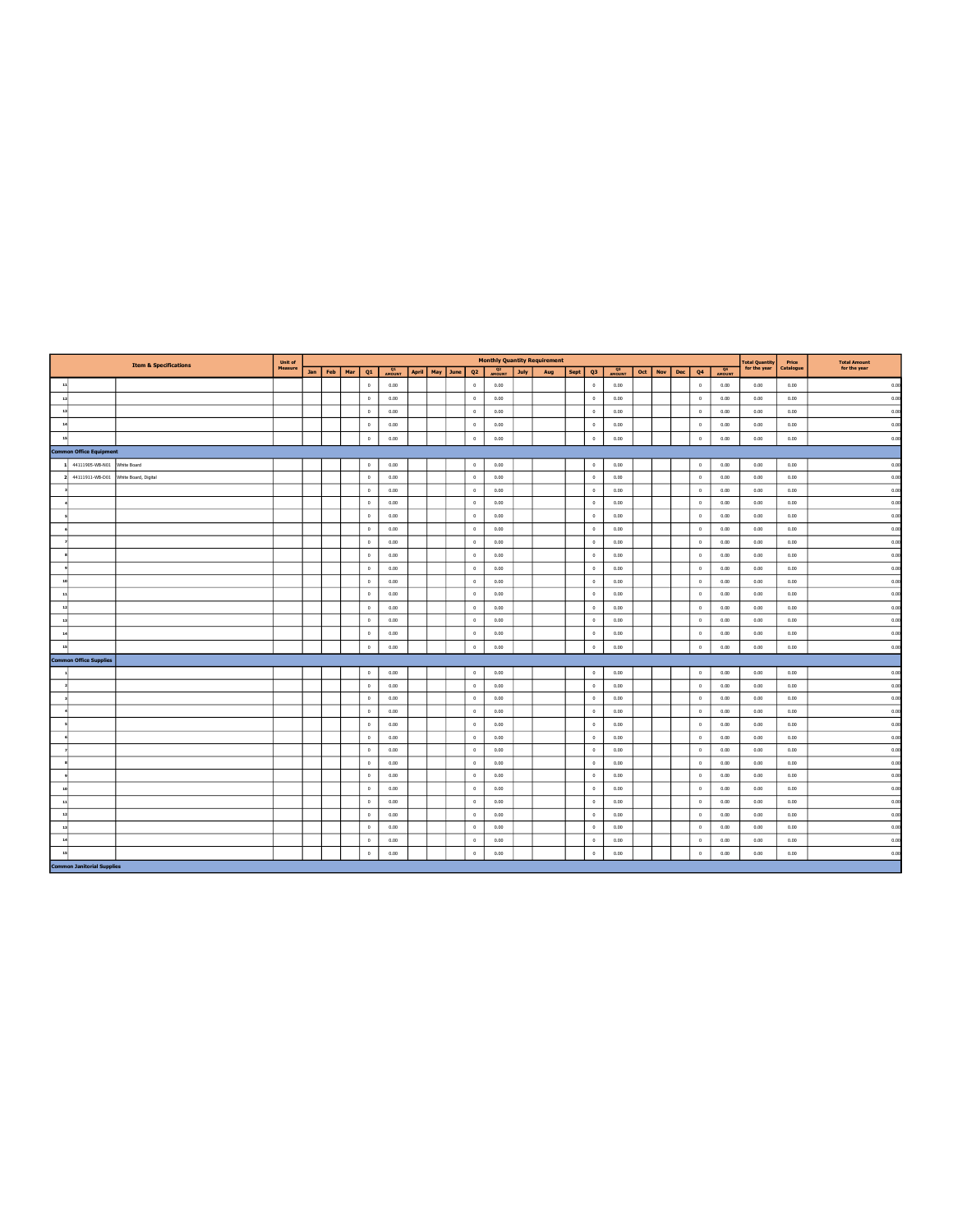|                         |                                   | <b>Item &amp; Specifications</b> | Unit of |         |     |             |                     |                    |                |                          |             | <b>Monthly Quantity Requirement</b> |      |              |              |     |     |     |             |        | Total Quantity<br>for the year | Price     | <b>Total Amount</b> |
|-------------------------|-----------------------------------|----------------------------------|---------|---------|-----|-------------|---------------------|--------------------|----------------|--------------------------|-------------|-------------------------------------|------|--------------|--------------|-----|-----|-----|-------------|--------|--------------------------------|-----------|---------------------|
|                         |                                   |                                  | Measure | Jan Feb | Mar | Q1          | <b>Q1</b><br>AMOUNT | April   May   June | Q <sub>2</sub> | Q <sub>2</sub><br>AMOUNT | <b>July</b> | Aug                                 | Sept | Q3           | Q3<br>AMOUNT | Oct | Nov | Dec | Q4          | AMOUNT |                                | Catalogue | for the year        |
| 11                      |                                   |                                  |         |         |     | $\circ$     | 0.00                |                    | $\circ$        | 0.00                     |             |                                     |      | $\circ$      | 0.00         |     |     |     | $^{\circ}$  | 0.00   | 0.00                           | 0.00      | 0.00                |
| 12                      |                                   |                                  |         |         |     | $\circ$     | 0.00                |                    | $^{\circ}$     | 0.00                     |             |                                     |      | $\circ$      | 0.00         |     |     |     | $^{\circ}$  | 0.00   | 0.00                           | 0.00      | 0.00                |
| 13                      |                                   |                                  |         |         |     | $^{\circ}$  | 0.00                |                    | $^{\circ}$     | 0.00                     |             |                                     |      | $\circ$      | 0.00         |     |     |     | $^{\circ}$  | 0.00   | 0.00                           | 0.00      | 0.00                |
| 14                      |                                   |                                  |         |         |     | $\circ$     | 0.00                |                    | $\circ$        | 0.00                     |             |                                     |      | $\circ$      | 0.00         |     |     |     | $\circ$     | 0.00   | 0.00                           | 0.00      | 0.00                |
| 15                      |                                   |                                  |         |         |     | $\circ$     | 0.00                |                    | $\circ$        | 0.00                     |             |                                     |      | $\circ$      | 0.00         |     |     |     | $\,0\,$     | 0.00   | 0.00                           | 0.00      | 0.00                |
|                         | <b>Common Office Equipment</b>    |                                  |         |         |     |             |                     |                    |                |                          |             |                                     |      |              |              |     |     |     |             |        |                                |           |                     |
|                         | 44111905-WB-N01                   | White Board                      |         |         |     | $\mathbb O$ | 0.00                |                    | $\circ$        | 0.00                     |             |                                     |      | $\circ$      | 0.00         |     |     |     | $\,$ 0 $\,$ | 0.00   | 0.00                           | 0.00      | 0.00                |
| $\overline{\mathbf{2}}$ | 44111911-WB-D01                   | White Board, Digital             |         |         |     | $\mathbb O$ | 0.00                |                    | $\circ$        | 0.00                     |             |                                     |      | $\circ$      | 0.00         |     |     |     | $\circ$     | 0.00   | 0.00                           | 0.00      | 0.00                |
|                         |                                   |                                  |         |         |     | $\mathbf 0$ | 0.00                |                    | $\mathbb O$    | 0.00                     |             |                                     |      | $\circ$      | 0.00         |     |     |     | $\,$ 0 $\,$ | 0.00   | 0.00                           | 0.00      | 0.00                |
|                         |                                   |                                  |         |         |     | $\circ$     | 0.00                |                    | $^{\circ}$     | 0.00                     |             |                                     |      | $\circ$      | 0.00         |     |     |     | $\theta$    | 0.00   | 0.00                           | 0.00      | 0.00                |
|                         |                                   |                                  |         |         |     | $\circ$     | 0.00                |                    | $\circ$        | 0.00                     |             |                                     |      | $\circ$      | 0.00         |     |     |     | $\,$ 0 $\,$ | 0.00   | 0.00                           | 0.00      | 0.00                |
|                         |                                   |                                  |         |         |     | $\mathbb O$ | 0.00                |                    | $\circ$        | 0.00                     |             |                                     |      | $\circ$      | 0.00         |     |     |     | $\circ$     | 0.00   | 0.00                           | 0.00      | 0.00                |
|                         |                                   |                                  |         |         |     | $\circ$     | 0.00                |                    | $\circ$        | 0.00                     |             |                                     |      | $\circ$      | 0.00         |     |     |     | $\circ$     | 0.00   | 0.00                           | 0.00      | 0.00                |
|                         |                                   |                                  |         |         |     | $\mathbf 0$ | 0.00                |                    | $\mathbb O$    | 0.00                     |             |                                     |      | $\circ$      | 0.00         |     |     |     | $\,$ 0 $\,$ | 0.00   | 0.00                           | 0.00      | 0.00                |
|                         |                                   |                                  |         |         |     | $\theta$    | 0.00                |                    | $\circ$        | 0.00                     |             |                                     |      | $\mathbf{0}$ | 0.00         |     |     |     | $\,$ 0 $\,$ | 0.00   | 0.00                           | 0.00      | 0.00                |
|                         |                                   |                                  |         |         |     | $\circ$     | 0.00                |                    | $\circ$        | 0.00                     |             |                                     |      | $\circ$      | 0.00         |     |     |     | $\circ$     | 0.00   | 0.00                           | 0.00      | 0.00                |
| $\ddot{\phantom{1}}$    |                                   |                                  |         |         |     | $\circ$     | 0.00                |                    | $\mathbb O$    | 0.00                     |             |                                     |      | $\circ$      | 0.00         |     |     |     | $\circ$     | 0.00   | 0.00                           | 0.00      | 0.00                |
| 11                      |                                   |                                  |         |         |     | $\mathbf 0$ | 0.00                |                    | $\circ$        | 0.00                     |             |                                     |      | $\circ$      | 0.00         |     |     |     | $\circ$     | 0.00   | 0.00                           | 0.00      | 0.00                |
| 13                      |                                   |                                  |         |         |     | $\circ$     | 0.00                |                    | $^{\circ}$     | 0.00                     |             |                                     |      | $\circ$      | 0.00         |     |     |     | $\circ$     | 0.00   | 0.00                           | 0.00      | 0.00                |
| $\mathbf{r}$            |                                   |                                  |         |         |     | $\circ$     | 0.00                |                    | $\mathbb O$    | 0.00                     |             |                                     |      | $\circ$      | 0.00         |     |     |     | $\,$ 0 $\,$ | 0.00   | 0.00                           | 0.00      | 0.00                |
| $\overline{1}$          |                                   |                                  |         |         |     | $\mathbf 0$ | 0.00                |                    | $\mathbb O$    | 0.00                     |             |                                     |      | $\mathbf 0$  | 0.00         |     |     |     | $\,0\,$     | 0.00   | 0.00                           | 0.00      | 0.00                |
|                         | <b>Common Office Supplies</b>     |                                  |         |         |     |             |                     |                    |                |                          |             |                                     |      |              |              |     |     |     |             |        |                                |           |                     |
|                         |                                   |                                  |         |         |     | $\mathbb O$ | 0.00                |                    | $\circ$        | 0.00                     |             |                                     |      | $\circ$      | 0.00         |     |     |     | $\mathbb O$ | 0.00   | 0.00                           | 0.00      | 0.00                |
|                         |                                   |                                  |         |         |     | $\circ$     | 0.00                |                    | $\circ$        | 0.00                     |             |                                     |      | $\circ$      | 0.00         |     |     |     | $\circ$     | 0.00   | 0.00                           | 0.00      | 0.00                |
|                         |                                   |                                  |         |         |     | $\circ$     | 0.00                |                    | $\circ$        | 0.00                     |             |                                     |      | $\circ$      | 0.00         |     |     |     | $\,$ 0 $\,$ | 0.00   | 0.00                           | 0.00      | 0.00                |
|                         |                                   |                                  |         |         |     | $\circ$     | 0.00                |                    | $\circ$        | 0.00                     |             |                                     |      | $\circ$      | 0.00         |     |     |     | $\circ$     | 0.00   | 0.00                           | 0.00      | 0.00                |
|                         |                                   |                                  |         |         |     | $^{\circ}$  | 0.00                |                    | $^{\circ}$     | 0.00                     |             |                                     |      | $\circ$      | 0.00         |     |     |     | $\theta$    | 0.00   | 0.00                           | 0.00      | 0.00                |
|                         |                                   |                                  |         |         |     | $\circ$     | 0.00                |                    | $\circ$        | 0.00                     |             |                                     |      | $\circ$      | 0.00         |     |     |     | $\circ$     | 0.00   | 0.00                           | 0.00      | 0.00                |
|                         |                                   |                                  |         |         |     | $\theta$    | 0.00                |                    | $\circ$        | 0.00                     |             |                                     |      | $\circ$      | 0.00         |     |     |     | $\circ$     | 0.00   | 0.00                           | 0.00      | 0.00                |
|                         |                                   |                                  |         |         |     | $\theta$    | 0.00                |                    | $\circ$        | 0.00                     |             |                                     |      | $\mathbf{0}$ | 0.00         |     |     |     | $\circ$     | 0.00   | 0.00                           | 0.00      | 0.00                |
|                         |                                   |                                  |         |         |     | $\circ$     | 0.00                |                    | $\circ$        | 0.00                     |             |                                     |      | $\circ$      | 0.00         |     |     |     | $\circ$     | 0.00   | 0.00                           | 0.00      | 0.00                |
|                         |                                   |                                  |         |         |     | $^{\circ}$  | 0.00                |                    | $^{\circ}$     | 0.00                     |             |                                     |      | $\circ$      | 0.00         |     |     |     | $\theta$    | 0.00   | 0.00                           | 0.00      | 0.00                |
| $\overline{\mathbf{1}}$ |                                   |                                  |         |         |     | $\circ$     | 0.00                |                    | $\circ$        | 0.00                     |             |                                     |      | $\circ$      | 0.00         |     |     |     | $\circ$     | 0.00   | 0.00                           | 0.00      | 0.00                |
|                         |                                   |                                  |         |         |     | $\circ$     | 0.00                |                    | $^{\circ}$     | 0.00                     |             |                                     |      | $^{\circ}$   | 0.00         |     |     |     | $\theta$    | 0.00   | 0.00                           | 0.00      | 0.00                |
| 13                      |                                   |                                  |         |         |     | $\circ$     | 0.00                |                    | $\circ$        | 0.00                     |             |                                     |      | $\circ$      | 0.00         |     |     |     | $\,0\,$     | 0.00   | 0.00                           | 0.00      | 0.00                |
| 14                      |                                   |                                  |         |         |     | $\circ$     | 0.00                |                    | $^{\circ}$     | 0.00                     |             |                                     |      | $\circ$      | 0.00         |     |     |     | $\circ$     | 0.00   | 0.00                           | 0.00      | 0.00                |
| 15                      |                                   |                                  |         |         |     | $\mathbf 0$ | 0.00                |                    | $\mathbb O$    | 0.00                     |             |                                     |      | $\mathbf 0$  | 0.00         |     |     |     | $\circ$     | 0.00   | 0.00                           | 0.00      | 0.00                |
|                         | <b>Common Janitorial Supplies</b> |                                  |         |         |     |             |                     |                    |                |                          |             |                                     |      |              |              |     |     |     |             |        |                                |           |                     |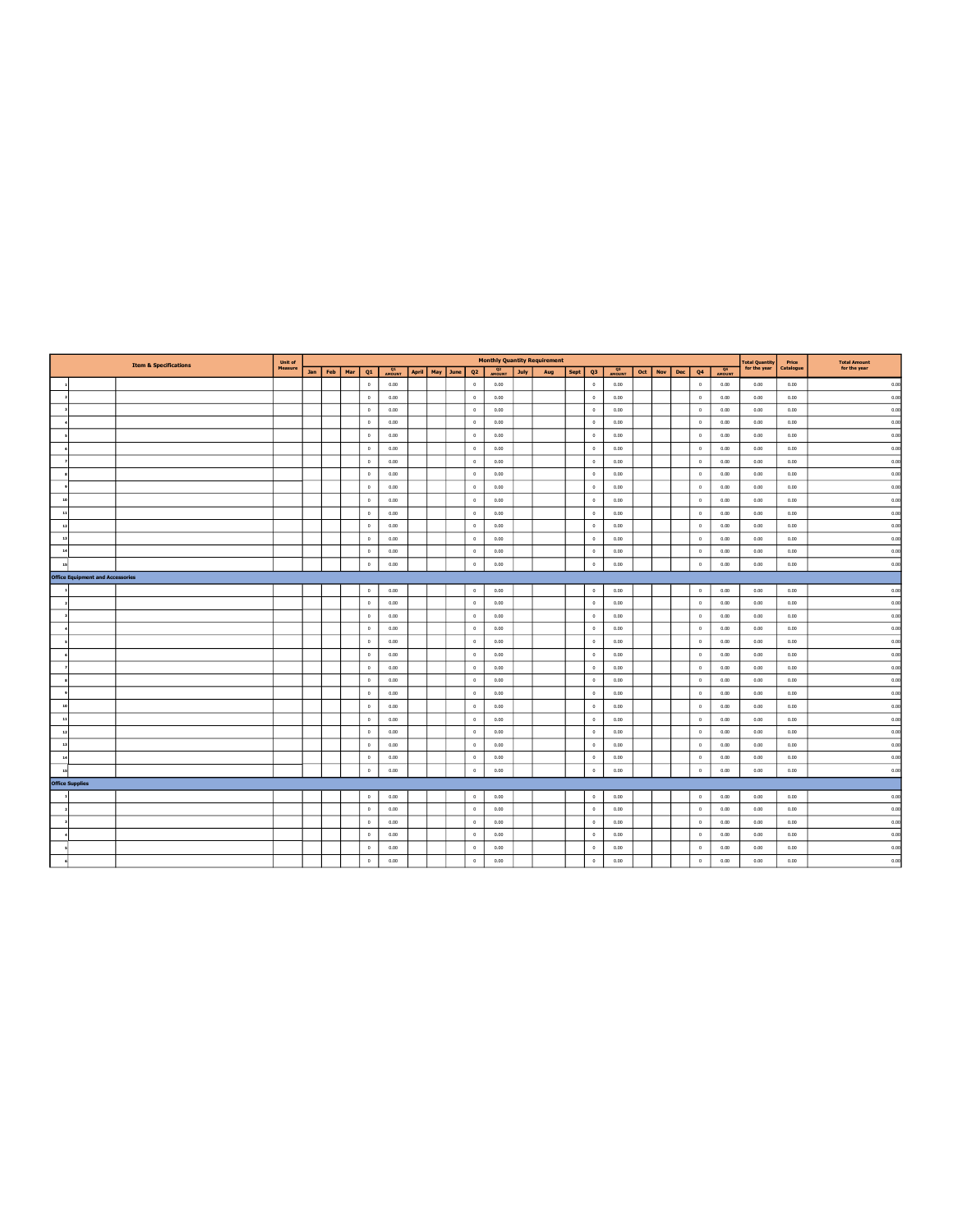|                |                                         | <b>Item &amp; Specifications</b> | Unit of |             |              |                     |  |                    |                |                          |      | <b>Monthly Quantity Requirement</b> |             |             |              |         |     |             |        | <b>Total Quantity</b> | Price     | <b>Total Amount</b> |
|----------------|-----------------------------------------|----------------------------------|---------|-------------|--------------|---------------------|--|--------------------|----------------|--------------------------|------|-------------------------------------|-------------|-------------|--------------|---------|-----|-------------|--------|-----------------------|-----------|---------------------|
|                |                                         |                                  | Measure | Jan Feb Mar | Q1           | <b>Q1</b><br>AMOUNT |  | April   May   June | Q <sub>2</sub> | Q <sub>2</sub><br>AMOUNT | July | Aug                                 | <b>Sept</b> | Q3          | Q3<br>AMOUNT | Oct Nov | Dec | Q4          | AMOUNT | for the year          | Catalogue | for the year        |
|                |                                         |                                  |         |             | $\circ$      | 0.00                |  |                    | $^{\circ}$     | 0.00                     |      |                                     |             | $\circ$     | 0.00         |         |     | $^{\circ}$  | 0.00   | 0.00                  | 0.00      | 0.00                |
|                |                                         |                                  |         |             | $\mathbb O$  | 0.00                |  |                    | $\circ$        | 0.00                     |      |                                     |             | $\circ$     | 0.00         |         |     | $\circ$     | 0.00   | 0.00                  | 0.00      | 0.00                |
|                |                                         |                                  |         |             | $\mathbb O$  | 0.00                |  |                    | $\circ$        | 0.00                     |      |                                     |             | $\circ$     | 0.00         |         |     | $\,$ 0 $\,$ | 0.00   | 0.00                  | 0.00      | 0.00                |
|                |                                         |                                  |         |             | $\mathbb O$  | 0.00                |  |                    | $\circ$        | 0.00                     |      |                                     |             | $\circ$     | 0.00         |         |     | $\circ$     | 0.00   | 0.00                  | 0.00      | 0.00                |
|                |                                         |                                  |         |             | $\circ$      | 0.00                |  |                    | $^{\circ}$     | 0.00                     |      |                                     |             | $\circ$     | 0.00         |         |     | $\circ$     | 0.00   | 0.00                  | 0.00      | 0.00                |
|                |                                         |                                  |         |             | $\circ$      | 0.00                |  |                    | $\theta$       | 0.00                     |      |                                     |             | $\circ$     | 0.00         |         |     | $\circ$     | 0.00   | 0.00                  | 0.00      | 0.00                |
|                |                                         |                                  |         |             | $\circ$      | 0.00                |  |                    | $\circ$        | 0.00                     |      |                                     |             | $\circ$     | 0.00         |         |     | $\circ$     | 0.00   | 0.00                  | 0.00      | 0.00                |
|                |                                         |                                  |         |             | $\mathbb O$  | 0.00                |  |                    | $\circ$        | 0.00                     |      |                                     |             | $\circ$     | 0.00         |         |     | $\circ$     | 0.00   | 0.00                  | 0.00      | 0.00                |
|                |                                         |                                  |         |             | $\circ$      | 0.00                |  |                    | $\circ$        | 0.00                     |      |                                     |             | $\circ$     | 0.00         |         |     | $\circ$     | 0.00   | 0.00                  | 0.00      | 0.00                |
|                |                                         |                                  |         |             | $\circ$      | 0.00                |  |                    | $^{\circ}$     | 0.00                     |      |                                     |             | $\circ$     | 0.00         |         |     | $^{\circ}$  | 0.00   | 0.00                  | 0.00      | 0.00                |
|                |                                         |                                  |         |             | $\mathbb O$  | 0.00                |  |                    | $\circ$        | 0.00                     |      |                                     |             | $\mathbb O$ | 0.00         |         |     | $\circ$     | 0.00   | 0.00                  | 0.00      | 0.00                |
| $\mathbf{r}$   |                                         |                                  |         |             | $\mathbb O$  | 0.00                |  |                    | $\circ$        | 0.00                     |      |                                     |             | $\mathbb O$ | 0.00         |         |     | $\circ$     | 0.00   | 0.00                  | 0.00      | 0.00                |
|                |                                         |                                  |         |             | $^{\circ}$   | 0.00                |  |                    | $^{\circ}$     | 0.00                     |      |                                     |             | $^{\circ}$  | 0.00         |         |     | $\circ$     | 0.00   | 0.00                  | 0.00      | 0.00                |
| $\overline{1}$ |                                         |                                  |         |             | $\mathbb O$  | 0.00                |  |                    | $\mathbb O$    | 0.00                     |      |                                     |             | $\circ$     | 0.00         |         |     | $\circ$     | 0.00   | 0.00                  | 0.00      | 0.00                |
| $\mathbf{I}$   |                                         |                                  |         |             | $\mathbb O$  | 0.00                |  |                    | $^{\circ}$     | 0.00                     |      |                                     |             | $\mathbb O$ | 0.00         |         |     | $\circ$     | 0.00   | 0.00                  | 0.00      | 0.00                |
|                | <b>Office Equipment and Accessories</b> |                                  |         |             |              |                     |  |                    |                |                          |      |                                     |             |             |              |         |     |             |        |                       |           |                     |
|                |                                         |                                  |         |             | $\circ$      | 0.00                |  |                    | $\theta$       | 0.00                     |      |                                     |             | $\circ$     | 0.00         |         |     | $\circ$     | 0.00   | 0.00                  | 0.00      | 0.00                |
|                |                                         |                                  |         |             | $\mathbf{0}$ | 0.00                |  |                    | $^{\circ}$     | 0.00                     |      |                                     |             | $^{\circ}$  | 0.00         |         |     | $\circ$     | 0.00   | 0.00                  | 0.00      | 0.00                |
|                |                                         |                                  |         |             | $\circ$      | 0.00                |  |                    | $\circ$        | 0.00                     |      |                                     |             | $\theta$    | 0.00         |         |     | $\circ$     | 0.00   | 0.00                  | 0.00      | 0.00                |
|                |                                         |                                  |         |             | $\circ$      | 0.00                |  |                    | $\theta$       | 0.00                     |      |                                     |             | $^{\circ}$  | 0.00         |         |     | $\circ$     | 0.00   | 0.00                  | 0.00      | 0.00                |
|                |                                         |                                  |         |             | $\mathbb O$  | 0.00                |  |                    | $\circ$        | 0.00                     |      |                                     |             | $\mathbb O$ | 0.00         |         |     | $\circ$     | 0.00   | 0.00                  | 0.00      | 0.00                |
|                |                                         |                                  |         |             | $\circ$      | 0.00                |  |                    | $\circ$        | 0.00                     |      |                                     |             | $\theta$    | 0.00         |         |     | $\circ$     | 0.00   | 0.00                  | 0.00      | 0.00                |
|                |                                         |                                  |         |             | $\circ$      | 0.00                |  |                    | $\circ$        | 0.00                     |      |                                     |             | $^{\circ}$  | 0.00         |         |     | $\circ$     | 0.00   | 0.00                  | 0.00      | 0.00                |
|                |                                         |                                  |         |             | $\mathbb O$  | 0.00                |  |                    | $\circ$        | 0.00                     |      |                                     |             | $\circ$     | 0.00         |         |     | $\circ$     | 0.00   | 0.00                  | 0.00      | 0.00                |
|                |                                         |                                  |         |             | $\mathbb O$  | 0.00                |  |                    | $\circ$        | 0.00                     |      |                                     |             | $\circ$     | 0.00         |         |     | $\circ$     | 0.00   | 0.00                  | 0.00      | 0.00                |
|                |                                         |                                  |         |             | $\circ$      | 0.00                |  |                    | $^{\circ}$     | 0.00                     |      |                                     |             | $\circ$     | 0.00         |         |     | $^{\circ}$  | 0.00   | 0.00                  | 0.00      | 0.00                |
|                |                                         |                                  |         |             | $\circ$      | 0.00                |  |                    | $\theta$       | 0.00                     |      |                                     |             | $\theta$    | 0.00         |         |     | $\circ$     | 0.00   | 0.00                  | 0.00      | 0.00                |
|                |                                         |                                  |         |             | $\circ$      | 0.00                |  |                    | $\circ$        | 0.00                     |      |                                     |             | $\circ$     | 0.00         |         |     | $^{\circ}$  | 0.00   | 0.00                  | 0.00      | 0.00                |
|                |                                         |                                  |         |             | $\mathbb O$  | 0.00                |  |                    | $\circ$        | 0.00                     |      |                                     |             | $\circ$     | 0.00         |         |     | $\circ$     | 0.00   | 0.00                  | 0.00      | 0.00                |
|                |                                         |                                  |         |             | $\circ$      | 0.00                |  |                    | $\circ$        | 0.00                     |      |                                     |             | $\circ$     | 0.00         |         |     | $\,$ 0 $\,$ | 0.00   | 0.00                  | 0.00      | 0.00                |
|                |                                         |                                  |         |             | $\circ$      | 0.00                |  |                    | $^{\circ}$     | 0.00                     |      |                                     |             | $\circ$     | 0.00         |         |     | $^{\circ}$  | 0.00   | 0.00                  | 0.00      | 0.00                |
|                | <b>Office Supplies</b>                  |                                  |         |             |              |                     |  |                    |                |                          |      |                                     |             |             |              |         |     |             |        |                       |           |                     |
|                |                                         |                                  |         |             | $\,0\,$      | 0.00                |  |                    | $\circ$        | 0.00                     |      |                                     |             | $\circ$     | 0.00         |         |     | $\circ$     | 0.00   | 0.00                  | 0.00      | 0.00                |
|                |                                         |                                  |         |             | $\mathbf{0}$ | 0.00                |  |                    | $^{\circ}$     | 0.00                     |      |                                     |             | $^{\circ}$  | 0.00         |         |     | $\circ$     | 0.00   | 0.00                  | 0.00      | 0.00                |
|                |                                         |                                  |         |             | $\mathbb O$  | 0.00                |  |                    | $\mathbb O$    | 0.00                     |      |                                     |             | $\circ$     | 0.00         |         |     | $\circ$     | 0.00   | 0.00                  | 0.00      | 0.00                |
|                |                                         |                                  |         |             | $\mathbb O$  | 0.00                |  |                    | $\circ$        | 0.00                     |      |                                     |             | $\circ$     | 0.00         |         |     | $\circ$     | 0.00   | 0.00                  | 0.00      | 0.00                |
|                |                                         |                                  |         |             | $\mathbb O$  | 0.00                |  |                    | $\circ$        | 0.00                     |      |                                     |             | $\mathbb O$ | 0.00         |         |     | $\circ$     | 0.00   | 0.00                  | 0.00      | 0.00                |
|                |                                         |                                  |         |             | $\mathbf 0$  | 0.00                |  |                    | $\mathbb O$    | 0.00                     |      |                                     |             | $\mathbf 0$ | 0.00         |         |     | $\,$ 0 $\,$ | 0.00   | 0.00                  | 0.00      | 0.00                |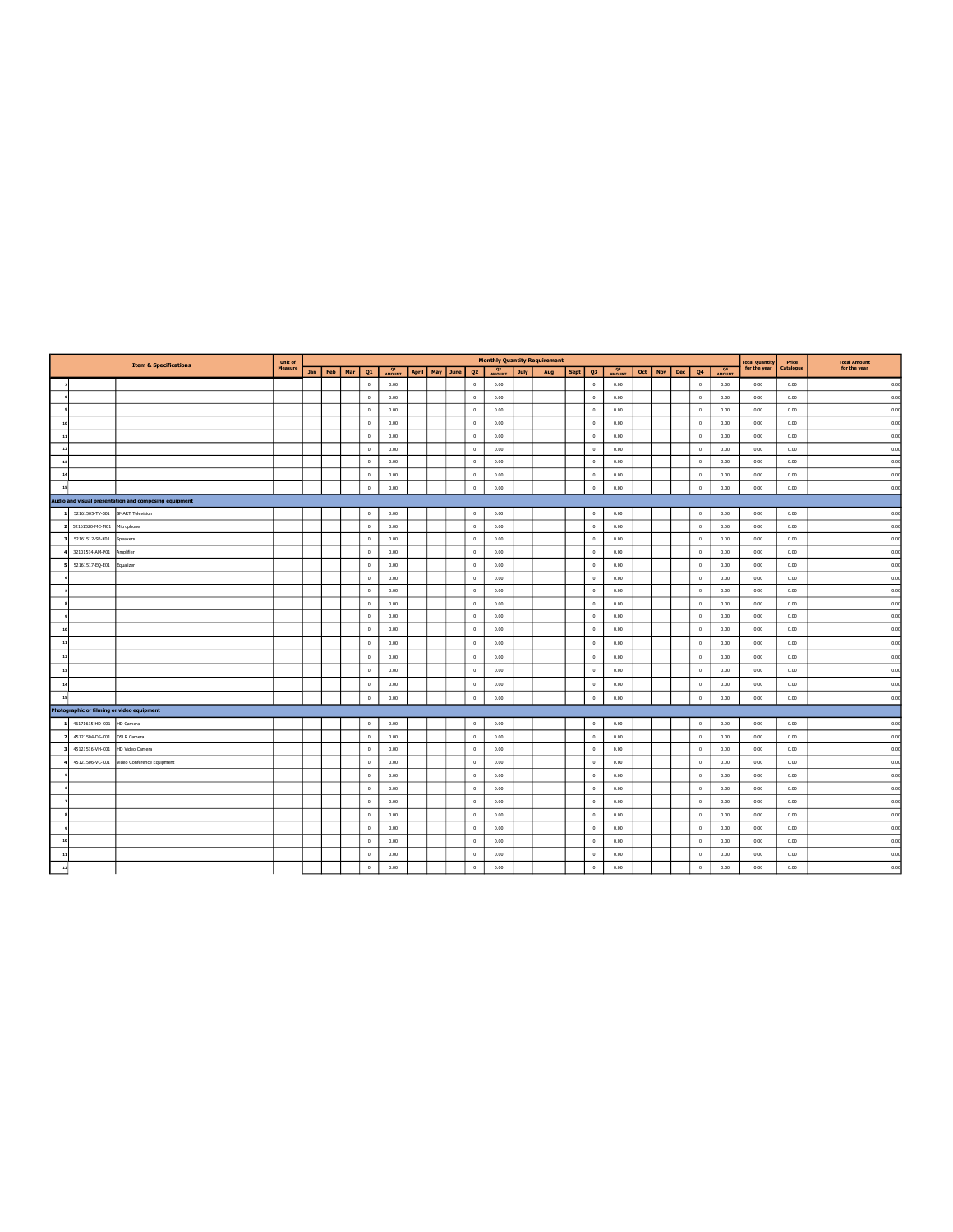|                                            | <b>Item &amp; Specifications</b>                      | <b>Unit of</b> |             |              |                     |  |                    |                |                          |      | <b>Monthly Quantity Requirement</b> |             |                |                     |         |     |                |                | <b>Total Quantity</b> | Price     | <b>Total Amount</b> |
|--------------------------------------------|-------------------------------------------------------|----------------|-------------|--------------|---------------------|--|--------------------|----------------|--------------------------|------|-------------------------------------|-------------|----------------|---------------------|---------|-----|----------------|----------------|-----------------------|-----------|---------------------|
|                                            |                                                       | Measure        | Jan Feb Mar | Q1           | <b>Q1</b><br>AMOUNT |  | April   May   June | Q <sub>2</sub> | Q <sub>2</sub><br>AMOUNT | July | Aug                                 | <b>Sept</b> | Q3             | <b>Q3</b><br>AMOUNT | Oct Nov | Dec | Q <sub>4</sub> | Q <sub>4</sub> | for the year          | Catalogue | for the year        |
|                                            |                                                       |                |             | $\mathbb O$  | 0.00                |  |                    | $\circ$        | 0.00                     |      |                                     |             | $\mathbb O$    | 0.00                |         |     | $\,$ 0 $\,$    | 0.00           | 0.00                  | 0.00      | 0.00                |
|                                            |                                                       |                |             | $\circ$      | 0.00                |  |                    | $^{\circ}$     | 0.00                     |      |                                     |             | $^{\circ}$     | 0.00                |         |     | $\circ$        | 0.00           | 0.00                  | 0.00      | 0.00                |
|                                            |                                                       |                |             | $\circ$      | 0.00                |  |                    | $\circ$        | 0.00                     |      |                                     |             | $\circ$        | 0.00                |         |     | $\circ$        | 0.00           | 0.00                  | 0.00      | 0.00                |
|                                            |                                                       |                |             | $\circ$      | 0.00                |  |                    | $\circ$        | 0.00                     |      |                                     |             | $\circ$        | 0.00                |         |     | $\circ$        | 0.00           | 0.00                  | 0.00      | 0.00                |
|                                            |                                                       |                |             | $\mathbb O$  | 0.00                |  |                    | $\circ$        | 0.00                     |      |                                     |             | $\circ$        | 0.00                |         |     | $\circ$        | 0.00           | 0.00                  | 0.00      | 0.00                |
|                                            |                                                       |                |             | $\circ$      | 0.00                |  |                    | $\circ$        | 0.00                     |      |                                     |             | $\theta$       | 0.00                |         |     | $\circ$        | 0.00           | 0.00                  | 0.00      | 0.00                |
|                                            |                                                       |                |             | $\mathbb O$  | 0.00                |  |                    | $\circ$        | 0.00                     |      |                                     |             | $\mathbb O$    | 0.00                |         |     | $\,$ 0 $\,$    | 0.00           | 0.00                  | 0.00      | 0.00                |
|                                            |                                                       |                |             | $\circ$      | 0.00                |  |                    | $\circ$        | 0.00                     |      |                                     |             | $\circ$        | 0.00                |         |     | $\,$ 0 $\,$    | 0.00           | 0.00                  | 0.00      | 0.00                |
|                                            |                                                       |                |             | $\circ$      | 0.00                |  |                    | $\circ$        | 0.00                     |      |                                     |             | $\circ$        | 0.00                |         |     | $\theta$       | 0.00           | 0.00                  | 0.00      | 0.00                |
|                                            | Audio and visual presentation and composing equipment |                |             |              |                     |  |                    |                |                          |      |                                     |             |                |                     |         |     |                |                |                       |           |                     |
| 52161505-TV-S01                            | <b>SMART Television</b>                               |                |             | $\mathbf 0$  | 0.00                |  |                    | $^{\circ}$     | 0.00                     |      |                                     |             | $\mathbb O$    | 0.00                |         |     | $\circ$        | 0.00           | 0.00                  | 0.00      | 0.00                |
| 52161520-MC-M01                            | Microphone                                            |                |             | $\mathbb O$  | 0.00                |  |                    | $\circ$        | 0.00                     |      |                                     |             | $\circ$        | 0.00                |         |     | $\circ$        | 0.00           | 0.00                  | 0.00      | 0.00                |
| 52161512-SP-K01                            | Speakers                                              |                |             | $\circ$      | 0.00                |  |                    | $^{\circ}$     | 0.00                     |      |                                     |             | $^{\circ}$     | 0.00                |         |     | $^{\circ}$     | 0.00           | 0.00                  | 0.00      | 0.00                |
| 32101514-AM-P01                            | Amplifier                                             |                |             | $\mathbb O$  | 0.00                |  |                    | $\circ$        | 0.00                     |      |                                     |             | $\circ$        | 0.00                |         |     | $\circ$        | 0.00           | 0.00                  | 0.00      | 0.00                |
| 52161517-EQ-E01                            | Equalizer                                             |                |             | $\mathbf 0$  | 0.00                |  |                    | $\circ$        | 0.00                     |      |                                     |             | $\circ$        | 0.00                |         |     | $\circ$        | 0.00           | 0.00                  | 0.00      | 0.00                |
|                                            |                                                       |                |             | $\mathbb O$  | 0.00                |  |                    | $\circ$        | 0.00                     |      |                                     |             | $\circ$        | 0.00                |         |     | $\circ$        | 0.00           | 0.00                  | 0.00      | 0.00                |
|                                            |                                                       |                |             | $\mathbf 0$  | 0.00                |  |                    | $\circ$        | 0.00                     |      |                                     |             | $\circ$        | 0.00                |         |     | $\circ$        | 0.00           | 0.00                  | 0.00      | 0.00                |
|                                            |                                                       |                |             | $\mathbb O$  | 0.00                |  |                    | $\circ$        | 0.00                     |      |                                     |             | $\mathbb O$    | 0.00                |         |     | $\circ$        | 0.00           | 0.00                  | 0.00      | 0.00                |
|                                            |                                                       |                |             | $\circ$      | 0.00                |  |                    | $\circ$        | 0.00                     |      |                                     |             | $\theta$       | 0.00                |         |     | $\circ$        | 0.00           | 0.00                  | 0.00      | 0.00                |
|                                            |                                                       |                |             | $\mathbb O$  | 0.00                |  |                    | $\circ$        | 0.00                     |      |                                     |             | $\circ$        | 0.00                |         |     | $\,$ 0 $\,$    | 0.00           | 0.00                  | 0.00      | 0.00                |
|                                            |                                                       |                |             | $\circ$      | 0.00                |  |                    | $^{\circ}$     | 0.00                     |      |                                     |             | $^{\circ}$     | 0.00                |         |     | $^{\circ}$     | 0.00           | 0.00                  | 0.00      | 0.00                |
|                                            |                                                       |                |             | $\mathbb O$  | 0.00                |  |                    | $\circ$        | 0.00                     |      |                                     |             | $\circ$        | 0.00                |         |     | $\,$ 0 $\,$    | 0.00           | 0.00                  | 0.00      | 0.00                |
|                                            |                                                       |                |             | $\circ$      | 0.00                |  |                    | $^{\circ}$     | 0.00                     |      |                                     |             | $\overline{0}$ | 0.00                |         |     | $^{\circ}$     | 0.00           | 0.00                  | 0.00      | 0.00                |
|                                            |                                                       |                |             | $\mathbb O$  | 0.00                |  |                    | $\circ$        | 0.00                     |      |                                     |             | $\circ$        | 0.00                |         |     | $\circ$        | 0.00           | 0.00                  | 0.00      | 0.00                |
|                                            |                                                       |                |             | $\mathbb O$  | 0.00                |  |                    | $\mathbb O$    | 0.00                     |      |                                     |             | $\circ$        | 0.00                |         |     | $\,$ 0 $\,$    | 0.00           | 0.00                  | 0.00      | 0.00                |
| Photographic or filming or video equipment |                                                       |                |             |              |                     |  |                    |                |                          |      |                                     |             |                |                     |         |     |                |                |                       |           |                     |
| 46171615-HD-C01                            | HD Camera                                             |                |             | $\mathbb O$  | 0.00                |  |                    | $\circ$        | 0.00                     |      |                                     |             | $\circ$        | 0.00                |         |     | $\circ$        | 0.00           | 0.00                  | 0.00      | 0.00                |
| 45121504-DS-C01                            | <b>DSLR Camera</b>                                    |                |             | $\circ$      | 0.00                |  |                    | $\theta$       | 0.00                     |      |                                     |             | $\circ$        | 0.00                |         |     | $\circ$        | 0.00           | 0.00                  | 0.00      | 0.00                |
| 45121516-VH-C01                            | HD Video Camera                                       |                |             | $\circ$      | 0.00                |  |                    | $\circ$        | 0.00                     |      |                                     |             | $\Omega$       | 0.00                |         |     | $\circ$        | 0.00           | 0.00                  | 0.00      | 0.00                |
| 45121506-VC-C01                            | Video Conference Equipment                            |                |             | $\circ$      | 0.00                |  |                    | $\circ$        | 0.00                     |      |                                     |             | $\theta$       | 0.00                |         |     | $\circ$        | 0.00           | 0.00                  | 0.00      | 0.00                |
|                                            |                                                       |                |             | $\mathbb O$  | 0.00                |  |                    | $\circ$        | 0.00                     |      |                                     |             | $\mathbb O$    | 0.00                |         |     | $\circ$        | 0.00           | 0.00                  | 0.00      | 0.00                |
|                                            |                                                       |                |             | $\circ$      | 0.00                |  |                    | $^{\circ}$     | 0.00                     |      |                                     |             | $\circ$        | 0.00                |         |     | $^{\circ}$     | 0.00           | 0.00                  | 0.00      | 0.00                |
|                                            |                                                       |                |             | $\theta$     | 0.00                |  |                    | $\circ$        | 0.00                     |      |                                     |             | $\,0\,$        | 0.00                |         |     | $\circ$        | 0.00           | 0.00                  | 0.00      | 0.00                |
|                                            |                                                       |                |             | $\circ$      | 0.00                |  |                    | $\circ$        | 0.00                     |      |                                     |             | $\circ$        | 0.00                |         |     | $\,$ 0 $\,$    | 0.00           | 0.00                  | 0.00      | 0.00                |
|                                            |                                                       |                |             | $\circ$      | 0.00                |  |                    | $^{\circ}$     | 0.00                     |      |                                     |             | $\circ$        | 0.00                |         |     | $^{\circ}$     | 0.00           | 0.00                  | 0.00      | 0.00                |
|                                            |                                                       |                |             | $\mathbb O$  | 0.00                |  |                    | $\circ$        | 0.00                     |      |                                     |             | $\circ$        | 0.00                |         |     | $\circ$        | 0.00           | 0.00                  | 0.00      | 0.00                |
|                                            |                                                       |                |             | $\mathbb O$  | 0.00                |  |                    | $\mathbb O$    | 0.00                     |      |                                     |             | $\mathbb O$    | 0.00                |         |     | $\,$ 0 $\,$    | 0.00           | 0.00                  | 0.00      | 0.00                |
|                                            |                                                       |                |             | $\mathbf{0}$ | 0.00                |  |                    | $\Omega$       | 0.00                     |      |                                     |             | $\mathbf{0}$   | 0.00                |         |     | $\Delta$       | 0.00           | 0.00                  | 0.00      | 0.00                |
|                                            |                                                       |                |             |              |                     |  |                    |                |                          |      |                                     |             |                |                     |         |     |                |                |                       |           |                     |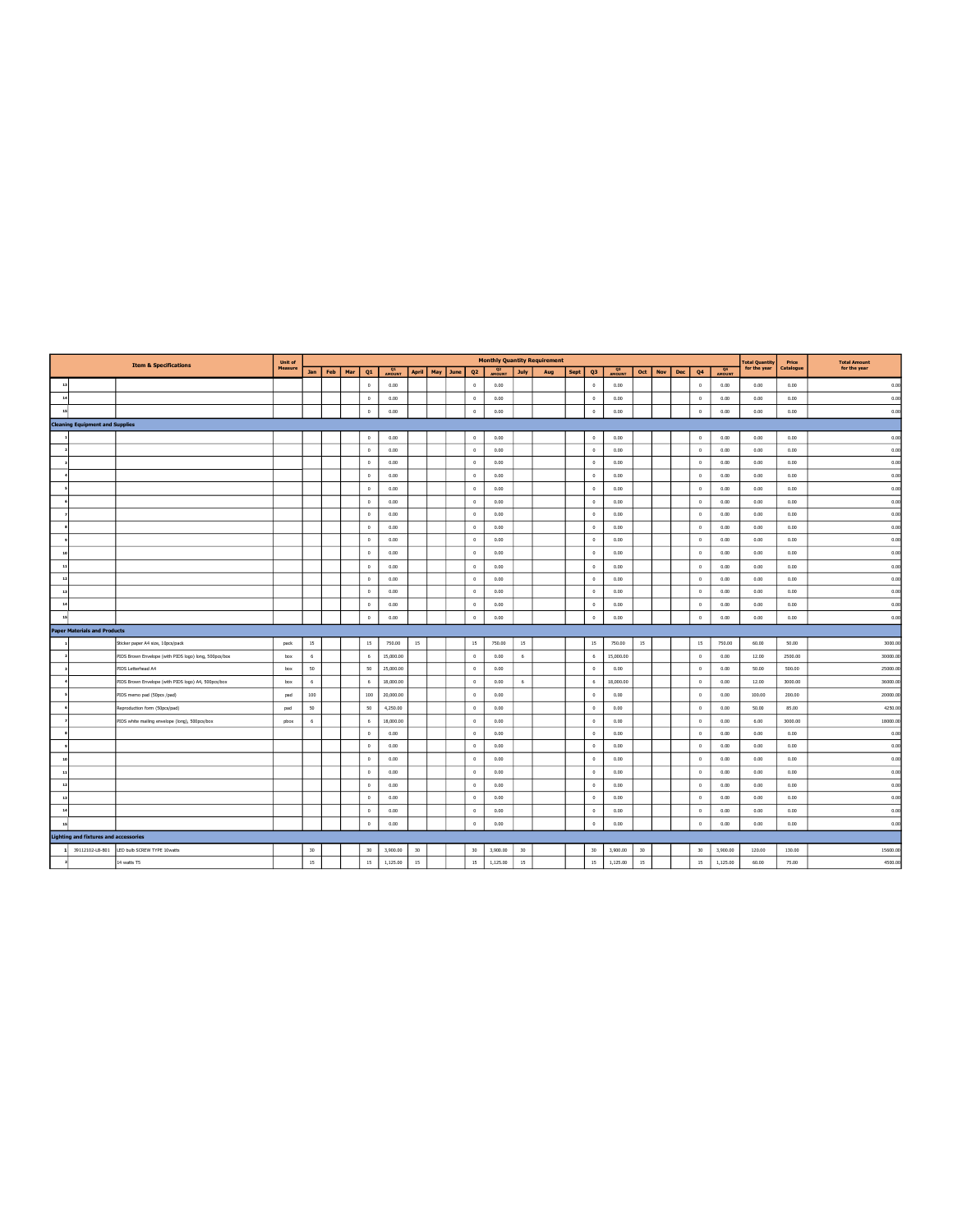|              |                                              | <b>Item &amp; Specifications</b>                      | Unit of |     |         |     |             |           |       |          |                |                          |             | <b>Monthly Quantity Requirement</b> |      |                      |                     |     |     |     |             |          | <b>Total Quantity</b> | Price     | <b>Total Amount</b> |
|--------------|----------------------------------------------|-------------------------------------------------------|---------|-----|---------|-----|-------------|-----------|-------|----------|----------------|--------------------------|-------------|-------------------------------------|------|----------------------|---------------------|-----|-----|-----|-------------|----------|-----------------------|-----------|---------------------|
|              |                                              |                                                       | Measure |     | Jan Feb | Mar | Q1          | AMOUNT    | April | May June | Q <sub>2</sub> | Q <sub>2</sub><br>AMOUNT | <b>July</b> | Aug                                 | Sept | Q <sub>3</sub>       | <b>Q3</b><br>AMOUNT | Oct | Nov | Dec | Q4          | AMOUNT   | for the year          | Catalogue | for the year        |
| $\pm$        |                                              |                                                       |         |     |         |     | $\circ$     | 0.00      |       |          | $^{\circ}$     | 0.00                     |             |                                     |      | $^{\circ}$           | 0.00                |     |     |     | $^{\circ}$  | 0.00     | 0.00                  | 0.00      | 0.00                |
| 14           |                                              |                                                       |         |     |         |     | $\circ$     | 0.00      |       |          | $\mathbb O$    | 0.00                     |             |                                     |      | $\ddot{\phantom{0}}$ | 0.00                |     |     |     | $\,$ 0 $\,$ | 0.00     | 0.00                  | 0.00      | 0.00                |
| 15           |                                              |                                                       |         |     |         |     | $\mathbf 0$ | 0.00      |       |          | $\mathbb O$    | 0.00                     |             |                                     |      | $\circ$              | 0.00                |     |     |     | $\theta$    | 0.00     | 0.00                  | 0.00      | 0.00                |
|              | <b>Cleaning Equipment and Supplies</b>       |                                                       |         |     |         |     |             |           |       |          |                |                          |             |                                     |      |                      |                     |     |     |     |             |          |                       |           |                     |
|              |                                              |                                                       |         |     |         |     | $\circ$     | 0.00      |       |          | $^{\circ}$     | 0.00                     |             |                                     |      | $\circ$              | 0.00                |     |     |     | $^{\circ}$  | 0.00     | 0.00                  | 0.00      | 0.00                |
|              |                                              |                                                       |         |     |         |     | $\circ$     | 0.00      |       |          | $\circ$        | 0.00                     |             |                                     |      | $\circ$              | 0.00                |     |     |     | $\circ$     | 0.00     | 0.00                  | 0.00      | 0.00                |
|              |                                              |                                                       |         |     |         |     | $\Omega$    | 0.00      |       |          | $\circ$        | 0.00                     |             |                                     |      | $\Omega$             | 0.00                |     |     |     | $^{\circ}$  | 0.00     | 0.00                  | 0.00      | 0.00                |
|              |                                              |                                                       |         |     |         |     | $\circ$     | 0.00      |       |          | $\mathbb O$    | 0.00                     |             |                                     |      | $\mathbb O$          | 0.00                |     |     |     | $\,0\,$     | 0.00     | 0.00                  | 0.00      | 0.00                |
|              |                                              |                                                       |         |     |         |     | $\circ$     | 0.00      |       |          | $\circ$        | 0.00                     |             |                                     |      | $\circ$              | 0.00                |     |     |     | $\,0\,$     | 0.00     | 0.00                  | 0.00      | 0.00                |
|              |                                              |                                                       |         |     |         |     | $\circ$     | 0.00      |       |          | $^{\circ}$     | 0.00                     |             |                                     |      | $\circ$              | 0.00                |     |     |     | $\theta$    | 0.00     | 0.00                  | 0.00      | 0.00                |
|              |                                              |                                                       |         |     |         |     | $\circ$     | 0.00      |       |          | $\circ$        | 0.00                     |             |                                     |      | $\mathbf{0}$         | 0.00                |     |     |     | $\circ$     | 0.00     | 0.00                  | 0.00      | 0.00                |
|              |                                              |                                                       |         |     |         |     | $\Omega$    | 0.00      |       |          | $^{\circ}$     | 0.00                     |             |                                     |      | $^{\circ}$           | 0.00                |     |     |     | $^{\circ}$  | 0.00     | 0.00                  | 0.00      | 0.00                |
|              |                                              |                                                       |         |     |         |     | $\circ$     | 0.00      |       |          | $\circ$        | 0.00                     |             |                                     |      | $\circ$              | 0.00                |     |     |     | $\circ$     | 0.00     | 0.00                  | 0.00      | 0.00                |
|              |                                              |                                                       |         |     |         |     | $\circ$     | 0.00      |       |          | $\,0\,$        | 0.00                     |             |                                     |      | $\mathbb O$          | 0.00                |     |     |     | $\,$ 0      | 0.00     | 0.00                  | 0.00      | 0.00                |
|              |                                              |                                                       |         |     |         |     | $\Omega$    | 0.00      |       |          | $\circ$        | 0.00                     |             |                                     |      | $\circ$              | 0.00                |     |     |     | $^{\circ}$  | 0.00     | 0.00                  | 0.00      | 0.00                |
| $\mathbf{1}$ |                                              |                                                       |         |     |         |     | $\circ$     | 0.00      |       |          | $\mathbb O$    | 0.00                     |             |                                     |      | $\circ$              | 0.00                |     |     |     | $^{\circ}$  | 0.00     | 0.00                  | 0.00      | 0.00                |
|              |                                              |                                                       |         |     |         |     | $\circ$     | 0.00      |       |          | $\mathbb O$    | 0.00                     |             |                                     |      | $^{\circ}$           | 0.00                |     |     |     | $^{\circ}$  | 0.00     | 0.00                  | 0.00      | 0.00                |
|              |                                              |                                                       |         |     |         |     | $\theta$    | 0.00      |       |          | $\mathbb O$    | 0.00                     |             |                                     |      | $\circ$              | 0.00                |     |     |     | $\,0\,$     | 0.00     | 0.00                  | 0.00      | 0.00                |
|              |                                              |                                                       |         |     |         |     | $\circ$     | 0.00      |       |          | $\mathbb O$    | 0.00                     |             |                                     |      | $\mathbf{0}$         | 0.00                |     |     |     | $\,0\,$     | 0.00     | 0.00                  | 0.00      | 0.00                |
|              | <b>Paper Materials and Products</b>          |                                                       |         |     |         |     |             |           |       |          |                |                          |             |                                     |      |                      |                     |     |     |     |             |          |                       |           |                     |
|              |                                              | Sticker paper A4 size, 10pcs/pack                     | pack    | 15  |         |     | 15          | 750.00    | 15    |          | 15             | 750.00                   | 15          |                                     |      | 15                   | 750.00              | 15  |     |     | 15          | 750.00   | 60.00                 | 50.00     | 3000.00             |
|              |                                              | PIDS Brown Envelope (with PIDS logo) long, 500pcs/box | box     | 6   |         |     | 6           | 15,000.00 |       |          | $\circ$        | 0.00                     | 6           |                                     |      | 6                    | 15,000.00           |     |     |     | $\circ$     | 0.00     | 12.00                 | 2500.00   | 30000.00            |
|              |                                              | PIDS Letterhead A4                                    | box     | 50  |         |     | 50          | 25,000.00 |       |          | $\mathbb O$    | 0.00                     |             |                                     |      | $\mathbb O$          | 0.00                |     |     |     | $\,0\,$     | 0.00     | 50.00                 | 500.00    | 25000.00            |
|              |                                              | PIDS Brown Envelope (with PIDS logo) A4, 500pcs/box   | box     | 6   |         |     | -6          | 18,000.00 |       |          | $\mathbb O$    | 0.00                     | 6           |                                     |      | 6                    | 18,000.00           |     |     |     | $^{\circ}$  | 0.00     | 12.00                 | 3000.00   | 36000.00            |
|              |                                              | PIDS memo pad (50pcs /pad)                            | pad     | 100 |         |     | 100         | 20,000.00 |       |          | $^{\circ}$     | 0.00                     |             |                                     |      | $\mathbf{0}$         | 0.00                |     |     |     | $^{\circ}$  | 0.00     | 100.00                | 200.00    | 20000.00            |
|              |                                              | Reproduction form (50pcs/pad)                         | pad     | 50  |         |     | 50          | 4,250.00  |       |          | $\circ$        | 0.00                     |             |                                     |      | $\circ$              | 0.00                |     |     |     | $\,0\,$     | 0.00     | 50.00                 | 85.00     | 4250.00             |
|              |                                              | PIDS white mailing envelope (long), 500pcs/box        | pbax    | 6   |         |     | 6           | 18,000.00 |       |          | $\circ$        | 0.00                     |             |                                     |      | $\mathbf{0}$         | 0.00                |     |     |     | $\,$ 0 $\,$ | 0.00     | 6.00                  | 3000.00   | 18000.00            |
|              |                                              |                                                       |         |     |         |     | $\circ$     | 0.00      |       |          | $^{\circ}$     | 0.00                     |             |                                     |      | $^{\circ}$           | 0.00                |     |     |     | $^{\circ}$  | 0.00     | 0.00                  | 0.00      | 0.00                |
|              |                                              |                                                       |         |     |         |     | $\circ$     | 0.00      |       |          | $\circ$        | 0.00                     |             |                                     |      | $\circ$              | 0.00                |     |     |     | $\,0\,$     | 0.00     | 0.00                  | 0.00      | 0.00                |
|              |                                              |                                                       |         |     |         |     | $\Omega$    | 0.00      |       |          | $^{\circ}$     | 0.00                     |             |                                     |      | $\Omega$             | 0.00                |     |     |     | $^{\circ}$  | 0.00     | 0.00                  | 0.00      | 0.00                |
|              |                                              |                                                       |         |     |         |     | $^{\circ}$  | 0.00      |       |          | $^{\circ}$     | 0.00                     |             |                                     |      | $\circ$              | 0.00                |     |     |     | $\theta$    | 0.00     | 0.00                  | 0.00      | 0.00                |
|              |                                              |                                                       |         |     |         |     | $\Omega$    | 0.00      |       |          | $\circ$        | 0.00                     |             |                                     |      | $\mathbf{0}$         | 0.00                |     |     |     | $\theta$    | 0.00     | 0.00                  | 0.00      | 0.00                |
|              |                                              |                                                       |         |     |         |     | $\circ$     | 0.00      |       |          | $\mathbb O$    | 0.00                     |             |                                     |      | $\circ$              | 0.00                |     |     |     | $\,0\,$     | 0.00     | 0.00                  | 0.00      | 0.00                |
|              |                                              |                                                       |         |     |         |     | $\circ$     | 0.00      |       |          | $\circ$        | 0.00                     |             |                                     |      | $\circ$              | 0.00                |     |     |     | $\circ$     | 0.00     | 0.00                  | 0.00      | 0.00                |
|              |                                              |                                                       |         |     |         |     | $\circ$     | 0.00      |       |          | $\mathbb O$    | 0.00                     |             |                                     |      | $\mathbb O$          | 0.00                |     |     |     | $\,0\,$     | 0.00     | 0.00                  | 0.00      | 0.00                |
|              | <b>Lighting and fixtures and accessories</b> |                                                       |         |     |         |     |             |           |       |          |                |                          |             |                                     |      |                      |                     |     |     |     |             |          |                       |           |                     |
| $\mathbf{1}$ | 39112102-LB-B01                              | LED bulb SCREW TYPE 10watts                           |         | 30  |         |     | 30          | 3,900.00  | 30    |          | 30             | 3,900.00                 | 30          |                                     |      | 30                   | 3,900.00            | 30  |     |     | 30          | 3,900.00 | 120.00                | 130.00    | 15600.00            |
|              |                                              | 14 watts T5                                           |         | 15  |         |     | 15          | 1.125.00  | 15    |          | 15             | 1.125.00                 | $15\,$      |                                     |      | $15\,$               | 1.125.00            | 15  |     |     | 15          | 1.125.00 | 60.00                 | 75.00     | 4500.00             |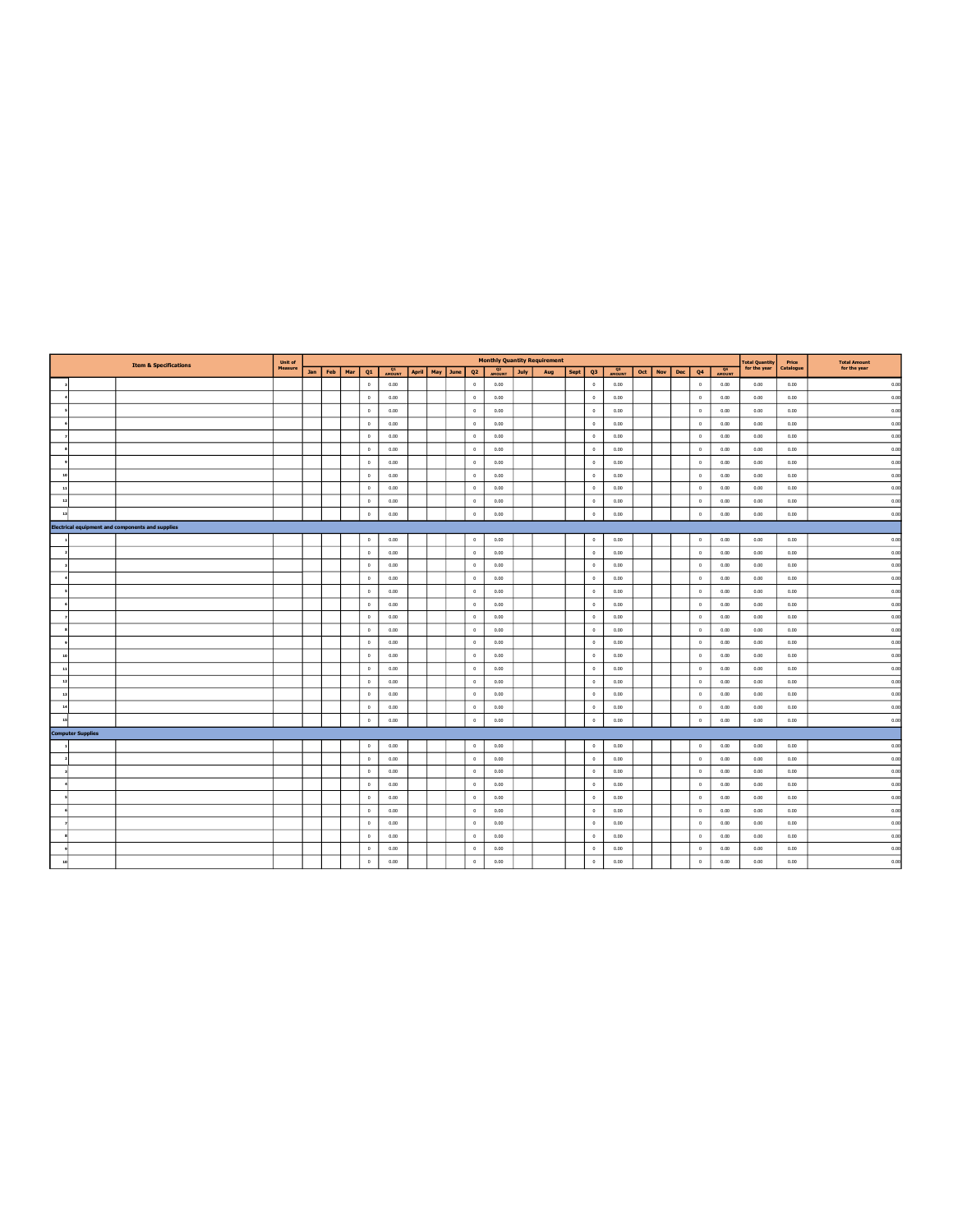|    |                          | <b>Item &amp; Specifications</b>                        | Unit of |             |              |                     |                    |                |                          |      | <b>Monthly Quantity Requirement</b> |           |                |                     |         |     |                |                     | <b>Total Quantity<br/>for the year</b> | Price     | <b>Total Amount</b> |
|----|--------------------------|---------------------------------------------------------|---------|-------------|--------------|---------------------|--------------------|----------------|--------------------------|------|-------------------------------------|-----------|----------------|---------------------|---------|-----|----------------|---------------------|----------------------------------------|-----------|---------------------|
|    |                          |                                                         | Measure | Jan Feb Mar | Q1           | <b>Q1</b><br>AMOUNT | April   May   June | Q <sub>2</sub> | Q <sub>2</sub><br>AMOUNT | July | Aug                                 | Sept   Q3 |                | <b>Q3</b><br>AMOUNT | Oct Nov | Dec | Q <sub>4</sub> | <b>Q4</b><br>AMOUNT |                                        | Catalogue | for the year        |
|    |                          |                                                         |         |             | $\circ$      | 0.00                |                    | $^{\circ}$     | 0.00                     |      |                                     |           | $\circ$        | 0.00                |         |     | $^{\circ}$     | 0.00                | 0.00                                   | 0.00      | 0.00                |
|    |                          |                                                         |         |             | $\circ$      | 0.00                |                    | $\circ$        | 0.00                     |      |                                     |           | $\overline{0}$ | 0.00                |         |     | $\circ$        | 0.00                | 0.00                                   | 0.00      | 0.00                |
|    |                          |                                                         |         |             | $\circ$      | 0.00                |                    | $\circ$        | 0.00                     |      |                                     |           | $\circ$        | 0.00                |         |     | $^{\circ}$     | 0.00                | 0.00                                   | 0.00      | 0.00                |
|    |                          |                                                         |         |             | $\circ$      | 0.00                |                    | $\circ$        | 0.00                     |      |                                     |           | $\overline{0}$ | 0.00                |         |     | $^{\circ}$     | 0.00                | 0.00                                   | 0.00      | 0.00                |
|    |                          |                                                         |         |             | $\circ$      | 0.00                |                    | $\circ$        | 0.00                     |      |                                     |           | $\overline{0}$ | 0.00                |         |     | $\circ$        | 0.00                | 0.00                                   | 0.00      | 0.00                |
|    |                          |                                                         |         |             | $\,0\,$      | 0.00                |                    | $\circ$        | 0.00                     |      |                                     |           | $\circ$        | 0.00                |         |     | $\circ$        | 0.00                | 0.00                                   | 0.00      | 0.00                |
|    |                          |                                                         |         |             | $\circ$      | 0.00                |                    | $\circ$        | 0.00                     |      |                                     |           | $\circ$        | 0.00                |         |     | $\circ$        | 0.00                | 0.00                                   | 0.00      | 0.00                |
| 10 |                          |                                                         |         |             | $\circ$      | 0.00                |                    | $\circ$        | 0.00                     |      |                                     |           | $\circ$        | 0.00                |         |     | $\circ$        | 0.00                | 0.00                                   | 0.00      | 0.00                |
| 11 |                          |                                                         |         |             | $\circ$      | 0.00                |                    | $\circ$        | 0.00                     |      |                                     |           | $\circ$        | 0.00                |         |     | $\circ$        | 0.00                | 0.00                                   | 0.00      | 0.00                |
| 12 |                          |                                                         |         |             | $\circ$      | 0.00                |                    | $\circ$        | 0.00                     |      |                                     |           | $\circ$        | 0.00                |         |     | $\circ$        | 0.00                | 0.00                                   | 0.00      | 0.00                |
| 13 |                          |                                                         |         |             | $\theta$     | 0.00                |                    | $\circ$        | 0.00                     |      |                                     |           | $\,0\,$        | 0.00                |         |     | $\circ$        | 0.00                | 0.00                                   | 0.00      | 0.00                |
|    |                          | <b>Electrical equipment and components and supplies</b> |         |             |              |                     |                    |                |                          |      |                                     |           |                |                     |         |     |                |                     |                                        |           |                     |
|    |                          |                                                         |         |             | $\circ$      | 0.00                |                    | $\circ$        | 0.00                     |      |                                     |           | $\overline{0}$ | 0.00                |         |     | $^{\circ}$     | 0.00                | 0.00                                   | 0.00      | 0.00                |
|    |                          |                                                         |         |             | $\circ$      | 0.00                |                    | $\circ$        | 0.00                     |      |                                     |           | $\overline{0}$ | 0.00                |         |     | $\circ$        | 0.00                | 0.00                                   | 0.00      | 0.00                |
|    |                          |                                                         |         |             | $\circ$      | 0.00                |                    | $\circ$        | 0.00                     |      |                                     |           | $\overline{0}$ | 0.00                |         |     | $^{\circ}$     | 0.00                | 0.00                                   | 0.00      | 0.00                |
|    |                          |                                                         |         |             | $\mathbf{0}$ | 0.00                |                    | $\circ$        | 0.00                     |      |                                     |           | $\overline{0}$ | 0.00                |         |     | $\circ$        | 0.00                | 0.00                                   | 0.00      | 0.00                |
|    |                          |                                                         |         |             | $\circ$      | 0.00                |                    | $\circ$        | 0.00                     |      |                                     |           | $\circ$        | 0.00                |         |     | $\circ$        | 0.00                | 0.00                                   | 0.00      | 0.00                |
|    |                          |                                                         |         |             | $\mathbf{0}$ | 0.00                |                    | $\circ$        | 0.00                     |      |                                     |           | $\overline{0}$ | 0.00                |         |     | $\circ$        | 0.00                | 0.00                                   | 0.00      | 0.00                |
|    |                          |                                                         |         |             | $\mathbf{0}$ | 0.00                |                    | $\circ$        | 0.00                     |      |                                     |           | $\overline{0}$ | 0.00                |         |     | $\circ$        | 0.00                | 0.00                                   | 0.00      | 0.00                |
|    |                          |                                                         |         |             | $\circ$      | 0.00                |                    | $\circ$        | 0.00                     |      |                                     |           | $\circ$        | 0.00                |         |     | $\circ$        | 0.00                | 0.00                                   | 0.00      | 0.00                |
|    |                          |                                                         |         |             | $\theta$     | 0.00                |                    | $\circ$        | 0.00                     |      |                                     |           | $\mathbf{0}$   | 0.00                |         |     | $\circ$        | 0.00                | 0.00                                   | 0.00      | 0.00                |
| 10 |                          |                                                         |         |             | $\circ$      | 0.00                |                    | $\circ$        | 0.00                     |      |                                     |           | $\overline{0}$ | 0.00                |         |     | $\circ$        | 0.00                | 0.00                                   | 0.00      | 0.00                |
| 11 |                          |                                                         |         |             | $\circ$      | 0.00                |                    | $\circ$        | 0.00                     |      |                                     |           | $\mathbf{0}$   | 0.00                |         |     | $^{\circ}$     | 0.00                | 0.00                                   | 0.00      | 0.00                |
| 12 |                          |                                                         |         |             | $\mathbf{0}$ | 0.00                |                    | $\circ$        | 0.00                     |      |                                     |           | $\overline{0}$ | 0.00                |         |     | $\circ$        | 0.00                | 0.00                                   | 0.00      | 0.00                |
| 13 |                          |                                                         |         |             | $\circ$      | 0.00                |                    | $\circ$        | 0.00                     |      |                                     |           | $\overline{0}$ | 0.00                |         |     | $^{\circ}$     | 0.00                | 0.00                                   | 0.00      | 0.00                |
| 14 |                          |                                                         |         |             | $\theta$     | 0.00                |                    | $\circ$        | 0.00                     |      |                                     |           | $\mathbf{0}$   | 0.00                |         |     | $\circ$        | 0.00                | 0.00                                   | 0.00      | 0.00                |
| 15 |                          |                                                         |         |             | $\,0\,$      | 0.00                |                    | $\,$ 0         | 0.00                     |      |                                     |           | $\,$ 0         | 0.00                |         |     | $\circ$        | 0.00                | 0.00                                   | 0.00      | 0.00                |
|    | <b>Computer Supplies</b> |                                                         |         |             |              |                     |                    |                |                          |      |                                     |           |                |                     |         |     |                |                     |                                        |           |                     |
|    |                          |                                                         |         |             | $\circ$      | 0.00                |                    | $\circ$        | 0.00                     |      |                                     |           | $\overline{0}$ | 0.00                |         |     | $^{\circ}$     | 0.00                | 0.00                                   | 0.00      | 0.00                |
|    |                          |                                                         |         |             | $\circ$      | 0.00                |                    | $\circ$        | 0.00                     |      |                                     |           | $\circ$        | 0.00                |         |     | $^{\circ}$     | 0.00                | 0.00                                   | 0.00      | 0.00                |
|    |                          |                                                         |         |             | $\circ$      | 0.00                |                    | $\circ$        | 0.00                     |      |                                     |           | $\circ$        | 0.00                |         |     | $\circ$        | 0.00                | 0.00                                   | 0.00      | 0.00                |
|    |                          |                                                         |         |             | $\circ$      | 0.00                |                    | $\circ$        | 0.00                     |      |                                     |           | $^{\circ}$     | 0.00                |         |     | $^{\circ}$     | 0.00                | 0.00                                   | 0.00      | 0.00                |
|    |                          |                                                         |         |             | $\mathbf{0}$ | 0.00                |                    | $\,$ 0 $\,$    | 0.00                     |      |                                     |           | $\overline{0}$ | 0.00                |         |     | $\circ$        | 0.00                | 0.00                                   | 0.00      | 0.00                |
|    |                          |                                                         |         |             | $\circ$      | 0.00                |                    | $\circ$        | 0.00                     |      |                                     |           | $\overline{0}$ | 0.00                |         |     | $\circ$        | 0.00                | 0.00                                   | 0.00      | 0.00                |
|    |                          |                                                         |         |             | $\circ$      | 0.00                |                    | $\circ$        | 0.00                     |      |                                     |           | $\mathbf{0}$   | 0.00                |         |     | $^{\circ}$     | 0.00                | 0.00                                   | 0.00      | 0.00                |
|    |                          |                                                         |         |             | $\mathbf{0}$ | 0.00                |                    | $\circ$        | 0.00                     |      |                                     |           | $\overline{0}$ | 0.00                |         |     | $\circ$        | 0.00                | 0.00                                   | 0.00      | 0.00                |
|    |                          |                                                         |         |             | $\circ$      | 0.00                |                    | $\circ$        | 0.00                     |      |                                     |           | $\circ$        | 0.00                |         |     | $\circ$        | 0.00                | 0.00                                   | 0.00      | 0.00                |
|    |                          |                                                         |         |             | $\circ$      | 0.00                |                    | $\circ$        | 0.00                     |      |                                     |           | $\circ$        | 0.00                |         |     | $^{\circ}$     | 0.00                | 0.00                                   | 0.00      | 0.00                |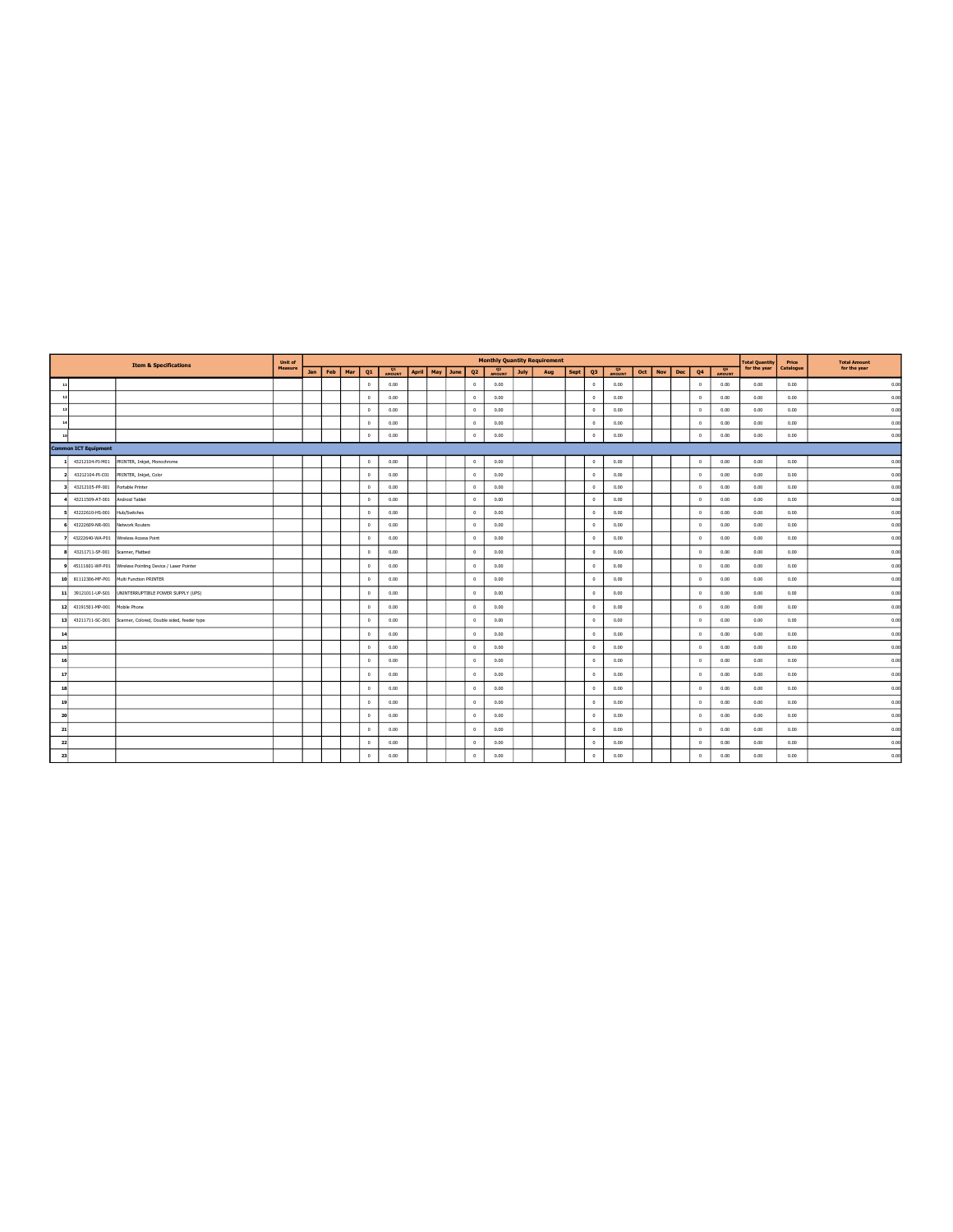|                |                                  |                                             | <b>Unit of</b> |     |     |     |              |                     |              |          |                |                     |             | <b>Monthly Quantity Requirement</b> |             |                      |              |         |            |                      |        | <b>Total Quantity</b> | Price     | <b>Total Amount</b> |
|----------------|----------------------------------|---------------------------------------------|----------------|-----|-----|-----|--------------|---------------------|--------------|----------|----------------|---------------------|-------------|-------------------------------------|-------------|----------------------|--------------|---------|------------|----------------------|--------|-----------------------|-----------|---------------------|
|                | <b>Item &amp; Specifications</b> |                                             | Measure        | Jan | Feb | Mar | Q1           | <b>Q1</b><br>AMOUNT | <b>April</b> | May June | Q <sub>2</sub> | <b>Q2</b><br>AMOUNT | <b>July</b> | Aug                                 | <b>Sept</b> | Q3                   | Q3<br>AMOUNT | Oct Nov | <b>Dec</b> | Q4                   | AMOUNT | for the year          | Catalogue | for the year        |
| $\rightarrow$  |                                  |                                             |                |     |     |     | $\mathbb O$  | 0.00                |              |          | $^{\circ}$     | 0.00                |             |                                     |             | $\mathbb O$          | 0.00         |         |            | $\circ$              | 0.00   | 0.00                  | 0.00      | 0.00                |
| $\mathbf{r}$   |                                  |                                             |                |     |     |     | $\circ$      | 0.00                |              |          | $^{\circ}$     | 0.00                |             |                                     |             | $\theta$             | 0.00         |         |            | $\theta$             | 0.00   | 0.00                  | 0.00      | 0.00                |
|                |                                  |                                             |                |     |     |     | $^{\circ}$   | 0.00                |              |          | $^{\circ}$     | 0.00                |             |                                     |             | $\circ$              | 0.00         |         |            | $\theta$             | 0.00   | 0.00                  | 0.00      | 0.00                |
|                |                                  |                                             |                |     |     |     | $\circ$      | 0.00                |              |          | $^{\circ}$     | 0.00                |             |                                     |             | $^{\circ}$           | 0.00         |         |            | $\theta$             | 0.00   | 0.00                  | 0.00      | 0.00                |
|                |                                  |                                             |                |     |     |     | $\mathbb O$  | 0.00                |              |          | $^{\circ}$     | 0.00                |             |                                     |             | $\circ$              | 0.00         |         |            | $\theta$             | 0.00   | 0.00                  | 0.00      | 0.00                |
|                | <b>Common ICT Equipment</b>      |                                             |                |     |     |     |              |                     |              |          |                |                     |             |                                     |             |                      |              |         |            |                      |        |                       |           |                     |
|                | 43212104-PI-M01                  | PRINTER, Inkjet, Monochrome                 |                |     |     |     | $\circ$      | 0.00                |              |          | $\theta$       | 0.00                |             |                                     |             | $\circ$              | 0.00         |         |            | $\,$ 0               | 0.00   | 0.00                  | 0.00      | 0.00                |
|                | 43212104-PI-C01                  | PRINTER, Inkjet, Color                      |                |     |     |     | $\mathbf{0}$ | 0.00                |              |          | $^{\circ}$     | 0.00                |             |                                     |             | $^{\circ}$           | 0.00         |         |            | $\ddot{\phantom{0}}$ | 0.00   | 0.00                  | 0.00      | 0.00                |
|                | 43212105-PP-001                  | Portable Printer                            |                |     |     |     | $\circ$      | 0.00                |              |          | $\circ$        | 0.00                |             |                                     |             | $\circ$              | 0.00         |         |            | $\circ$              | 0.00   | 0.00                  | 0.00      | 0.00                |
|                | 43211509-AT-001                  | Android Tablet                              |                |     |     |     | $\circ$      | 0.00                |              |          | $\circ$        | 0.00                |             |                                     |             | $\circ$              | 0.00         |         |            | $\,$ 0               | 0.00   | 0.00                  | 0.00      | 0.00                |
|                | 43222610-HS-001                  | Hub/Switches                                |                |     |     |     | $\circ$      | 0.00                |              |          | $^{\circ}$     | 0.00                |             |                                     |             | $\circ$              | 0.00         |         |            | $^{\circ}$           | 0.00   | 0.00                  | 0.00      | 0.00                |
|                | 43222609-NR-001                  | Network Routers                             |                |     |     |     | $\circ$      | 0.00                |              |          | $^{\circ}$     | 0.00                |             |                                     |             | $\ddot{\phantom{0}}$ | 0.00         |         |            | $^{\circ}$           | 0.00   | 0.00                  | 0.00      | 0.00                |
|                | 43222640-WA-P01                  | Wireless Access Point                       |                |     |     |     | $\circ$      | 0.00                |              |          | $\circ$        | 0.00                |             |                                     |             | $\circ$              | 0.00         |         |            | $\circ$              | 0.00   | 0.00                  | 0.00      | 0.00                |
|                | 43211711-SF-001                  | Scanner, Flatbed                            |                |     |     |     | $^{\circ}$   | 0.00                |              |          | $^{\circ}$     | 0.00                |             |                                     |             | $^{\circ}$           | 0.00         |         |            | $\theta$             | 0.00   | 0.00                  | 0.00      | 0.00                |
|                | 45111601-WP-P01                  | Wireless Pointing Device / Laser Pointer    |                |     |     |     | $^{\circ}$   | 0.00                |              |          | $^{\circ}$     | 0.00                |             |                                     |             | $^{\circ}$           | 0.00         |         |            | $\ddot{\phantom{0}}$ | 0.00   | 0.00                  | 0.00      | 0.00                |
| 10             | 81112306-MF-P01                  | Multi Function PRINTER                      |                |     |     |     | $\circ$      | 0.00                |              |          | $^{\circ}$     | 0.00                |             |                                     |             | $\mathbf{0}$         | 0.00         |         |            | $^{\circ}$           | 0.00   | 0.00                  | 0.00      | 0.00                |
| 11             | 39121011-UP-S01                  | UNINTERRUPTIBLE POWER SUPPLY (UPS)          |                |     |     |     | $^{\circ}$   | 0.00                |              |          | $^{\circ}$     | 0.00                |             |                                     |             | $\mathbf{0}$         | 0.00         |         |            | $\ddot{\phantom{0}}$ | 0.00   | 0.00                  | 0.00      | 0.00                |
| 12             | 43191501-MP-001                  | Mobile Phone                                |                |     |     |     | $\circ$      | 0.00                |              |          | $\circ$        | 0.00                |             |                                     |             | $\circ$              | 0.00         |         |            | $\,$ 0               | 0.00   | 0.00                  | 0.00      | 0.00                |
| 13             | 43211711-SC-D01                  | Scanner, Colored, Double sided, feeder type |                |     |     |     | $\circ$      | 0.00                |              |          | $\circ$        | 0.00                |             |                                     |             | $\,0\,$              | 0.00         |         |            | $\,$ 0 $\,$          | 0.00   | 0.00                  | 0.00      | 0.00                |
| 14             |                                  |                                             |                |     |     |     | $\circ$      | 0.00                |              |          | $^{\circ}$     | 0.00                |             |                                     |             | $\circ$              | 0.00         |         |            | $\theta$             | 0.00   | 0.00                  | 0.00      | 0.00                |
| $\overline{1}$ |                                  |                                             |                |     |     |     | $\circ$      | 0.00                |              |          | $^{\circ}$     | 0.00                |             |                                     |             | $\circ$              | 0.00         |         |            | $\theta$             | 0.00   | 0.00                  | 0.00      | 0.00                |
| 16             |                                  |                                             |                |     |     |     | $\mathbf{0}$ | 0.00                |              |          | $^{\circ}$     | 0.00                |             |                                     |             | $\mathbf{0}$         | 0.00         |         |            | $\theta$             | 0.00   | 0.00                  | 0.00      | 0.00                |
| 17             |                                  |                                             |                |     |     |     | $\circ$      | 0.00                |              |          | $\circ$        | 0.00                |             |                                     |             | $\,0\,$              | 0.00         |         |            | $\,$ 0               | 0.00   | 0.00                  | 0.00      | 0.00                |
| 18             |                                  |                                             |                |     |     |     | $\circ$      | 0.00                |              |          | $^{\circ}$     | 0.00                |             |                                     |             | $\circ$              | 0.00         |         |            | $\theta$             | 0.00   | 0.00                  | 0.00      | 0.00                |
| 19             |                                  |                                             |                |     |     |     | $\circ$      | 0.00                |              |          | $\circ$        | 0.00                |             |                                     |             | $\,0\,$              | 0.00         |         |            | $\,$ 0               | 0.00   | 0.00                  | 0.00      | 0.00                |
| 20             |                                  |                                             |                |     |     |     | $\circ$      | 0.00                |              |          | $^{\circ}$     | 0.00                |             |                                     |             | $\theta$             | 0.00         |         |            | $\theta$             | 0.00   | 0.00                  | 0.00      | 0.00                |
| 21             |                                  |                                             |                |     |     |     | $\circ$      | 0.00                |              |          | $^{\circ}$     | 0.00                |             |                                     |             | $\circ$              | 0.00         |         |            | $\,$ 0               | 0.00   | 0.00                  | 0.00      | 0.00                |
| 22             |                                  |                                             |                |     |     |     | $\circ$      | 0.00                |              |          | $\circ$        | 0.00                |             |                                     |             | $\,0\,$              | 0.00         |         |            | $\,$ 0               | 0.00   | 0.00                  | 0.00      | 0.00                |
| 23             |                                  |                                             |                |     |     |     | $\circ$      | 0.00                |              |          | $^{\circ}$     | 0.00                |             |                                     |             | $\,0\,$              | 0.00         |         |            | $\theta$             | 0.00   | 0.00                  | 0.00      | 0.00                |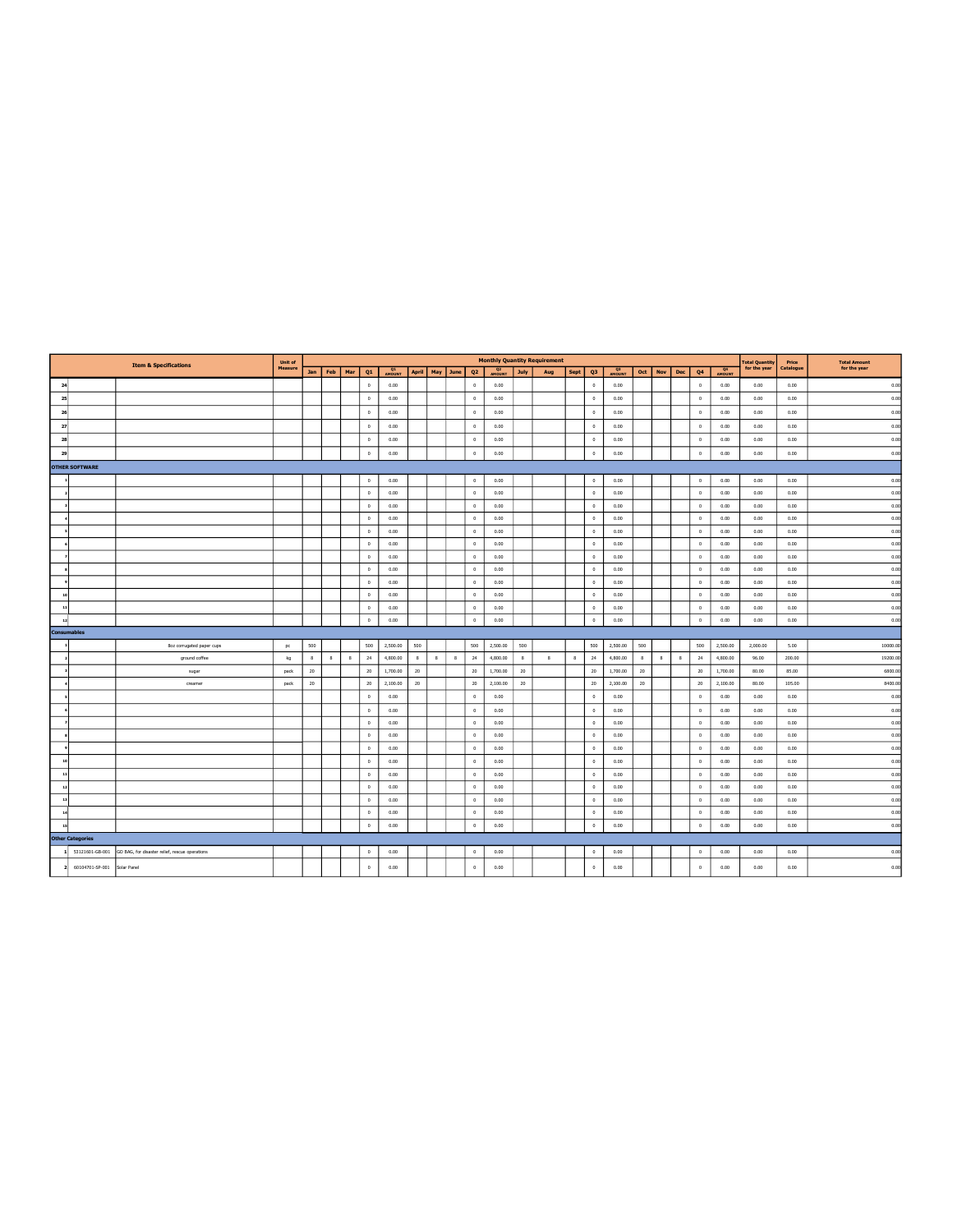|                 |                         | <b>Item &amp; Specifications</b>               | Unit of |     |         |     |              |                |     |                    |        |                |                     |      | <b>Monthly Quantity Requirement</b> |      |                      |                     |     |     |              |              |          | <b>Total Quantity</b> | Price     | <b>Total Amount</b> |
|-----------------|-------------------------|------------------------------------------------|---------|-----|---------|-----|--------------|----------------|-----|--------------------|--------|----------------|---------------------|------|-------------------------------------|------|----------------------|---------------------|-----|-----|--------------|--------------|----------|-----------------------|-----------|---------------------|
|                 |                         |                                                | Measure |     | Jan Feb | Mar | Q1           | $Q1$<br>AMOUNT |     | April   May   June |        | Q <sub>2</sub> | <b>Q2</b><br>AMOUNT | July | Aug                                 | Sept | Q3                   | <b>Q3</b><br>AMOUNT | Oct | Nov | Dec          | Q4           | AMOUNT   | for the year          | Catalogue | for the year        |
| 24              |                         |                                                |         |     |         |     | $\circ$      | 0.00           |     |                    |        | $\circ$        | 0.00                |      |                                     |      | $\circ$              | 0.00                |     |     |              | $\circ$      | 0.00     | 0.00                  | 0.00      | 0.00                |
| 25              |                         |                                                |         |     |         |     | $\circ$      | 0.00           |     |                    |        | $\mathbb O$    | 0.00                |      |                                     |      | $\circ$              | 0.00                |     |     |              | $\,$ 0 $\,$  | 0.00     | 0.00                  | 0.00      | 0.00                |
| 26              |                         |                                                |         |     |         |     | $\theta$     | 0.00           |     |                    |        | $\circ$        | 0.00                |      |                                     |      | $\circ$              | 0.00                |     |     |              | $\,$ 0 $\,$  | 0.00     | 0.00                  | 0.00      | 0.00                |
| 27              |                         |                                                |         |     |         |     | $\mathbf 0$  | 0.00           |     |                    |        | $\mathbb O$    | 0.00                |      |                                     |      | $\circ$              | 0.00                |     |     |              | $\,$ 0 $\,$  | 0.00     | 0.00                  | 0.00      | 0.00                |
| 28              |                         |                                                |         |     |         |     | $\mathbf 0$  | 0.00           |     |                    |        | $\mathbb O$    | 0.00                |      |                                     |      | $\circ$              | 0.00                |     |     |              | $\,0\,$      | 0.00     | 0.00                  | 0.00      | 0.00                |
| 29              |                         |                                                |         |     |         |     | $\circ$      | 0.00           |     |                    |        | $\circ$        | 0.00                |      |                                     |      | $\circ$              | 0.00                |     |     |              | $\,0\,$      | 0.00     | 0.00                  | 0.00      | 0.00                |
|                 | <b>OTHER SOFTWARE</b>   |                                                |         |     |         |     |              |                |     |                    |        |                |                     |      |                                     |      |                      |                     |     |     |              |              |          |                       |           |                     |
|                 |                         |                                                |         |     |         |     | $\circ$      | 0.00           |     |                    |        | $\circ$        | 0.00                |      |                                     |      | $\circ$              | 0.00                |     |     |              | $\circ$      | 0.00     | 0.00                  | 0.00      | 0.00                |
|                 |                         |                                                |         |     |         |     | $\mathbf{0}$ | 0.00           |     |                    |        | $\circ$        | 0.00                |      |                                     |      | $\circ$              | 0.00                |     |     |              | $\circ$      | 0.00     | 0.00                  | 0.00      | 0.00                |
|                 |                         |                                                |         |     |         |     | $\circ$      | 0.00           |     |                    |        | $^{\circ}$     | 0.00                |      |                                     |      | $\circ$              | 0.00                |     |     |              | $^{\circ}$   | 0.00     | 0.00                  | 0.00      | 0.00                |
|                 |                         |                                                |         |     |         |     | $\circ$      | 0.00           |     |                    |        | $\circ$        | 0.00                |      |                                     |      | $\circ$              | 0.00                |     |     |              | $\circ$      | 0.00     | 0.00                  | 0.00      | 0.00                |
|                 |                         |                                                |         |     |         |     | $\circ$      | 0.00           |     |                    |        | $\circ$        | 0.00                |      |                                     |      | $\circ$              | 0.00                |     |     |              | $\circ$      | 0.00     | 0.00                  | 0.00      | 0.00                |
|                 |                         |                                                |         |     |         |     | $\circ$      | 0.00           |     |                    |        | $^{\circ}$     | 0.00                |      |                                     |      | $^{\circ}$           | 0.00                |     |     |              | $\circ$      | 0.00     | 0.00                  | 0.00      | 0.00                |
|                 |                         |                                                |         |     |         |     | $\circ$      | 0.00           |     |                    |        | $\circ$        | 0.00                |      |                                     |      | $\circ$              | 0.00                |     |     |              | $\,$ 0 $\,$  | 0.00     | 0.00                  | 0.00      | 0.00                |
|                 |                         |                                                |         |     |         |     | $\circ$      | 0.00           |     |                    |        | $\circ$        | 0.00                |      |                                     |      | $\circ$              | 0.00                |     |     |              | $\,$ 0 $\,$  | 0.00     | 0.00                  | 0.00      | 0.00                |
|                 |                         |                                                |         |     |         |     | $\circ$      | 0.00           |     |                    |        | $^{\circ}$     | 0.00                |      |                                     |      | $\circ$              | 0.00                |     |     |              | $\circ$      | 0.00     | 0.00                  | 0.00      | 0.00                |
| $\overline{10}$ |                         |                                                |         |     |         |     | $\circ$      | 0.00           |     |                    |        | $\circ$        | 0.00                |      |                                     |      | $\circ$              | 0.00                |     |     |              | $\theta$     | 0.00     | 0.00                  | 0.00      | 0.00                |
| 11              |                         |                                                |         |     |         |     | $\circ$      | 0.00           |     |                    |        | $\circ$        | 0.00                |      |                                     |      | $\circ$              | 0.00                |     |     |              | $\circ$      | 0.00     | 0.00                  | 0.00      | 0.00                |
| 12              |                         |                                                |         |     |         |     | $\circ$      | 0.00           |     |                    |        | $\circ$        | 0.00                |      |                                     |      | $\circ$              | 0.00                |     |     |              | $\,0\,$      | 0.00     | 0.00                  | 0.00      | 0.00                |
|                 | <b>Consumables</b>      |                                                |         |     |         |     |              |                |     |                    |        |                |                     |      |                                     |      |                      |                     |     |     |              |              |          |                       |           |                     |
|                 |                         | 8oz corrugated paper cups                      | pc      | 500 |         |     | 500          | 2,500.00       | 500 |                    |        | 500            | 2,500.00            | 500  |                                     |      | 500                  | 2,500.00            | 500 |     |              | 500          | 2,500.00 | 2,000.00              | 5.00      | 10000.00            |
|                 |                         | ground coffee                                  | kg      | 8   | 8       | 8   | 24           | 4,800.00       | 8   | $\bf{8}$           | $\,$ 8 | 24             | 4,800.00            | 8    | 8                                   | 8    | 24                   | 4,800.00            | 8   | 8   | $\mathbf{8}$ | $24\,$       | 4,800.00 | 96.00                 | 200.00    | 19200.00            |
|                 |                         | sugar                                          | pack    | 20  |         |     | 20           | 1,700.00       | 20  |                    |        | 20             | 1,700.00            | 20   |                                     |      | 20                   | 1,700.00            | 20  |     |              | 20           | 1,700.00 | 80.00                 | 85.00     | 6800.00             |
|                 |                         | creamer                                        | pack    | 20  |         |     | 20           | 2,100.00       | 20  |                    |        | 20             | 2,100.00            | 20   |                                     |      | 20                   | 2,100.00            | 20  |     |              | 20           | 2,100.00 | 80.00                 | 105.00    | 8400.00             |
|                 |                         |                                                |         |     |         |     | $\circ$      | 0.00           |     |                    |        | $\circ$        | 0.00                |      |                                     |      | $\circ$              | 0.00                |     |     |              | $\circ$      | 0.00     | 0.00                  | 0.00      | 0.00                |
|                 |                         |                                                |         |     |         |     | $\circ$      | 0.00           |     |                    |        | $\circ$        | 0.00                |      |                                     |      | $\circ$              | 0.00                |     |     |              | $\circ$      | 0.00     | 0.00                  | 0.00      | 0.00                |
|                 |                         |                                                |         |     |         |     | $\circ$      | 0.00           |     |                    |        | $\circ$        | 0.00                |      |                                     |      | $\circ$              | 0.00                |     |     |              | $\,$ 0 $\,$  | 0.00     | 0.00                  | 0.00      | 0.00                |
|                 |                         |                                                |         |     |         |     | $^{\circ}$   | 0.00           |     |                    |        | $^{\circ}$     | 0.00                |      |                                     |      | $\circ$              | 0.00                |     |     |              | $\theta$     | 0.00     | 0.00                  | 0.00      | 0.00                |
|                 |                         |                                                |         |     |         |     |              |                |     |                    |        |                |                     |      |                                     |      | $\circ$              | 0.00                |     |     |              | $\circ$      | 0.00     | 0.00                  | 0.00      | 0.00                |
|                 |                         |                                                |         |     |         |     | $\circ$      | 0.00           |     |                    |        | $\circ$        | 0.00                |      |                                     |      |                      |                     |     |     |              |              |          |                       |           |                     |
|                 |                         |                                                |         |     |         |     | $\circ$      | 0.00           |     |                    |        | $\mathbb O$    | 0.00                |      |                                     |      | $\circ$              | 0.00                |     |     |              | $\,$ 0 $\,$  | 0.00     | 0.00                  | 0.00      | 0.00                |
|                 |                         |                                                |         |     |         |     | $\theta$     | 0.00           |     |                    |        | $\circ$        | 0.00                |      |                                     |      | $\mathbf{0}$         | 0.00                |     |     |              | $\mathbf{0}$ | 0.00     | 0.00                  | 0.00      | 0.00                |
| $\overline{11}$ |                         |                                                |         |     |         |     | $\circ$      | 0.00           |     |                    |        | $\circ$        | 0.00                |      |                                     |      | $\circ$              | 0.00                |     |     |              | $\circ$      | 0.00     | 0.00                  | 0.00      | 0.00                |
| 13              |                         |                                                |         |     |         |     | $\circ$      | 0.00           |     |                    |        | $\circ$        | 0.00                |      |                                     |      | $\circ$              | 0.00                |     |     |              | $\circ$      | 0.00     | 0.00                  | 0.00      | 0.00                |
| $\mathbf{r}$    |                         |                                                |         |     |         |     | $\theta$     | 0.00           |     |                    |        | $\circ$        | 0.00                |      |                                     |      | $\ddot{\phantom{0}}$ | 0.00                |     |     |              | $\,$ 0 $\,$  | 0.00     | 0.00                  | 0.00      | 0.00                |
| 15              |                         |                                                |         |     |         |     | $\circ$      | 0.00           |     |                    |        | $\circ$        | 0.00                |      |                                     |      | $\circ$              | 0.00                |     |     |              | $\,0\,$      | 0.00     | 0.00                  | 0.00      | 0.00                |
|                 | <b>Other Categories</b> |                                                |         |     |         |     |              |                |     |                    |        |                |                     |      |                                     |      |                      |                     |     |     |              |              |          |                       |           |                     |
| $\mathbf{1}$    | 53121601-GB-001         | GO BAG, for disaster relief, rescue operations |         |     |         |     | $\circ$      | 0.00           |     |                    |        | $\circ$        | 0.00                |      |                                     |      | $\circ$              | 0.00                |     |     |              | $\,0\,$      | 0.00     | 0.00                  | 0.00      | 0.00                |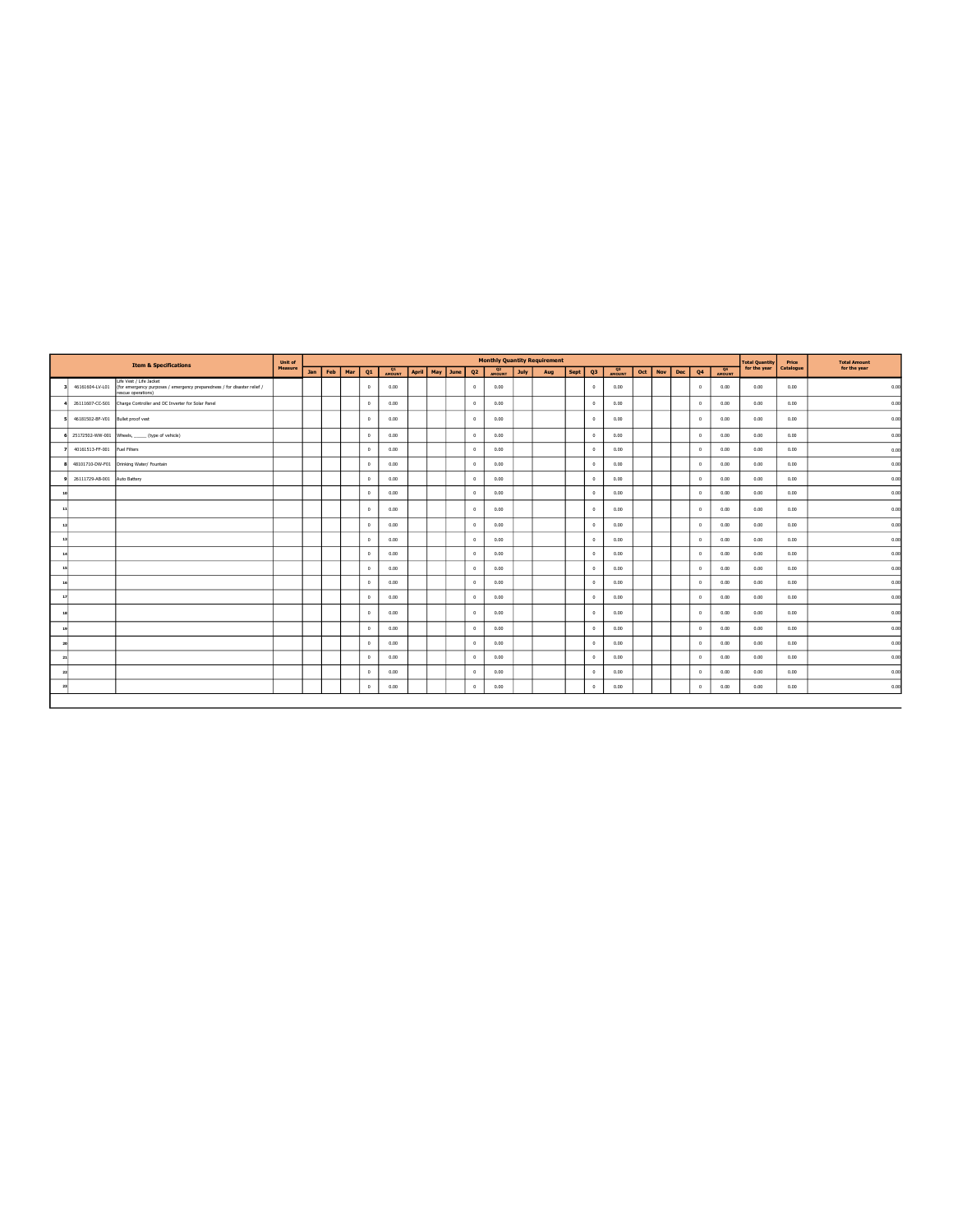|               |                 | <b>Item &amp; Specifications</b>                                                                                          | Unit of        |            |     |     |              |                |       |          |                |                     |             | <b>Monthly Quantity Requirement</b> |      |                |                     |     |     |     |                      |        | <b>Total Quantity</b> | Price     | <b>Total Amount</b> |
|---------------|-----------------|---------------------------------------------------------------------------------------------------------------------------|----------------|------------|-----|-----|--------------|----------------|-------|----------|----------------|---------------------|-------------|-------------------------------------|------|----------------|---------------------|-----|-----|-----|----------------------|--------|-----------------------|-----------|---------------------|
|               |                 |                                                                                                                           | <b>Measure</b> | <b>Jan</b> | Feb | Mar | Q1           | $Q1$<br>AMOUNT | April | May June | Q <sub>2</sub> | <b>Q2</b><br>AMOUNT | <b>July</b> | Aug                                 | Sept | Q <sub>3</sub> | <b>Q3</b><br>AMOUNT | Oct | Nov | Dec | Q4                   | AMOUNT | for the year          | Catalogue | for the year        |
|               | 46161604-LV-L01 | Life Vest / Life Jacket<br>(for emergency purposes / emergency preparedness / for disaster relief /<br>rescue operations) |                |            |     |     | $\theta$     | 0.00           |       |          | $^{\circ}$     | 0.00                |             |                                     |      | $\mathbf{0}$   | 0.00                |     |     |     | $\theta$             | 0.00   | 0.00                  | 0.00      | 0.00                |
|               | 26111607-CC-S01 | Charge Controller and DC Inverter for Solar Panel                                                                         |                |            |     |     | $^{\circ}$   | 0.00           |       |          | $^{\circ}$     | 0.00                |             |                                     |      | $^{\circ}$     | 0.00                |     |     |     | $\circ$              | 0.00   | 0.00                  | 0.00      | 0.00                |
|               | 46181502-BF-V01 | <b>Bullet proof vest</b>                                                                                                  |                |            |     |     | $\mathbf{0}$ | 0.00           |       |          | $^{\circ}$     | 0.00                |             |                                     |      | $\theta$       | 0.00                |     |     |     | $\circ$              | 0.00   | 0.00                  | 0.00      | 0.00                |
|               |                 | 25172502-WW-001 Wheels, ______ (type of vehicle)                                                                          |                |            |     |     | $^{\circ}$   | 0.00           |       |          | $^{\circ}$     | 0.00                |             |                                     |      | $^{\circ}$     | 0.00                |     |     |     | $\circ$              | 0.00   | 0.00                  | 0.00      | 0.00                |
|               | 40161513-FF-001 | Fuel Filters                                                                                                              |                |            |     |     | $\mathbf{0}$ | 0.00           |       |          | $^{\circ}$     | 0.00                |             |                                     |      | $^{\circ}$     | 0.00                |     |     |     | $\theta$             | 0.00   | 0.00                  | 0.00      | 0.00                |
|               |                 | 48101710-DW-F01 Drinking Water/ Fountain                                                                                  |                |            |     |     | $\circ$      | 0.00           |       |          | $^{\circ}$     | 0.00                |             |                                     |      | $\circ$        | 0.00                |     |     |     | $\,$ 0               | 0.00   | 0.00                  | 0.00      | 0.00                |
|               | 26111729-AB-001 | <b>Auto Battery</b>                                                                                                       |                |            |     |     | $\circ$      | 0.00           |       |          | $^{\circ}$     | 0.00                |             |                                     |      | $\theta$       | 0.00                |     |     |     | $\ddot{\phantom{0}}$ | 0.00   | 0.00                  | 0.00      | 0.00                |
|               |                 |                                                                                                                           |                |            |     |     | $\circ$      | 0.00           |       |          | $^{\circ}$     | 0.00                |             |                                     |      | $\theta$       | 0.00                |     |     |     | $^{\circ}$           | 0.00   | 0.00                  | 0.00      | 0.00                |
| $\mathbf{r}$  |                 |                                                                                                                           |                |            |     |     | $\circ$      | 0.00           |       |          | $^{\circ}$     | 0.00                |             |                                     |      | $\mathbf{0}$   | 0.00                |     |     |     | $\overline{0}$       | 0.00   | 0.00                  | 0.00      | 0.00                |
| $\mathbf{I}$  |                 |                                                                                                                           |                |            |     |     | $\circ$      | 0.00           |       |          | $\circ$        | 0.00                |             |                                     |      | $\circ$        | 0.00                |     |     |     | $\,$ 0               | 0.00   | 0.00                  | 0.00      | 0.00                |
| $\mathbf{r}$  |                 |                                                                                                                           |                |            |     |     | $\circ$      | 0.00           |       |          | $^{\circ}$     | 0.00                |             |                                     |      | $^{\circ}$     | 0.00                |     |     |     | $\theta$             | 0.00   | 0.00                  | 0.00      | 0.00                |
| $\mathbf{1}$  |                 |                                                                                                                           |                |            |     |     | $\circ$      | 0.00           |       |          | $^{\circ}$     | 0.00                |             |                                     |      | $\circ$        | 0.00                |     |     |     | $^{\circ}$           | 0.00   | 0.00                  | 0.00      | 0.00                |
| ×.            |                 |                                                                                                                           |                |            |     |     | $\circ$      | 0.00           |       |          | $^{\circ}$     | 0.00                |             |                                     |      | $\theta$       | 0.00                |     |     |     | $\theta$             | 0.00   | 0.00                  | 0.00      | 0.00                |
| -11           |                 |                                                                                                                           |                |            |     |     | $\circ$      | 0.00           |       |          | $^{\circ}$     | 0.00                |             |                                     |      | $^{\circ}$     | 0.00                |     |     |     | $^{\circ}$           | 0.00   | 0.00                  | 0.00      | 0.00                |
|               |                 |                                                                                                                           |                |            |     |     | $\circ$      | 0.00           |       |          | $^{\circ}$     | 0.00                |             |                                     |      | $\theta$       | 0.00                |     |     |     | $\theta$             | 0.00   | 0.00                  | 0.00      | 0.00                |
| $\rightarrow$ |                 |                                                                                                                           |                |            |     |     | $\mathbf{0}$ | 0.00           |       |          | $^{\circ}$     | 0.00                |             |                                     |      | $\theta$       | 0.00                |     |     |     | $\theta$             | 0.00   | 0.00                  | 0.00      | 0.00                |
| $\mathbf{1}$  |                 |                                                                                                                           |                |            |     |     | $\circ$      | 0.00           |       |          | $^{\circ}$     | 0.00                |             |                                     |      | $\circ$        | 0.00                |     |     |     | $\circ$              | 0.00   | 0.00                  | 0.00      | 0.00                |
| $\lambda$     |                 |                                                                                                                           |                |            |     |     | $\mathbf{0}$ | 0.00           |       |          | $^{\circ}$     | 0.00                |             |                                     |      | $\theta$       | 0.00                |     |     |     | $\circ$              | 0.00   | 0.00                  | 0.00      | 0.00                |
| $\rightarrow$ |                 |                                                                                                                           |                |            |     |     | $\circ$      | 0.00           |       |          | $^{\circ}$     | 0.00                |             |                                     |      | $\theta$       | 0.00                |     |     |     | $\,$ 0               | 0.00   | 0.00                  | 0.00      | 0.00                |
| $\rightarrow$ |                 |                                                                                                                           |                |            |     |     | $\circ$      | 0.00           |       |          | $^{\circ}$     | 0.00                |             |                                     |      | $\theta$       | 0.00                |     |     |     | $\circ$              | 0.00   | 0.00                  | 0.00      | 0.00                |
| $\mathbf{z}$  |                 |                                                                                                                           |                |            |     |     | $\circ$      | 0.00           |       |          | $^{\circ}$     | 0.00                |             |                                     |      | $\circ$        | 0.00                |     |     |     | $\,$ 0               | 0.00   | 0.00                  | 0.00      | 0.00                |
|               |                 |                                                                                                                           |                |            |     |     |              |                |       |          |                |                     |             |                                     |      |                |                     |     |     |     |                      |        |                       |           |                     |